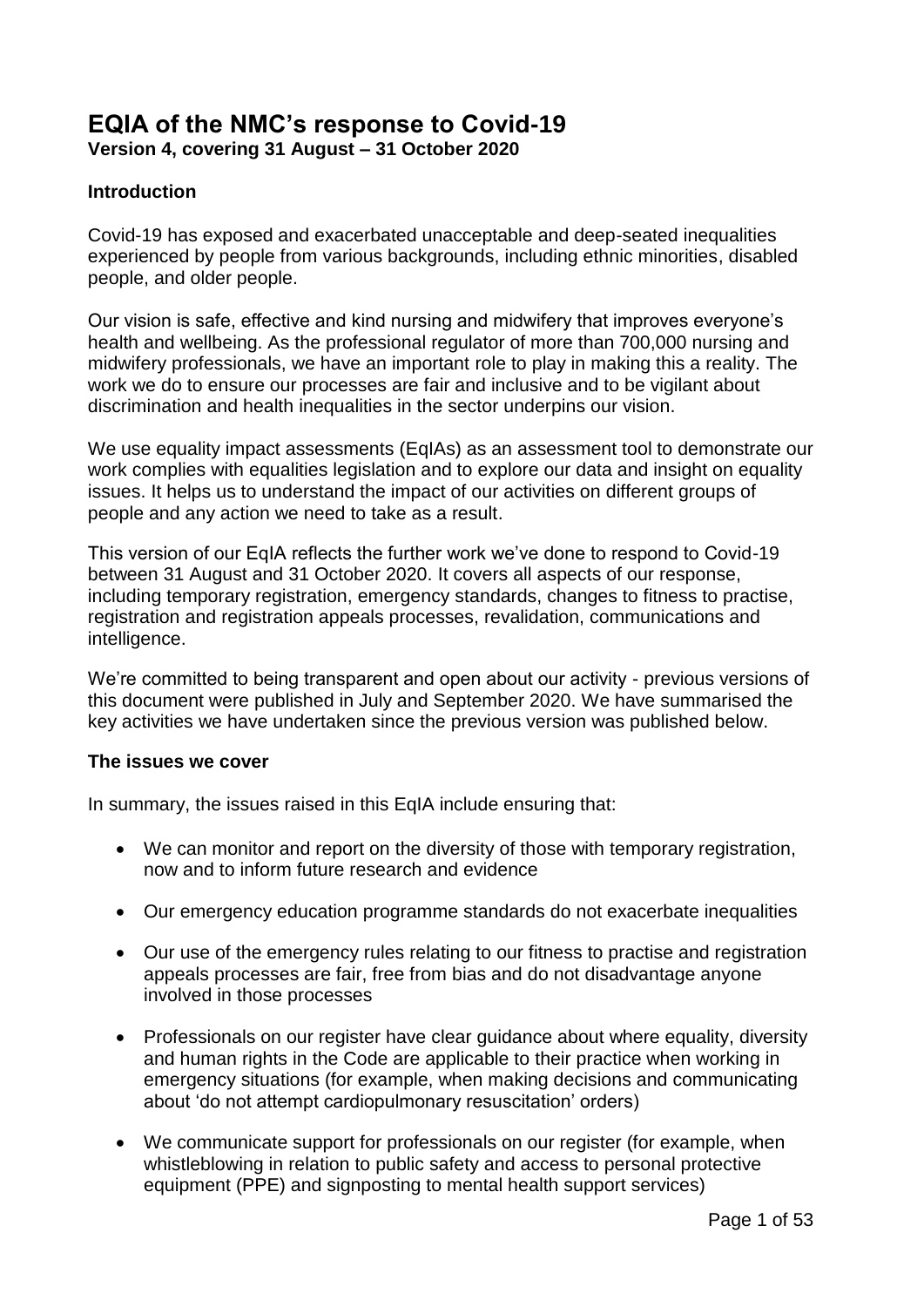# **EQIA of the NMC's response to Covid-19**

**Version 4, covering 31 August – 31 October 2020**

#### **Introduction**

Covid-19 has exposed and exacerbated unacceptable and deep-seated inequalities experienced by people from various backgrounds, including ethnic minorities, disabled people, and older people.

Our vision is safe, effective and kind nursing and midwifery that improves everyone's health and wellbeing. As the professional regulator of more than 700,000 nursing and midwifery professionals, we have an important role to play in making this a reality. The work we do to ensure our processes are fair and inclusive and to be vigilant about discrimination and health inequalities in the sector underpins our vision.

We use equality impact assessments (EqIAs) as an assessment tool to demonstrate our work complies with equalities legislation and to explore our data and insight on equality issues. It helps us to understand the impact of our activities on different groups of people and any action we need to take as a result.

This version of our EqIA reflects the further work we've done to respond to Covid-19 between 31 August and 31 October 2020. It covers all aspects of our response, including temporary registration, emergency standards, changes to fitness to practise, registration and registration appeals processes, revalidation, communications and intelligence.

We're committed to being transparent and open about our activity - previous versions of this document were published in July and September 2020. We have summarised the key activities we have undertaken since the previous version was published below.

#### **The issues we cover**

In summary, the issues raised in this EqIA include ensuring that:

- We can monitor and report on the diversity of those with temporary registration, now and to inform future research and evidence
- Our emergency education programme standards do not exacerbate inequalities
- Our use of the emergency rules relating to our fitness to practise and registration appeals processes are fair, free from bias and do not disadvantage anyone involved in those processes
- Professionals on our register have clear guidance about where equality, diversity and human rights in the Code are applicable to their practice when working in emergency situations (for example, when making decisions and communicating about 'do not attempt cardiopulmonary resuscitation' orders)
- We communicate support for professionals on our register (for example, when whistleblowing in relation to public safety and access to personal protective equipment (PPE) and signposting to mental health support services)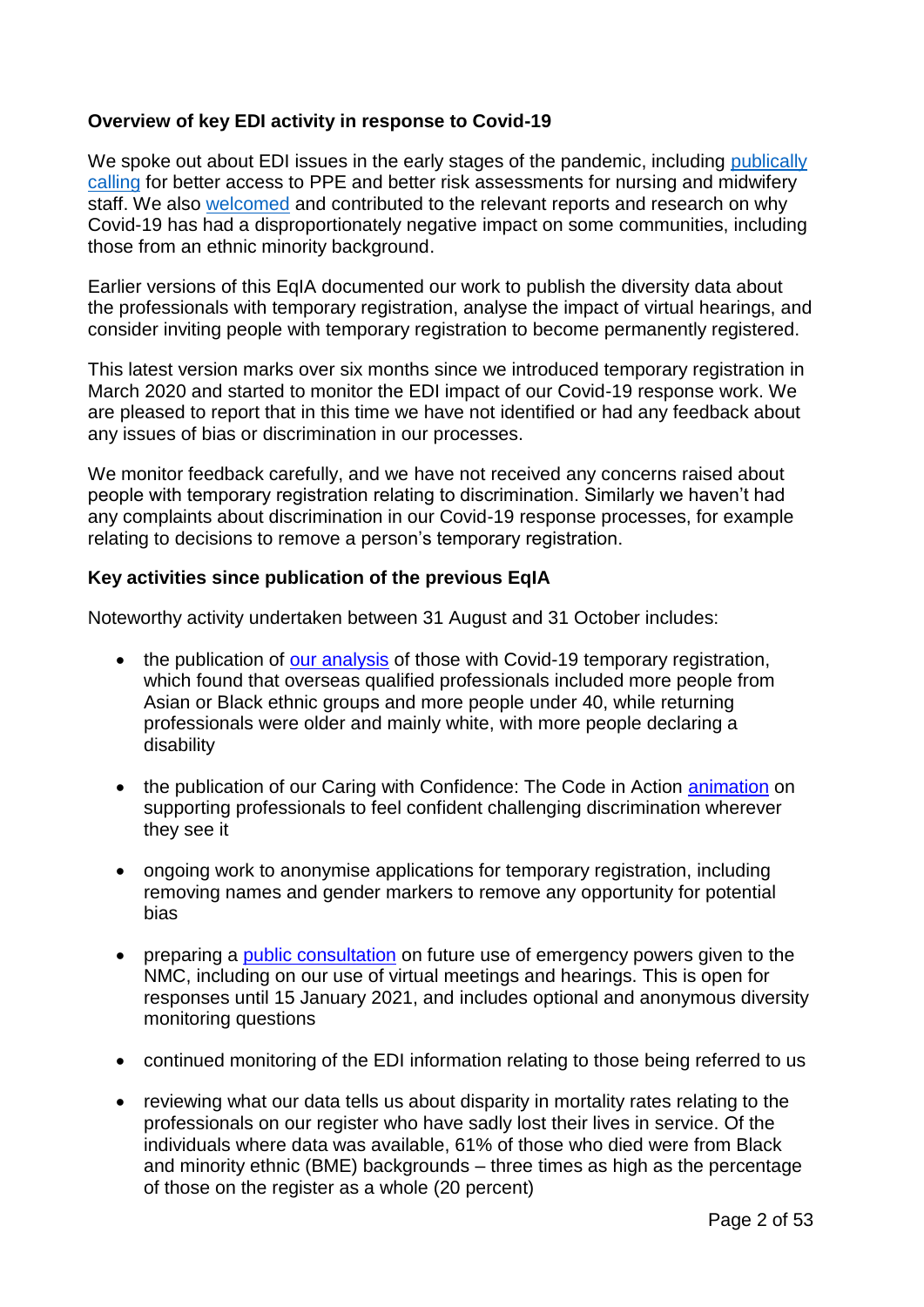#### **Overview of key EDI activity in response to Covid-19**

We spoke out about EDI issues in the early stages of the pandemic, including publically [calling](https://www.nmc.org.uk/news/coronavirus/statements/) for better access to PPE and better risk assessments for nursing and midwifery staff. We also [welcomed](https://www.nmc.org.uk/news/news-and-updates/responding-impact-covid-19-bame/) and contributed to the relevant reports and research on why Covid-19 has had a disproportionately negative impact on some communities, including those from an ethnic minority background.

Earlier versions of this EqIA documented our work to publish the diversity data about the professionals with temporary registration, analyse the impact of virtual hearings, and consider inviting people with temporary registration to become permanently registered.

This latest version marks over six months since we introduced temporary registration in March 2020 and started to monitor the EDI impact of our Covid-19 response work. We are pleased to report that in this time we have not identified or had any feedback about any issues of bias or discrimination in our processes.

We monitor feedback carefully, and we have not received any concerns raised about people with temporary registration relating to discrimination. Similarly we haven't had any complaints about discrimination in our Covid-19 response processes, for example relating to decisions to remove a person's temporary registration.

#### **Key activities since publication of the previous EqIA**

Noteworthy activity undertaken between 31 August and 31 October includes:

- the publication of [our analysis](https://www.nmc.org.uk/news/news-and-updates/nmc-covid19-temporary-register-analysis/) of those with Covid-19 temporary registration, which found that overseas qualified professionals included more people from Asian or Black ethnic groups and more people under 40, while returning professionals were older and mainly white, with more people declaring a disability
- the publication of our Caring with Confidence: The Code in Action [animation](https://www.nmc.org.uk/standards/code/code-in-action/inclusivity/) on supporting professionals to feel confident challenging discrimination wherever they see it
- ongoing work to anonymise applications for temporary registration, including removing names and gender markers to remove any opportunity for potential bias
- preparing a [public consultation](https://www.nmc.org.uk/news/news-and-updates/consultation-on-future-use-of-emergency-powers/) on future use of emergency powers given to the NMC, including on our use of virtual meetings and hearings. This is open for responses until 15 January 2021, and includes optional and anonymous diversity monitoring questions
- continued monitoring of the EDI information relating to those being referred to us
- reviewing what our data tells us about disparity in mortality rates relating to the professionals on our register who have sadly lost their lives in service. Of the individuals where data was available, 61% of those who died were from Black and minority ethnic (BME) backgrounds – three times as high as the percentage of those on the register as a whole (20 percent)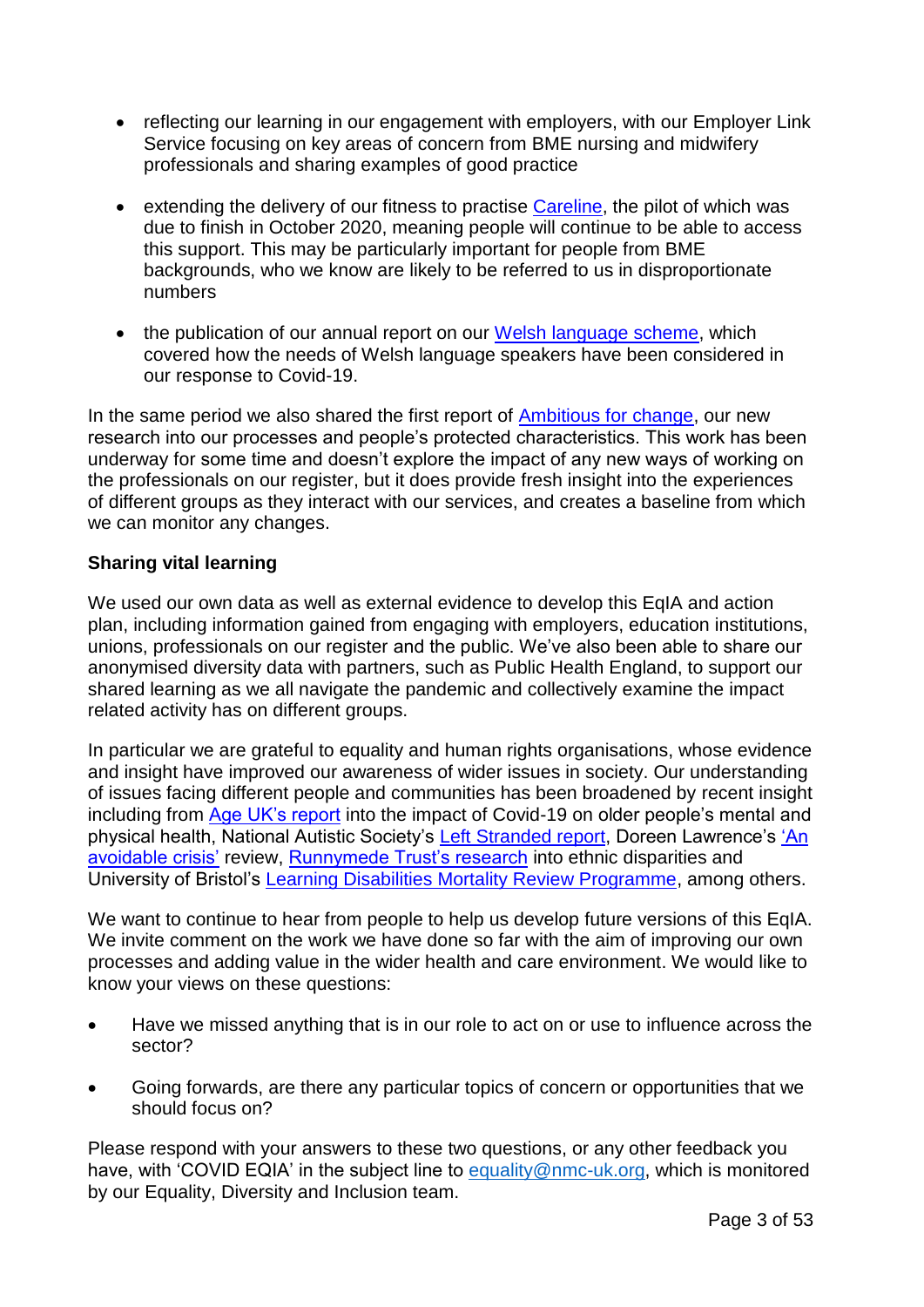- reflecting our learning in our engagement with employers, with our Employer Link Service focusing on key areas of concern from BME nursing and midwifery professionals and sharing examples of good practice
- extending the delivery of our fitness to practise [Careline,](https://www.nmc.org.uk/concerns-nurses-midwives/information-under-investigation/ftpcareline/) the pilot of which was due to finish in October 2020, meaning people will continue to be able to access this support. This may be particularly important for people from BME backgrounds, who we know are likely to be referred to us in disproportionate numbers
- the publication of our annual report on our [Welsh language scheme,](https://www.nmc.org.uk/about-us/equality-diversity-and-inclusion/welsh-language-scheme/) which covered how the needs of Welsh language speakers have been considered in our response to Covid-19.

In the same period we also shared the first report of [Ambitious for change,](https://www.nmc.org.uk/about-us/equality-diversity-and-inclusion/edi-research/ambitious-for-change-research-into-nmc-processes-and-peoples-protected-characteristics/) our new research into our processes and people's protected characteristics. This work has been underway for some time and doesn't explore the impact of any new ways of working on the professionals on our register, but it does provide fresh insight into the experiences of different groups as they interact with our services, and creates a baseline from which we can monitor any changes.

#### **Sharing vital learning**

We used our own data as well as external evidence to develop this EqIA and action plan, including information gained from engaging with employers, education institutions, unions, professionals on our register and the public. We've also been able to share our anonymised diversity data with partners, such as Public Health England, to support our shared learning as we all navigate the pandemic and collectively examine the impact related activity has on different groups.

In particular we are grateful to equality and human rights organisations, whose evidence and insight have improved our awareness of wider issues in society. Our understanding of issues facing different people and communities has been broadened by recent insight including from [Age UK's report](https://www.ageuk.org.uk/globalassets/age-uk/documents/reports-and-publications/reports-and-briefings/health--wellbeing/the-impact-of-covid-19-on-older-people_age-uk.pdf) into the impact of Covid-19 on older people's mental and physical health, National Autistic Society's [Left Stranded report,](https://s4.chorus-mk.thirdlight.com/file/1573224908/63117952292/width=-1/height=-1/format=-1/fit=scale/t=444295/e=never/k=da5c189a/LeftStranded%20Report.pdf) Doreen Lawrence's 'An [avoidable crisis'](https://www.lawrencereview.co.uk/chapters/executive-summary) review, [Runnymede Trust's research](https://www.runnymedetrust.org/blog/ethnic-inequalities-in-covid-19-are-playing-out-again-how-can-we-stop-them) into ethnic disparities and University of Bristol's [Learning Disabilities Mortality Review Programme,](http://www.bristol.ac.uk/sps/leder/news/2020/leder-covid-19-reviews.html) among others.

We want to continue to hear from people to help us develop future versions of this EqIA. We invite comment on the work we have done so far with the aim of improving our own processes and adding value in the wider health and care environment. We would like to know your views on these questions:

- Have we missed anything that is in our role to act on or use to influence across the sector?
- Going forwards, are there any particular topics of concern or opportunities that we should focus on?

Please respond with your answers to these two questions, or any other feedback you have, with 'COVID EQIA' in the subject line to [equality@nmc-uk.org,](mailto:equality@nmc-uk.org) which is monitored by our Equality, Diversity and Inclusion team.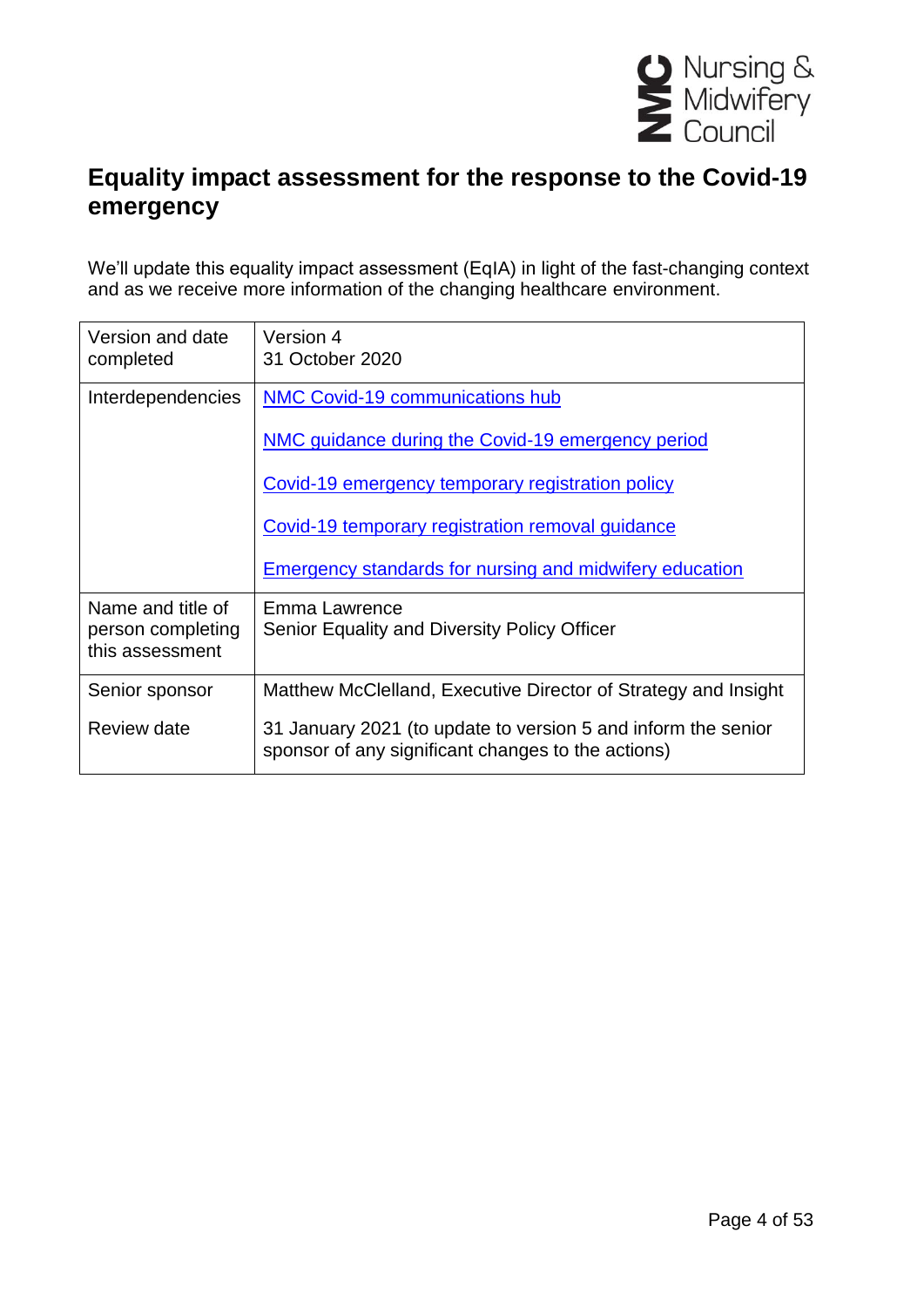

# **Equality impact assessment for the response to the Covid-19 emergency**

We'll update this equality impact assessment (EqIA) in light of the fast-changing context and as we receive more information of the changing healthcare environment.

| Version and date<br>completed                             | Version 4<br>31 October 2020                                                                                        |
|-----------------------------------------------------------|---------------------------------------------------------------------------------------------------------------------|
| Interdependencies                                         | NMC Covid-19 communications hub                                                                                     |
|                                                           | NMC guidance during the Covid-19 emergency period                                                                   |
|                                                           | Covid-19 emergency temporary registration policy                                                                    |
|                                                           | Covid-19 temporary registration removal guidance                                                                    |
|                                                           | <b>Emergency standards for nursing and midwifery education</b>                                                      |
| Name and title of<br>person completing<br>this assessment | Emma Lawrence<br>Senior Equality and Diversity Policy Officer                                                       |
| Senior sponsor                                            | Matthew McClelland, Executive Director of Strategy and Insight                                                      |
| Review date                                               | 31 January 2021 (to update to version 5 and inform the senior<br>sponsor of any significant changes to the actions) |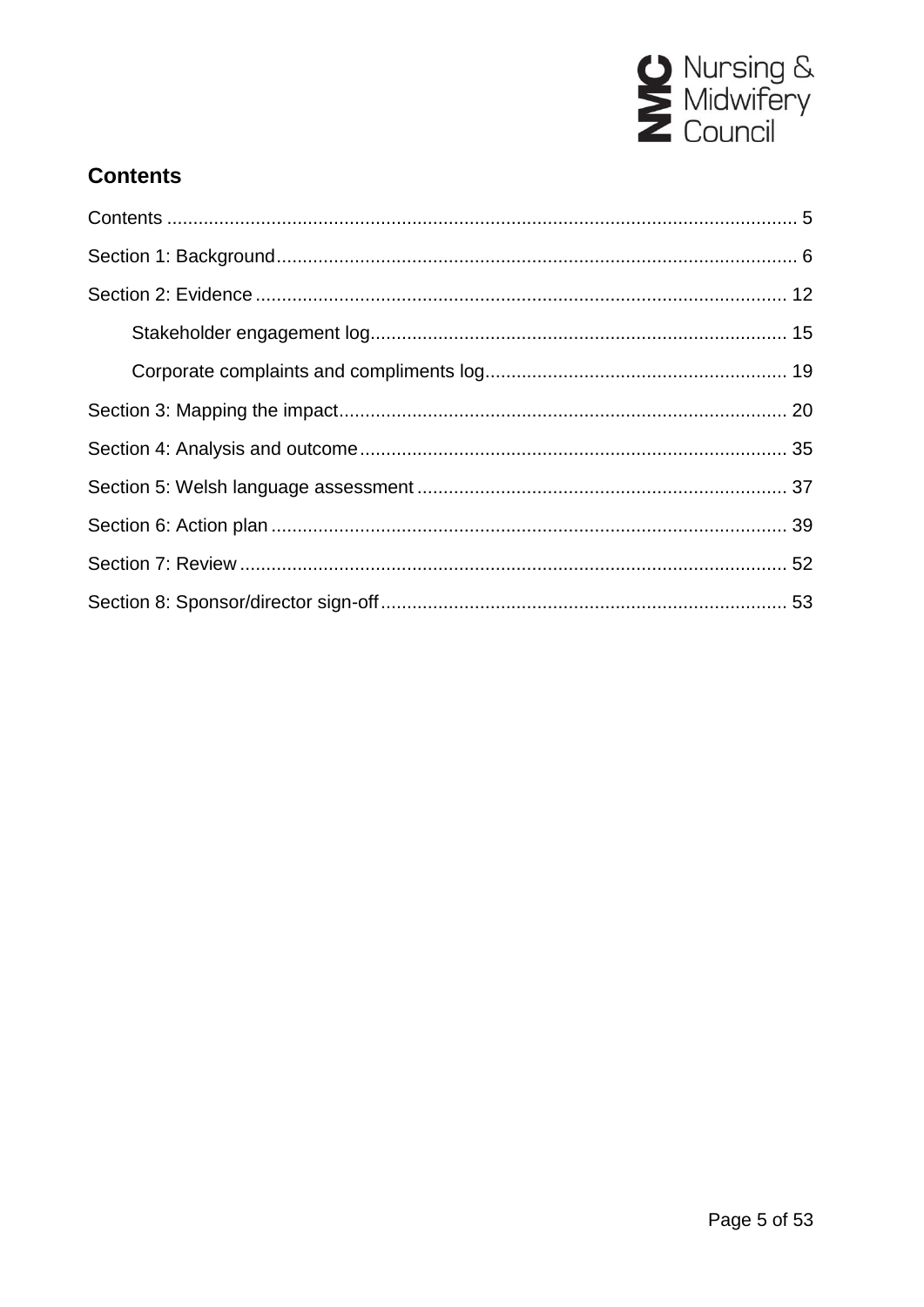

### <span id="page-4-0"></span>**Contents**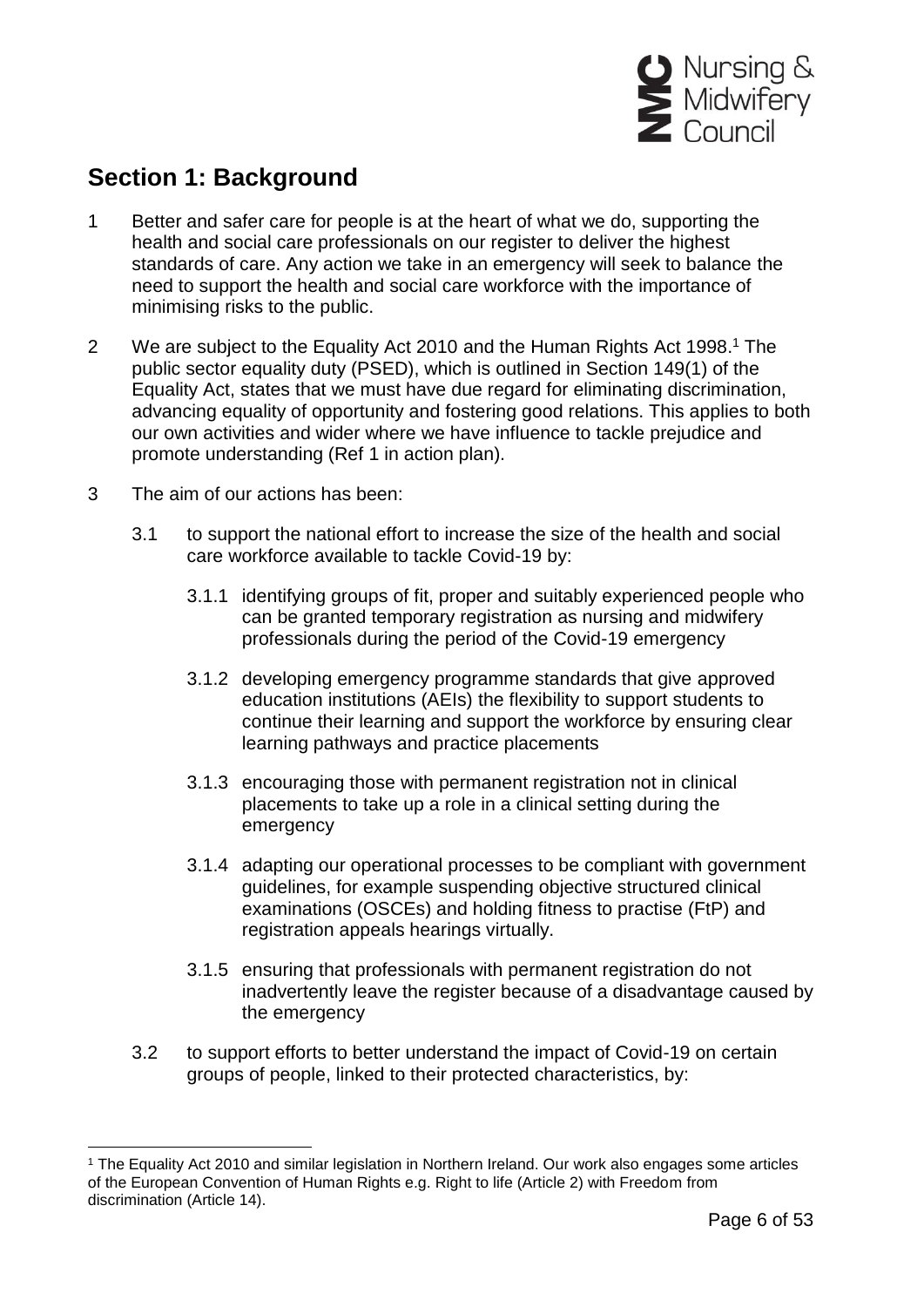

## <span id="page-5-0"></span>**Section 1: Background**

- 1 Better and safer care for people is at the heart of what we do, supporting the health and social care professionals on our register to deliver the highest standards of care. Any action we take in an emergency will seek to balance the need to support the health and social care workforce with the importance of minimising risks to the public.
- 2 We are subject to the Equality Act 2010 and the Human Rights Act 1998.<sup>1</sup> The public sector equality duty (PSED), which is outlined in Section 149(1) of the Equality Act, states that we must have due regard for eliminating discrimination, advancing equality of opportunity and fostering good relations. This applies to both our own activities and wider where we have influence to tackle prejudice and promote understanding (Ref 1 in action plan).
- 3 The aim of our actions has been:

- 3.1 to support the national effort to increase the size of the health and social care workforce available to tackle Covid-19 by:
	- 3.1.1 identifying groups of fit, proper and suitably experienced people who can be granted temporary registration as nursing and midwifery professionals during the period of the Covid-19 emergency
	- 3.1.2 developing emergency programme standards that give approved education institutions (AEIs) the flexibility to support students to continue their learning and support the workforce by ensuring clear learning pathways and practice placements
	- 3.1.3 encouraging those with permanent registration not in clinical placements to take up a role in a clinical setting during the emergency
	- 3.1.4 adapting our operational processes to be compliant with government guidelines, for example suspending objective structured clinical examinations (OSCEs) and holding fitness to practise (FtP) and registration appeals hearings virtually.
	- 3.1.5 ensuring that professionals with permanent registration do not inadvertently leave the register because of a disadvantage caused by the emergency
- 3.2 to support efforts to better understand the impact of Covid-19 on certain groups of people, linked to their protected characteristics, by:

<sup>&</sup>lt;sup>1</sup> The Equality Act 2010 and similar legislation in Northern Ireland. Our work also engages some articles of the European Convention of Human Rights e.g. Right to life (Article 2) with Freedom from discrimination (Article 14).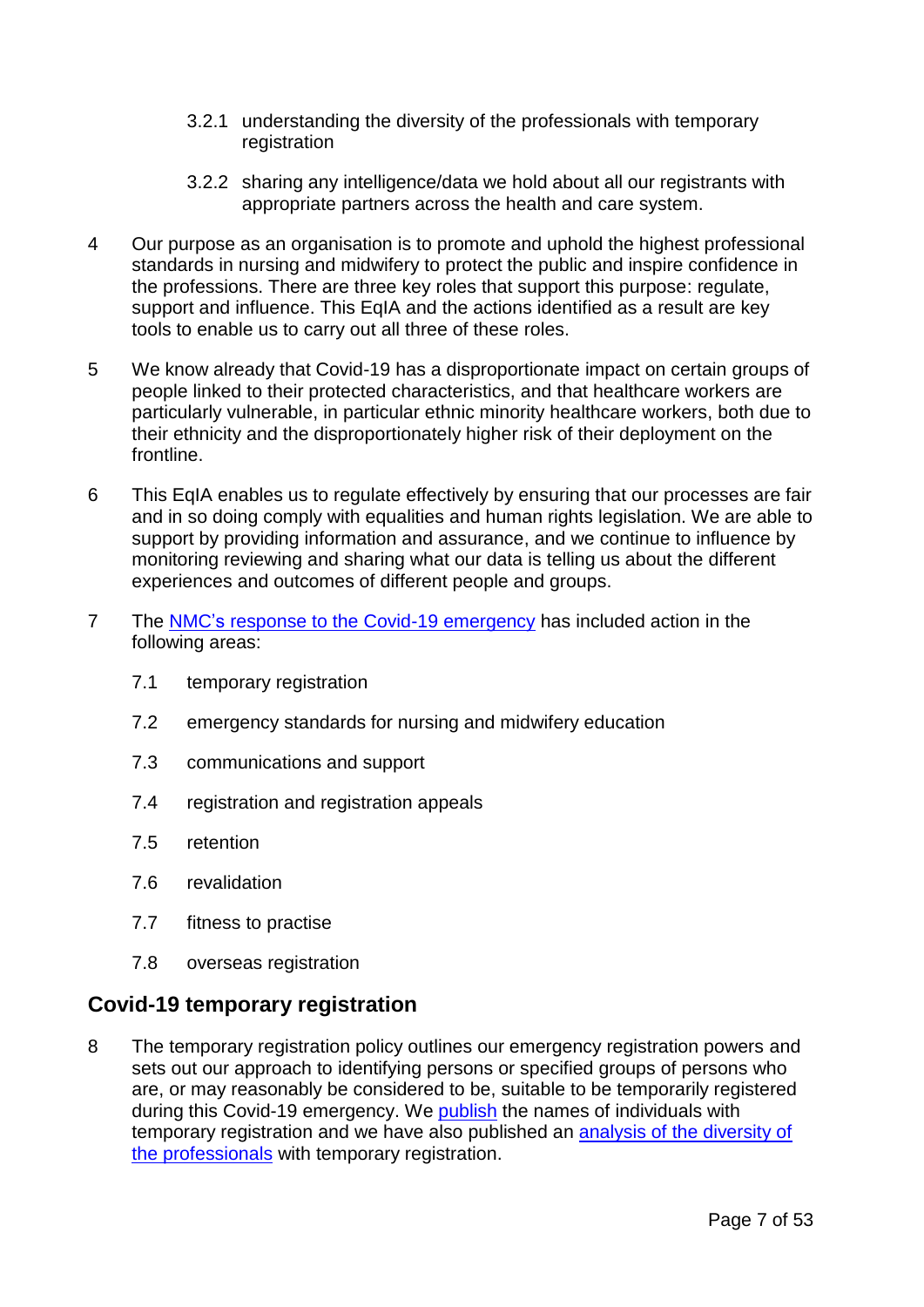- 3.2.1 understanding the diversity of the professionals with temporary registration
- 3.2.2 sharing any intelligence/data we hold about all our registrants with appropriate partners across the health and care system.
- 4 Our purpose as an organisation is to promote and uphold the highest professional standards in nursing and midwifery to protect the public and inspire confidence in the professions. There are three key roles that support this purpose: regulate, support and influence. This EqIA and the actions identified as a result are key tools to enable us to carry out all three of these roles.
- 5 We know already that Covid-19 has a disproportionate impact on certain groups of people linked to their protected characteristics, and that healthcare workers are particularly vulnerable, in particular ethnic minority healthcare workers, both due to their ethnicity and the disproportionately higher risk of their deployment on the frontline.
- 6 This EqIA enables us to regulate effectively by ensuring that our processes are fair and in so doing comply with equalities and human rights legislation. We are able to support by providing information and assurance, and we continue to influence by monitoring reviewing and sharing what our data is telling us about the different experiences and outcomes of different people and groups.
- 7 The NMC's [response to the Covid-19 emergency](https://www.nmc.org.uk/news/coronavirus/) has included action in the following areas:
	- 7.1 temporary registration
	- 7.2 emergency standards for nursing and midwifery education
	- 7.3 communications and support
	- 7.4 registration and registration appeals
	- 7.5 retention
	- 7.6 revalidation
	- 7.7 fitness to practise
	- 7.8 overseas registration

### **Covid-19 temporary registration**

8 The temporary registration policy outlines our emergency registration powers and sets out our approach to identifying persons or specified groups of persons who are, or may reasonably be considered to be, suitable to be temporarily registered during this Covid-19 emergency. We [publish](https://www.nmc.org.uk/news/coronavirus/temporary-registration/) the names of individuals with temporary registration and we have also published an [analysis of the diversity of](https://www.nmc.org.uk/news/news-and-updates/nmc-covid19-temporary-register-analysis/)  [the professionals](https://www.nmc.org.uk/news/news-and-updates/nmc-covid19-temporary-register-analysis/) with temporary registration.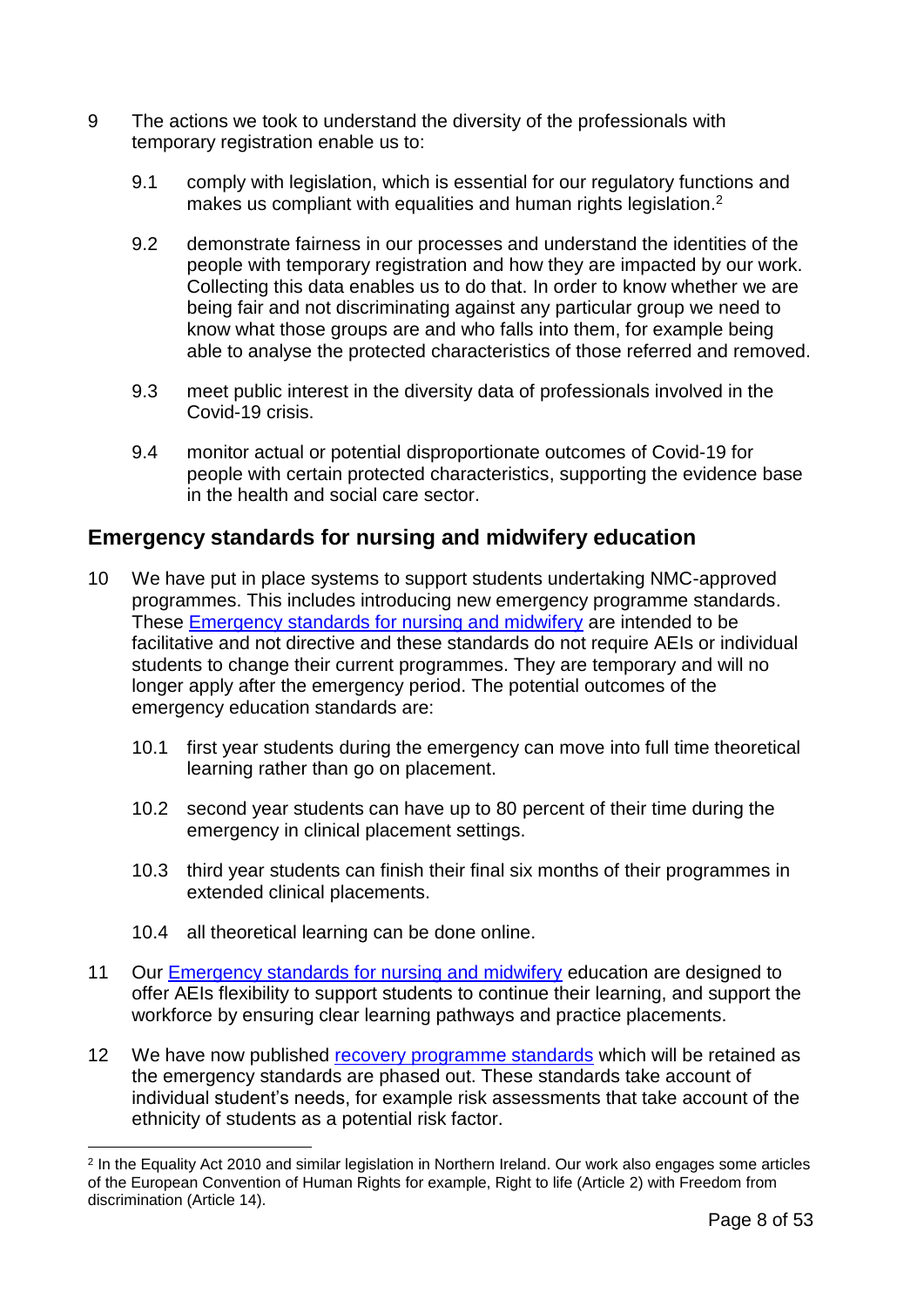- 9 The actions we took to understand the diversity of the professionals with temporary registration enable us to:
	- 9.1 comply with legislation, which is essential for our regulatory functions and makes us compliant with equalities and human rights legislation.<sup>2</sup>
	- 9.2 demonstrate fairness in our processes and understand the identities of the people with temporary registration and how they are impacted by our work. Collecting this data enables us to do that. In order to know whether we are being fair and not discriminating against any particular group we need to know what those groups are and who falls into them, for example being able to analyse the protected characteristics of those referred and removed.
	- 9.3 meet public interest in the diversity data of professionals involved in the Covid-19 crisis.
	- 9.4 monitor actual or potential disproportionate outcomes of Covid-19 for people with certain protected characteristics, supporting the evidence base in the health and social care sector.

### **Emergency standards for nursing and midwifery education**

- 10 We have put in place systems to support students undertaking NMC-approved programmes. This includes introducing new emergency programme standards. These [Emergency standards for nursing and midwifery](https://www.nmc.org.uk/globalassets/sitedocuments/education-standards/emergency-standards-for-nursing-and-midwifery-education.pdf) are intended to be facilitative and not directive and these standards do not require AEIs or individual students to change their current programmes. They are temporary and will no longer apply after the emergency period. The potential outcomes of the emergency education standards are:
	- 10.1 first year students during the emergency can move into full time theoretical learning rather than go on placement.
	- 10.2 second year students can have up to 80 percent of their time during the emergency in clinical placement settings.
	- 10.3 third year students can finish their final six months of their programmes in extended clinical placements.
	- 10.4 all theoretical learning can be done online.

- 11 Our [Emergency standards for nursing and midwifery](https://www.nmc.org.uk/globalassets/sitedocuments/education-standards/emergency-standards-for-nursing-and-midwifery-education.pdf) education are designed to offer AEIs flexibility to support students to continue their learning, and support the workforce by ensuring clear learning pathways and practice placements.
- 12 We have now published [recovery programme standards](https://www.nmc.org.uk/globalassets/sitedocuments/education-standards/recovery-programme-standards.pdf) which will be retained as the emergency standards are phased out. These standards take account of individual student's needs, for example risk assessments that take account of the ethnicity of students as a potential risk factor.

<sup>2</sup> In the Equality Act 2010 and similar legislation in Northern Ireland. Our work also engages some articles of the European Convention of Human Rights for example, Right to life (Article 2) with Freedom from discrimination (Article 14).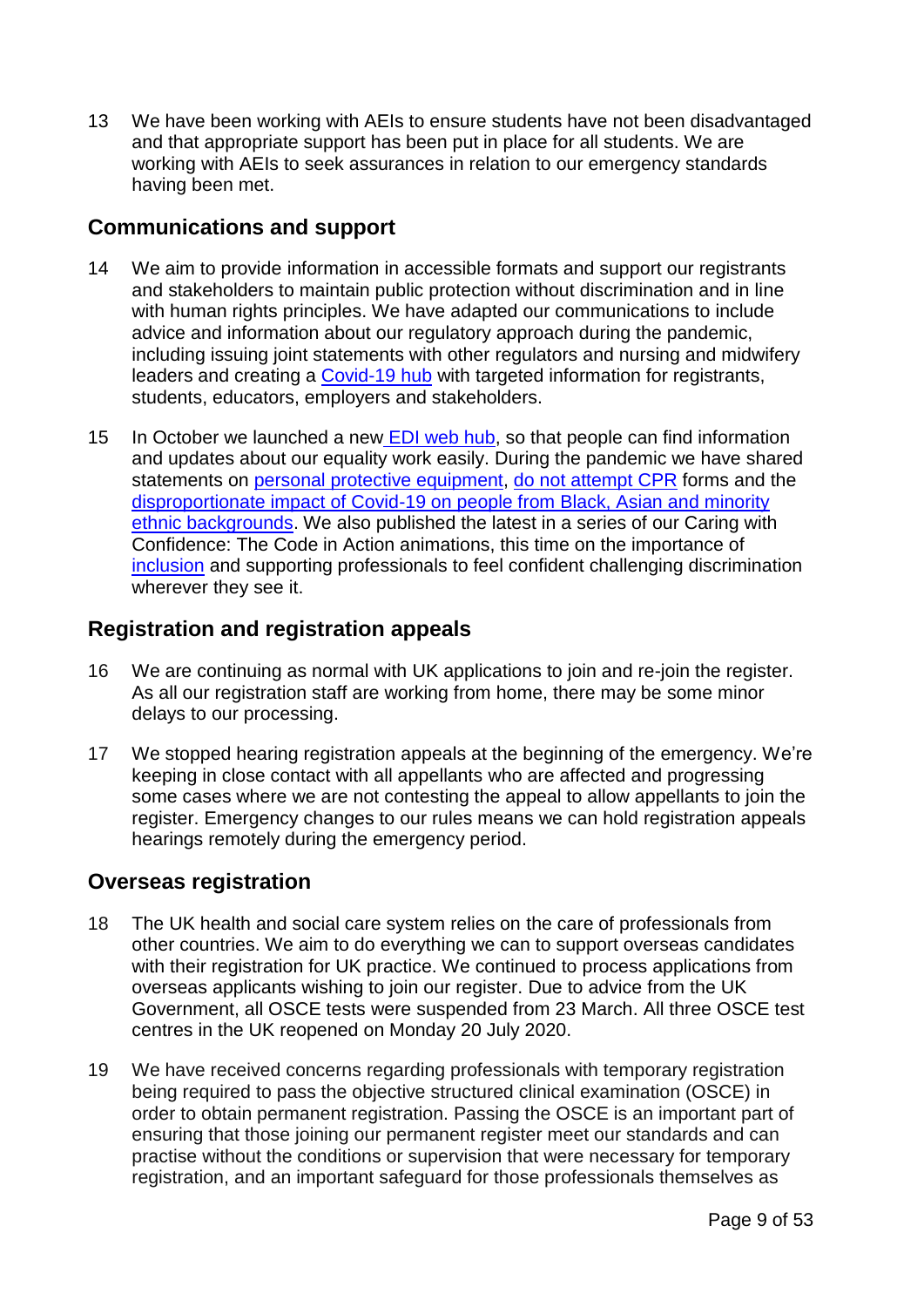13 We have been working with AEIs to ensure students have not been disadvantaged and that appropriate support has been put in place for all students. We are working with AEIs to seek assurances in relation to our emergency standards having been met.

### **Communications and support**

- 14 We aim to provide information in accessible formats and support our registrants and stakeholders to maintain public protection without discrimination and in line with human rights principles. We have adapted our communications to include advice and information about our regulatory approach during the pandemic, including issuing joint statements with other regulators and nursing and midwifery leaders and creating a [Covid-19 hub](https://www.nmc.org.uk/news/coronavirus/) with targeted information for registrants, students, educators, employers and stakeholders.
- 15 In October we launched a new [EDI web hub,](https://www.nmc.org.uk/about-us/equality-diversity-and-inclusion/edi-research/ambitious-for-change-research-into-nmc-processes-and-peoples-protected-characteristics/) so that people can find information and updates about our equality work easily. During the pandemic we have shared statements on [personal protective equipment,](https://www.nmc.org.uk/news/news-and-updates/nmc-statement-on-personal-protective-equipment-during-the-covid-19-pandemic/) [do not attempt CPR](https://www.nmc.org.uk/news/news-and-updates/statement-advance-care-planning-dnacpr-gmc-nmc/) forms and the [disproportionate impact of Covid-19 on people from Black, Asian and minority](https://www.nmc.org.uk/news/news-and-updates/statement-on-the-disproportionate-impact-of-covid-19-on-people-from-bame-backgrounds/)  [ethnic backgrounds.](https://www.nmc.org.uk/news/news-and-updates/statement-on-the-disproportionate-impact-of-covid-19-on-people-from-bame-backgrounds/) We also published the latest in a series of our Caring with Confidence: The Code in Action animations, this time on the importance of [inclusion](https://www.nmc.org.uk/standards/code/code-in-action/inclusivity/) and supporting professionals to feel confident challenging discrimination wherever they see it.

### **Registration and registration appeals**

- 16 We are continuing as normal with UK applications to join and re-join the register. As all our registration staff are working from home, there may be some minor delays to our processing.
- 17 We stopped hearing registration appeals at the beginning of the emergency. We're keeping in close contact with all appellants who are affected and progressing some cases where we are not contesting the appeal to allow appellants to join the register. Emergency changes to our rules means we can hold registration appeals hearings remotely during the emergency period.

### **Overseas registration**

- 18 The UK health and social care system relies on the care of professionals from other countries. We aim to do everything we can to support overseas candidates with their registration for UK practice. We continued to process applications from overseas applicants wishing to join our register. Due to advice from the UK Government, all OSCE tests were suspended from 23 March. All three OSCE test centres in the UK reopened on Monday 20 July 2020.
- 19 We have received concerns regarding professionals with temporary registration being required to pass the objective structured clinical examination (OSCE) in order to obtain permanent registration. Passing the OSCE is an important part of ensuring that those joining our permanent register meet our standards and can practise without the conditions or supervision that were necessary for temporary registration, and an important safeguard for those professionals themselves as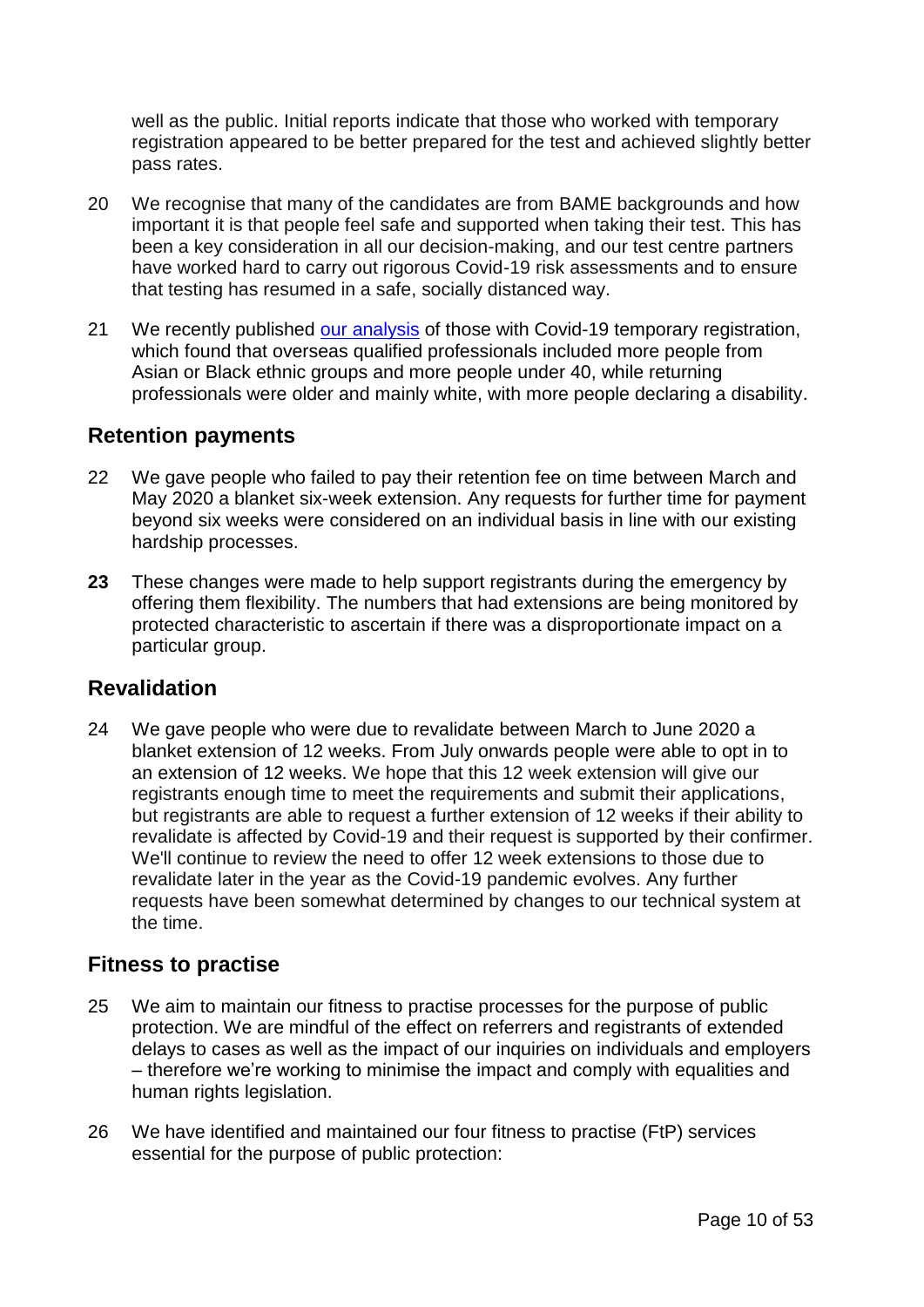well as the public. Initial reports indicate that those who worked with temporary registration appeared to be better prepared for the test and achieved slightly better pass rates.

- 20 We recognise that many of the candidates are from BAME backgrounds and how important it is that people feel safe and supported when taking their test. This has been a key consideration in all our decision-making, and our test centre partners have worked hard to carry out rigorous Covid-19 risk assessments and to ensure that testing has resumed in a safe, socially distanced way.
- 21 We recently published [our analysis](https://www.nmc.org.uk/news/news-and-updates/nmc-covid19-temporary-register-analysis/) of those with Covid-19 temporary registration, which found that overseas qualified professionals included more people from Asian or Black ethnic groups and more people under 40, while returning professionals were older and mainly white, with more people declaring a disability.

### **Retention payments**

- 22 We gave people who failed to pay their retention fee on time between March and May 2020 a blanket six-week extension. Any requests for further time for payment beyond six weeks were considered on an individual basis in line with our existing hardship processes.
- **23** These changes were made to help support registrants during the emergency by offering them flexibility. The numbers that had extensions are being monitored by protected characteristic to ascertain if there was a disproportionate impact on a particular group.

### **Revalidation**

24 We gave people who were due to revalidate between March to June 2020 a blanket extension of 12 weeks. From July onwards people were able to opt in to an extension of 12 weeks. We hope that this 12 week extension will give our registrants enough time to meet the requirements and submit their applications, but registrants are able to request a further extension of 12 weeks if their ability to revalidate is affected by Covid-19 and their request is supported by their confirmer. We'll continue to review the need to offer 12 week extensions to those due to revalidate later in the year as the Covid-19 pandemic evolves. Any further requests have been somewhat determined by changes to our technical system at the time.

### **Fitness to practise**

- 25 We aim to maintain our fitness to practise processes for the purpose of public protection. We are mindful of the effect on referrers and registrants of extended delays to cases as well as the impact of our inquiries on individuals and employers – therefore we're working to minimise the impact and comply with equalities and human rights legislation.
- 26 We have identified and maintained our four fitness to practise (FtP) services essential for the purpose of public protection: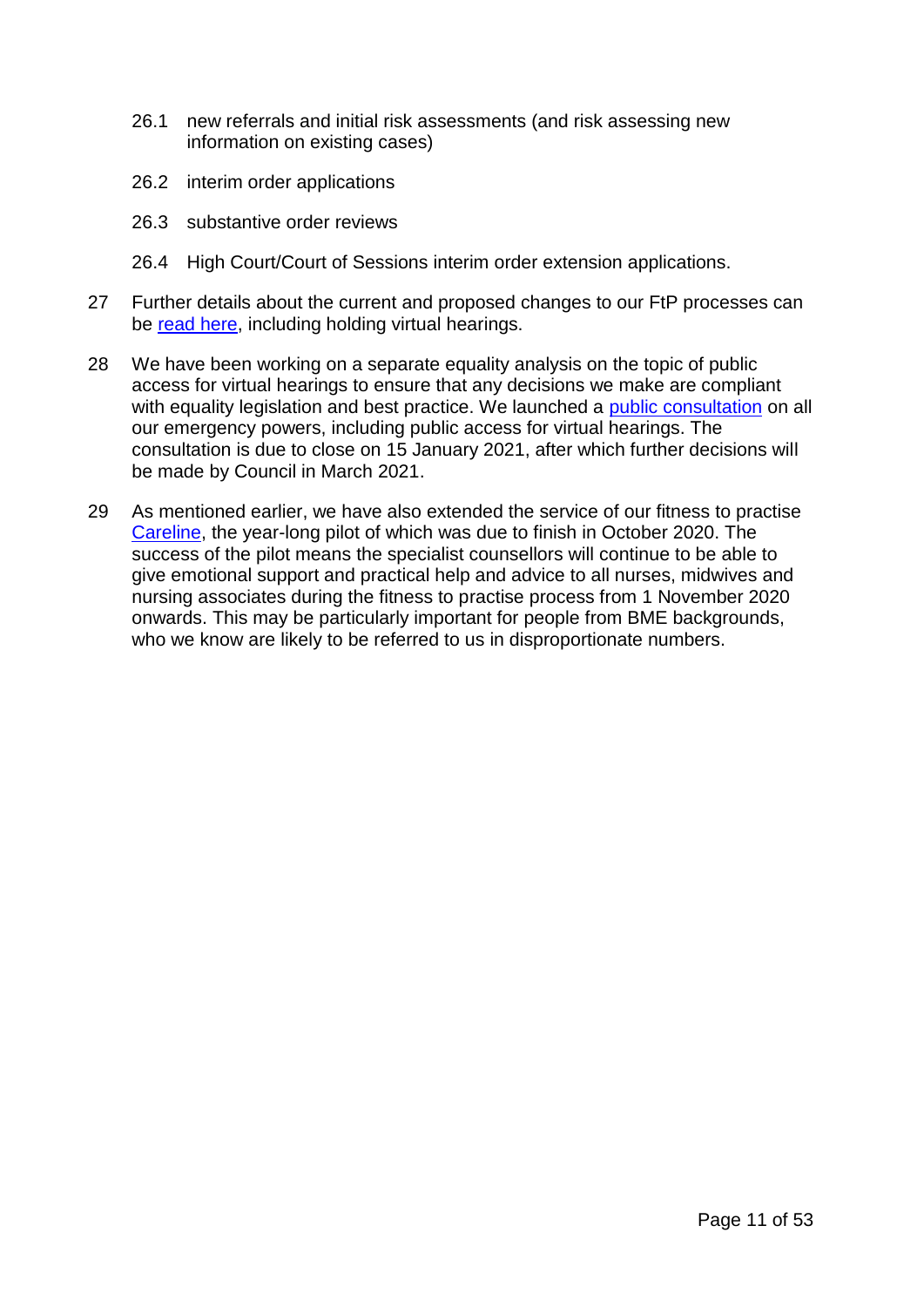- 26.1 new referrals and initial risk assessments (and risk assessing new information on existing cases)
- 26.2 interim order applications
- 26.3 substantive order reviews
- 26.4 High Court/Court of Sessions interim order extension applications.
- 27 Further details about the current and proposed changes to our FtP processes can be [read here,](https://www.nmc.org.uk/globalassets/sitedocuments/ftp_information/nmc-guidance-during-the-covid-19-emergency-period.pdf) including holding virtual hearings.
- 28 We have been working on a separate equality analysis on the topic of public access for virtual hearings to ensure that any decisions we make are compliant with equality legislation and best practice. We launched a [public consultation](https://www.nmc.org.uk/news/news-and-updates/consultation-on-future-use-of-emergency-powers/) on all our emergency powers, including public access for virtual hearings. The consultation is due to close on 15 January 2021, after which further decisions will be made by Council in March 2021.
- 29 As mentioned earlier, we have also extended the service of our fitness to practise [Careline,](https://www.nmc.org.uk/concerns-nurses-midwives/information-under-investigation/ftpcareline/) the year-long pilot of which was due to finish in October 2020. The success of the pilot means the specialist counsellors will continue to be able to give emotional support and practical help and advice to all nurses, midwives and nursing associates during the fitness to practise process from 1 November 2020 onwards. This may be particularly important for people from BME backgrounds, who we know are likely to be referred to us in disproportionate numbers.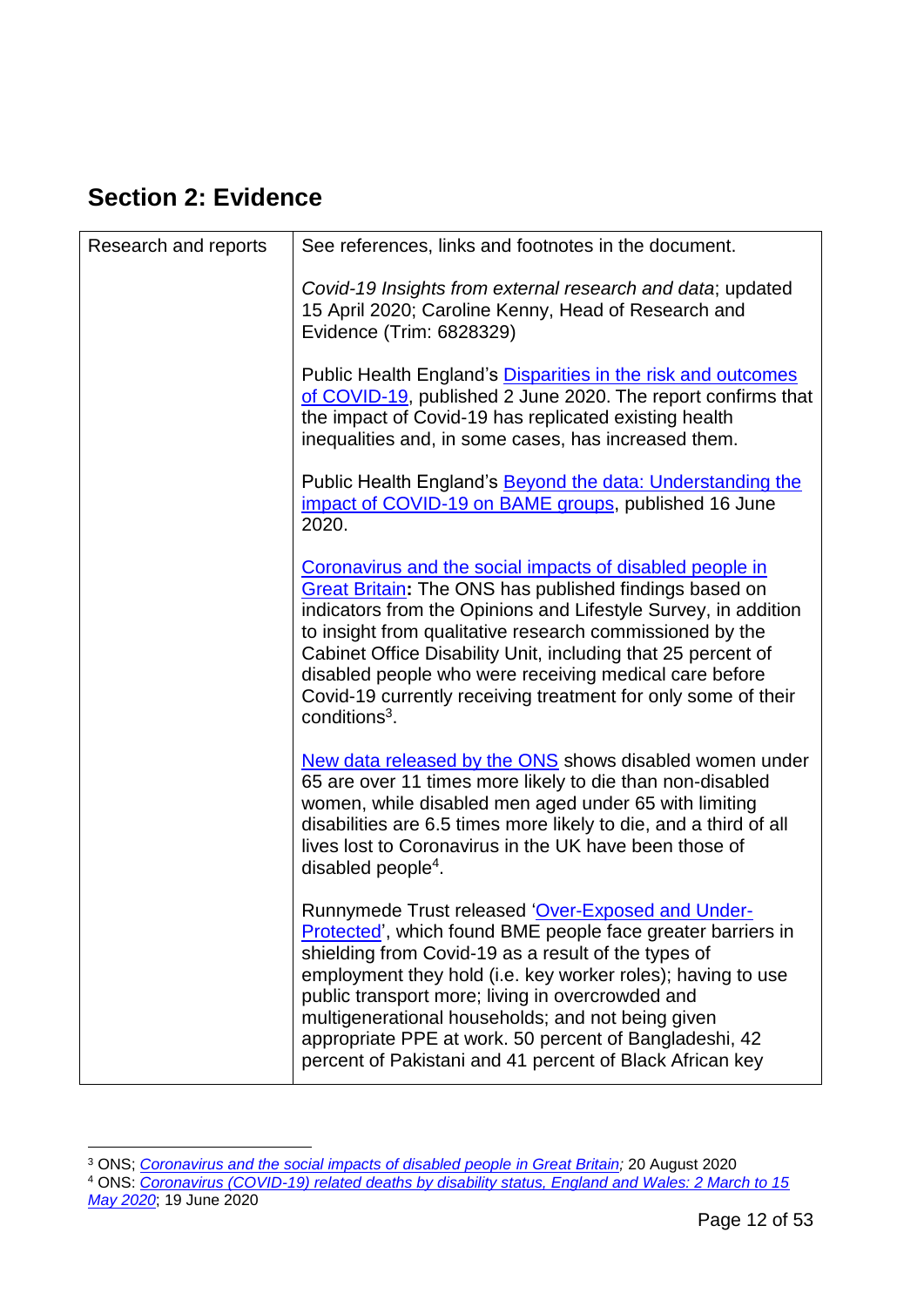# <span id="page-11-0"></span>**Section 2: Evidence**

| Research and reports | See references, links and footnotes in the document.                                                                                                                                                                                                                                                                                                                                                                                                                  |
|----------------------|-----------------------------------------------------------------------------------------------------------------------------------------------------------------------------------------------------------------------------------------------------------------------------------------------------------------------------------------------------------------------------------------------------------------------------------------------------------------------|
|                      | Covid-19 Insights from external research and data; updated<br>15 April 2020; Caroline Kenny, Head of Research and<br>Evidence (Trim: 6828329)                                                                                                                                                                                                                                                                                                                         |
|                      | Public Health England's Disparities in the risk and outcomes<br>of COVID-19, published 2 June 2020. The report confirms that<br>the impact of Covid-19 has replicated existing health<br>inequalities and, in some cases, has increased them.                                                                                                                                                                                                                         |
|                      | Public Health England's <b>Beyond the data: Understanding the</b><br>impact of COVID-19 on BAME groups, published 16 June<br>2020.                                                                                                                                                                                                                                                                                                                                    |
|                      | Coronavirus and the social impacts of disabled people in<br><b>Great Britain:</b> The ONS has published findings based on<br>indicators from the Opinions and Lifestyle Survey, in addition<br>to insight from qualitative research commissioned by the<br>Cabinet Office Disability Unit, including that 25 percent of<br>disabled people who were receiving medical care before<br>Covid-19 currently receiving treatment for only some of their<br>$conditions3$ . |
|                      | New data released by the ONS shows disabled women under<br>65 are over 11 times more likely to die than non-disabled<br>women, while disabled men aged under 65 with limiting<br>disabilities are 6.5 times more likely to die, and a third of all<br>lives lost to Coronavirus in the UK have been those of<br>disabled people <sup>4</sup> .                                                                                                                        |
|                      | Runnymede Trust released 'Over-Exposed and Under-<br>Protected', which found BME people face greater barriers in<br>shielding from Covid-19 as a result of the types of<br>employment they hold (i.e. key worker roles); having to use<br>public transport more; living in overcrowded and<br>multigenerational households; and not being given<br>appropriate PPE at work. 50 percent of Bangladeshi, 42<br>percent of Pakistani and 41 percent of Black African key |

<sup>1</sup> <sup>3</sup> ONS; *[Coronavirus and the social impacts of disabled people in Great Britain;](https://www.ons.gov.uk/peoplepopulationandcommunity/healthandsocialcare/disability/articles/coronavirusandthesocialimpactsondisabledpeopleingreatbritain/july2020)* 20 August 2020

*[May 2020](https://www.ons.gov.uk/peoplepopulationandcommunity/birthsdeathsandmarriages/deaths/articles/coronaviruscovid19relateddeathsbydisabilitystatusenglandandwales/2marchto15may2020)*; 19 June 2020

<sup>4</sup> ONS: *[Coronavirus \(COVID-19\) related deaths by disability status, England and Wales: 2 March to 15](https://www.ons.gov.uk/peoplepopulationandcommunity/birthsdeathsandmarriages/deaths/articles/coronaviruscovid19relateddeathsbydisabilitystatusenglandandwales/2marchto15may2020)*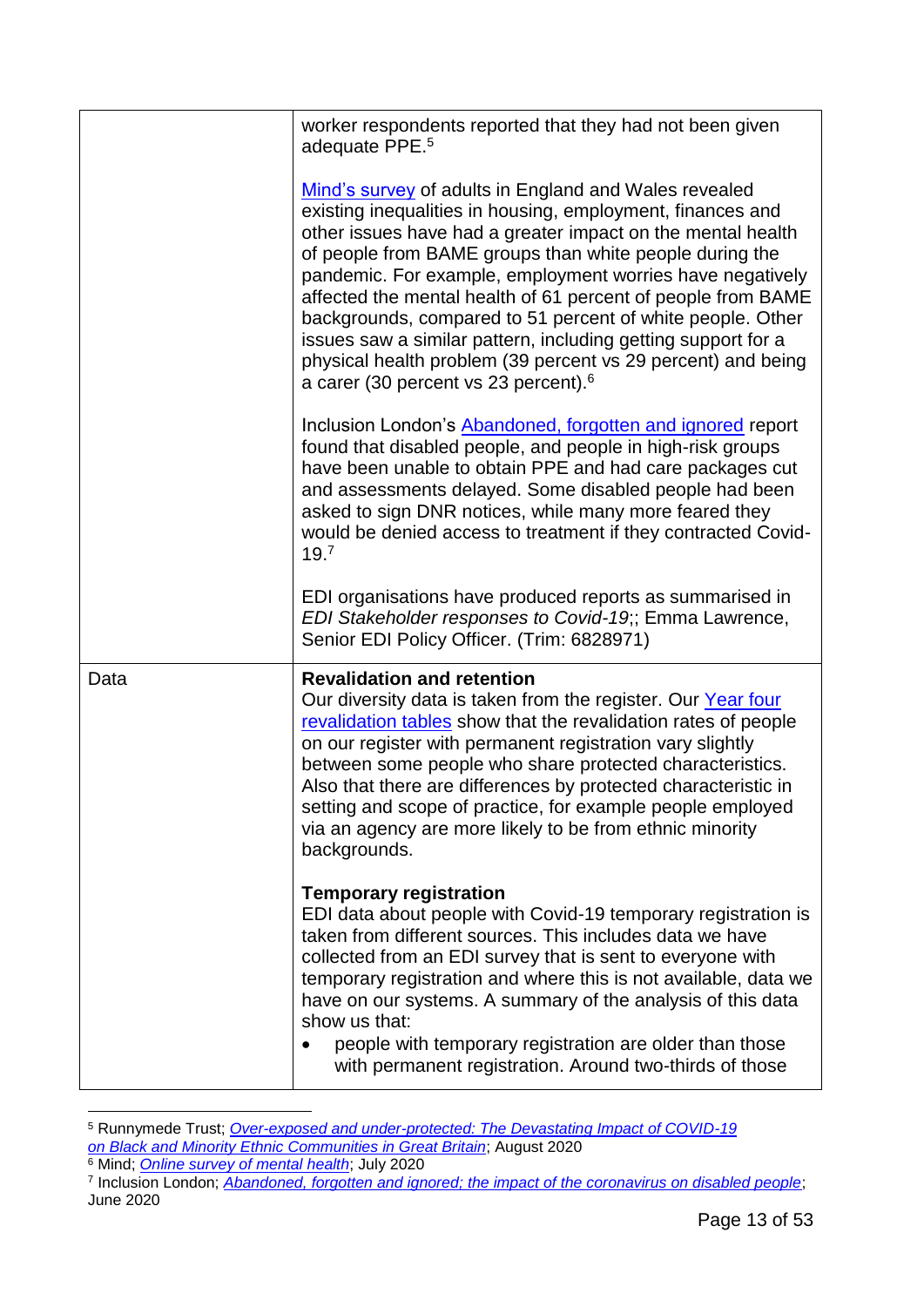|      | worker respondents reported that they had not been given<br>adequate PPE. <sup>5</sup>                                                                                                                                                                                                                                                                                                                                                                                                                                                                                                                                        |
|------|-------------------------------------------------------------------------------------------------------------------------------------------------------------------------------------------------------------------------------------------------------------------------------------------------------------------------------------------------------------------------------------------------------------------------------------------------------------------------------------------------------------------------------------------------------------------------------------------------------------------------------|
|      | Mind's survey of adults in England and Wales revealed<br>existing inequalities in housing, employment, finances and<br>other issues have had a greater impact on the mental health<br>of people from BAME groups than white people during the<br>pandemic. For example, employment worries have negatively<br>affected the mental health of 61 percent of people from BAME<br>backgrounds, compared to 51 percent of white people. Other<br>issues saw a similar pattern, including getting support for a<br>physical health problem (39 percent vs 29 percent) and being<br>a carer (30 percent vs 23 percent). <sup>6</sup> |
|      | Inclusion London's Abandoned, forgotten and ignored report<br>found that disabled people, and people in high-risk groups<br>have been unable to obtain PPE and had care packages cut<br>and assessments delayed. Some disabled people had been<br>asked to sign DNR notices, while many more feared they<br>would be denied access to treatment if they contracted Covid-<br>19.7                                                                                                                                                                                                                                             |
|      | EDI organisations have produced reports as summarised in<br>EDI Stakeholder responses to Covid-19;; Emma Lawrence,<br>Senior EDI Policy Officer. (Trim: 6828971)                                                                                                                                                                                                                                                                                                                                                                                                                                                              |
| Data | <b>Revalidation and retention</b><br>Our diversity data is taken from the register. Our Year four<br>revalidation tables show that the revalidation rates of people<br>on our register with permanent registration vary slightly<br>between some people who share protected characteristics.<br>Also that there are differences by protected characteristic in<br>setting and scope of practice, for example people employed<br>via an agency are more likely to be from ethnic minority<br>backgrounds.                                                                                                                      |
|      | <b>Temporary registration</b><br>EDI data about people with Covid-19 temporary registration is<br>taken from different sources. This includes data we have<br>collected from an EDI survey that is sent to everyone with<br>temporary registration and where this is not available, data we<br>have on our systems. A summary of the analysis of this data<br>show us that:<br>people with temporary registration are older than those<br>with permanent registration. Around two-thirds of those                                                                                                                             |
|      |                                                                                                                                                                                                                                                                                                                                                                                                                                                                                                                                                                                                                               |

<sup>5</sup> Runnymede Trust; *[Over-exposed and under-protected: The Devastating Impact of COVID-19](https://www.runnymedetrust.org/uploads/Runnymede%20Covid19%20Survey%20report%20v2.pdf?utm_source=The%20King%27s%20Fund%20newsletters%20%28main%20account%29&utm_medium=email&utm_campaign=11728486_NEWSL_HMP%202020-08-07&dm_i=21A8,6ZDRA,V65RC4,S4OWK,1) [on Black and Minority Ethnic Communities in Great Britain](https://www.runnymedetrust.org/uploads/Runnymede%20Covid19%20Survey%20report%20v2.pdf?utm_source=The%20King%27s%20Fund%20newsletters%20%28main%20account%29&utm_medium=email&utm_campaign=11728486_NEWSL_HMP%202020-08-07&dm_i=21A8,6ZDRA,V65RC4,S4OWK,1)*; August 2020 <sup>6</sup> Mind; *[Online survey of mental health](https://www.mind.org.uk/news-campaigns/news/existing-inequalities-have-made-mental-health-of-bame-groups-worse-during-pandemic-says-mind/)*; July 2020

<sup>7</sup> Inclusion London; *[Abandoned, forgotten and ignored; the impact of the coronavirus on disabled people](https://www.inclusionlondon.org.uk/wp-content/uploads/2020/06/Abandoned-Forgotten-and-Ignored-Final-1.pdf)*; June 2020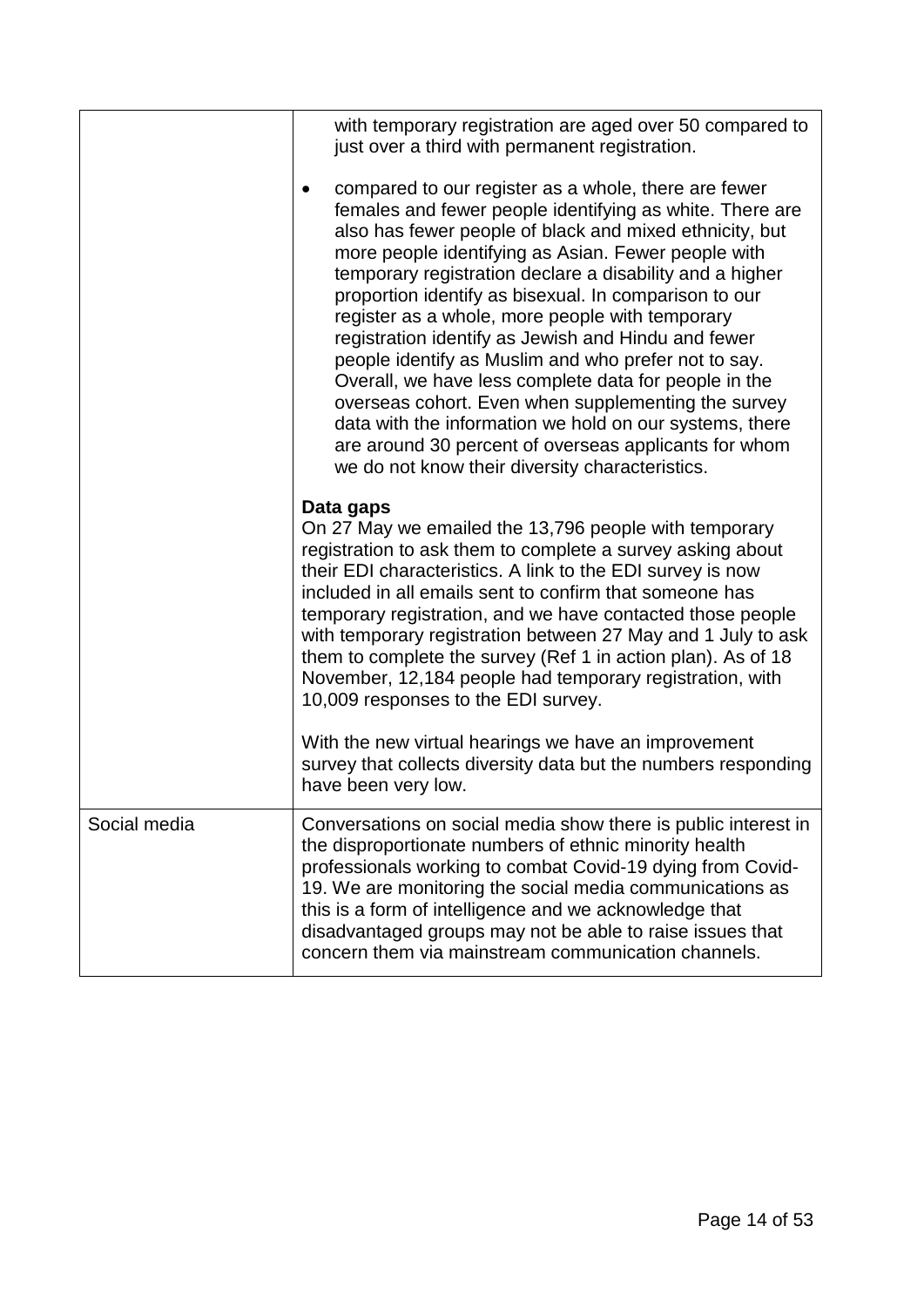<span id="page-13-0"></span>

|              | with temporary registration are aged over 50 compared to<br>just over a third with permanent registration.                                                                                                                                                                                                                                                                                                                                                                                                                                                                                                                                                                                                                                                                                                       |
|--------------|------------------------------------------------------------------------------------------------------------------------------------------------------------------------------------------------------------------------------------------------------------------------------------------------------------------------------------------------------------------------------------------------------------------------------------------------------------------------------------------------------------------------------------------------------------------------------------------------------------------------------------------------------------------------------------------------------------------------------------------------------------------------------------------------------------------|
|              | compared to our register as a whole, there are fewer<br>females and fewer people identifying as white. There are<br>also has fewer people of black and mixed ethnicity, but<br>more people identifying as Asian. Fewer people with<br>temporary registration declare a disability and a higher<br>proportion identify as bisexual. In comparison to our<br>register as a whole, more people with temporary<br>registration identify as Jewish and Hindu and fewer<br>people identify as Muslim and who prefer not to say.<br>Overall, we have less complete data for people in the<br>overseas cohort. Even when supplementing the survey<br>data with the information we hold on our systems, there<br>are around 30 percent of overseas applicants for whom<br>we do not know their diversity characteristics. |
|              | Data gaps<br>On 27 May we emailed the 13,796 people with temporary<br>registration to ask them to complete a survey asking about<br>their EDI characteristics. A link to the EDI survey is now<br>included in all emails sent to confirm that someone has<br>temporary registration, and we have contacted those people<br>with temporary registration between 27 May and 1 July to ask<br>them to complete the survey (Ref 1 in action plan). As of 18<br>November, 12,184 people had temporary registration, with<br>10,009 responses to the EDI survey.<br>With the new virtual hearings we have an improvement                                                                                                                                                                                               |
|              | survey that collects diversity data but the numbers responding<br>have been very low.                                                                                                                                                                                                                                                                                                                                                                                                                                                                                                                                                                                                                                                                                                                            |
| Social media | Conversations on social media show there is public interest in<br>the disproportionate numbers of ethnic minority health<br>professionals working to combat Covid-19 dying from Covid-<br>19. We are monitoring the social media communications as<br>this is a form of intelligence and we acknowledge that<br>disadvantaged groups may not be able to raise issues that<br>concern them via mainstream communication channels.                                                                                                                                                                                                                                                                                                                                                                                 |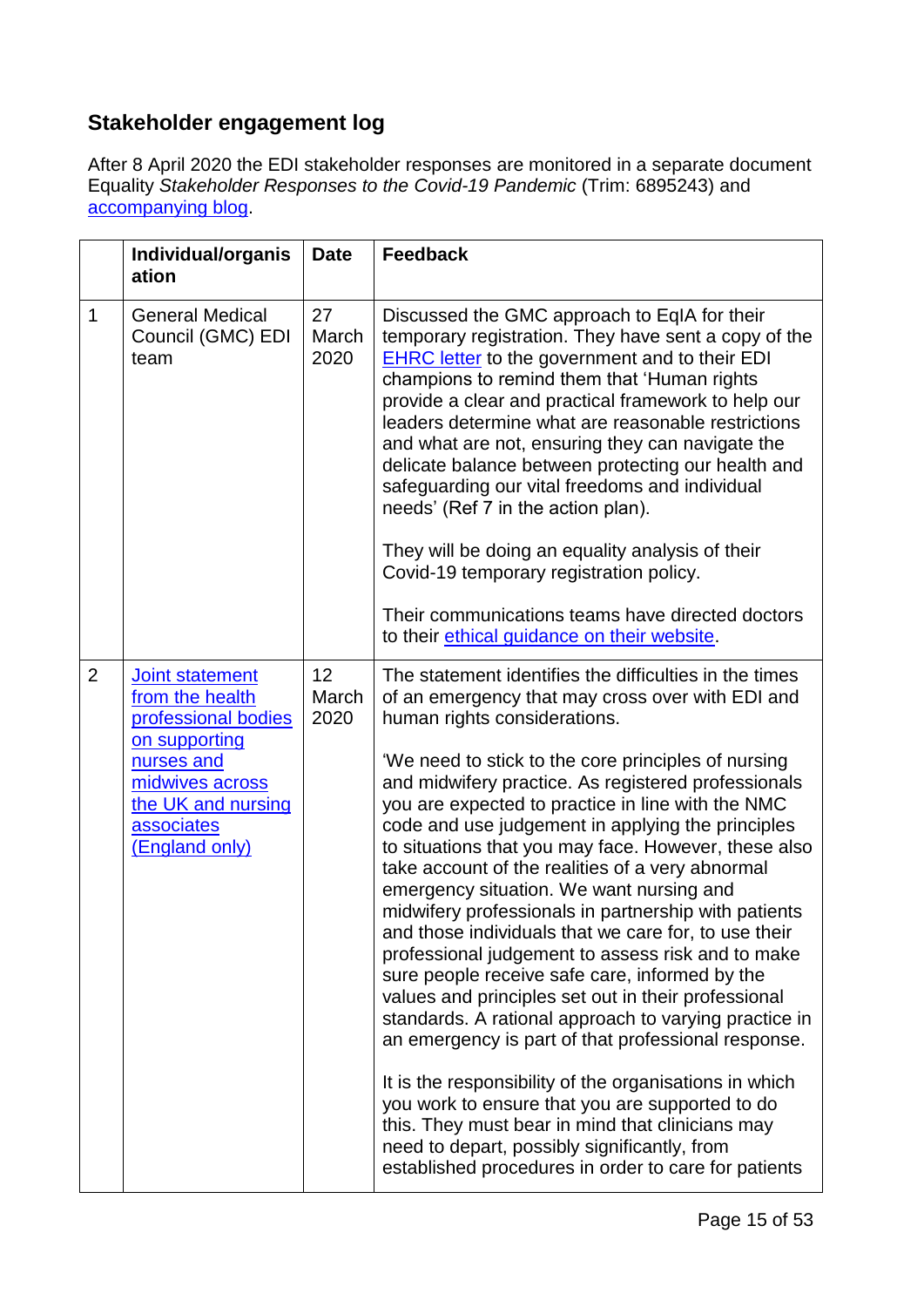### **Stakeholder engagement log**

After 8 April 2020 the EDI stakeholder responses are monitored in a separate document Equality *Stakeholder Responses to the Covid-19 Pandemic* (Trim: 6895243) and [accompanying blog.](https://www.linkedin.com/pulse/considering-edi-impact-covid-19-pandemic-emma-lawrence/?trackingId=PcBkZSbxWpj7sO7nc1tWxw%3D%3D)

|                | Individual/organis<br>ation                                                                                                                                       | <b>Date</b>         | <b>Feedback</b>                                                                                                                                                                                                                                                                                                                                                                                                                                                                                                                                                                                                                                                                                                                                                                                                                                                                                                                                                                                                                                                                                                                                                                                   |
|----------------|-------------------------------------------------------------------------------------------------------------------------------------------------------------------|---------------------|---------------------------------------------------------------------------------------------------------------------------------------------------------------------------------------------------------------------------------------------------------------------------------------------------------------------------------------------------------------------------------------------------------------------------------------------------------------------------------------------------------------------------------------------------------------------------------------------------------------------------------------------------------------------------------------------------------------------------------------------------------------------------------------------------------------------------------------------------------------------------------------------------------------------------------------------------------------------------------------------------------------------------------------------------------------------------------------------------------------------------------------------------------------------------------------------------|
| $\mathbf{1}$   | <b>General Medical</b><br>Council (GMC) EDI<br>team                                                                                                               | 27<br>March<br>2020 | Discussed the GMC approach to EqIA for their<br>temporary registration. They have sent a copy of the<br><b>EHRC</b> letter to the government and to their EDI<br>champions to remind them that 'Human rights<br>provide a clear and practical framework to help our<br>leaders determine what are reasonable restrictions<br>and what are not, ensuring they can navigate the<br>delicate balance between protecting our health and<br>safeguarding our vital freedoms and individual<br>needs' (Ref 7 in the action plan).<br>They will be doing an equality analysis of their<br>Covid-19 temporary registration policy.<br>Their communications teams have directed doctors<br>to their ethical guidance on their website.                                                                                                                                                                                                                                                                                                                                                                                                                                                                     |
| $\overline{2}$ | Joint statement<br>from the health<br>professional bodies<br>on supporting<br>nurses and<br>midwives across<br>the UK and nursing<br>associates<br>(England only) | 12<br>March<br>2020 | The statement identifies the difficulties in the times<br>of an emergency that may cross over with EDI and<br>human rights considerations.<br>'We need to stick to the core principles of nursing<br>and midwifery practice. As registered professionals<br>you are expected to practice in line with the NMC<br>code and use judgement in applying the principles<br>to situations that you may face. However, these also<br>take account of the realities of a very abnormal<br>emergency situation. We want nursing and<br>midwifery professionals in partnership with patients<br>and those individuals that we care for, to use their<br>professional judgement to assess risk and to make<br>sure people receive safe care, informed by the<br>values and principles set out in their professional<br>standards. A rational approach to varying practice in<br>an emergency is part of that professional response.<br>It is the responsibility of the organisations in which<br>you work to ensure that you are supported to do<br>this. They must bear in mind that clinicians may<br>need to depart, possibly significantly, from<br>established procedures in order to care for patients |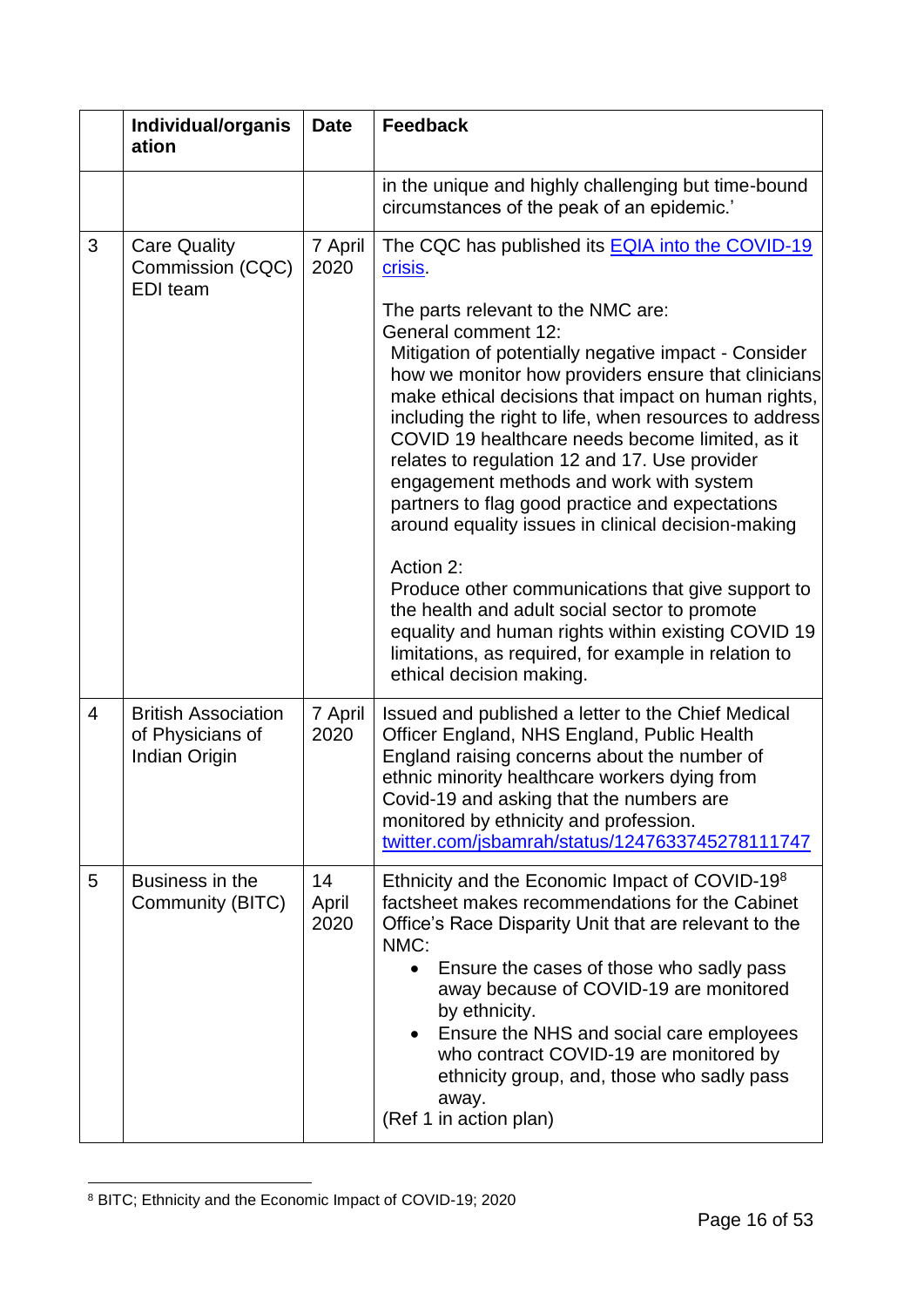|   | Individual/organis<br>ation                                     | <b>Date</b>         | <b>Feedback</b>                                                                                                                                                                                                                                                                                                                                                                                                                                                     |
|---|-----------------------------------------------------------------|---------------------|---------------------------------------------------------------------------------------------------------------------------------------------------------------------------------------------------------------------------------------------------------------------------------------------------------------------------------------------------------------------------------------------------------------------------------------------------------------------|
|   |                                                                 |                     | in the unique and highly challenging but time-bound<br>circumstances of the peak of an epidemic.'                                                                                                                                                                                                                                                                                                                                                                   |
| 3 | <b>Care Quality</b><br>Commission (CQC)<br><b>EDI</b> team      | 7 April<br>2020     | The CQC has published its <b>EQIA</b> into the COVID-19<br>crisis.<br>The parts relevant to the NMC are:<br>General comment 12:<br>Mitigation of potentially negative impact - Consider<br>how we monitor how providers ensure that clinicians<br>make ethical decisions that impact on human rights,<br>including the right to life, when resources to address<br>COVID 19 healthcare needs become limited, as it<br>relates to regulation 12 and 17. Use provider |
|   |                                                                 |                     | engagement methods and work with system<br>partners to flag good practice and expectations<br>around equality issues in clinical decision-making<br>Action 2:<br>Produce other communications that give support to<br>the health and adult social sector to promote<br>equality and human rights within existing COVID 19<br>limitations, as required, for example in relation to<br>ethical decision making.                                                       |
| 4 | <b>British Association</b><br>of Physicians of<br>Indian Origin | 7 April<br>2020     | Issued and published a letter to the Chief Medical<br>Officer England, NHS England, Public Health<br>England raising concerns about the number of<br>ethnic minority healthcare workers dying from<br>Covid-19 and asking that the numbers are<br>monitored by ethnicity and profession.<br>twitter.com/jsbamrah/status/1247633745278111747                                                                                                                         |
| 5 | Business in the<br>Community (BITC)                             | 14<br>April<br>2020 | Ethnicity and the Economic Impact of COVID-19 <sup>8</sup><br>factsheet makes recommendations for the Cabinet<br>Office's Race Disparity Unit that are relevant to the<br>NMC:<br>Ensure the cases of those who sadly pass<br>away because of COVID-19 are monitored<br>by ethnicity.<br>Ensure the NHS and social care employees<br>who contract COVID-19 are monitored by<br>ethnicity group, and, those who sadly pass<br>away.<br>(Ref 1 in action plan)        |

<sup>1</sup> <sup>8</sup> BITC; Ethnicity and the Economic Impact of COVID-19; 2020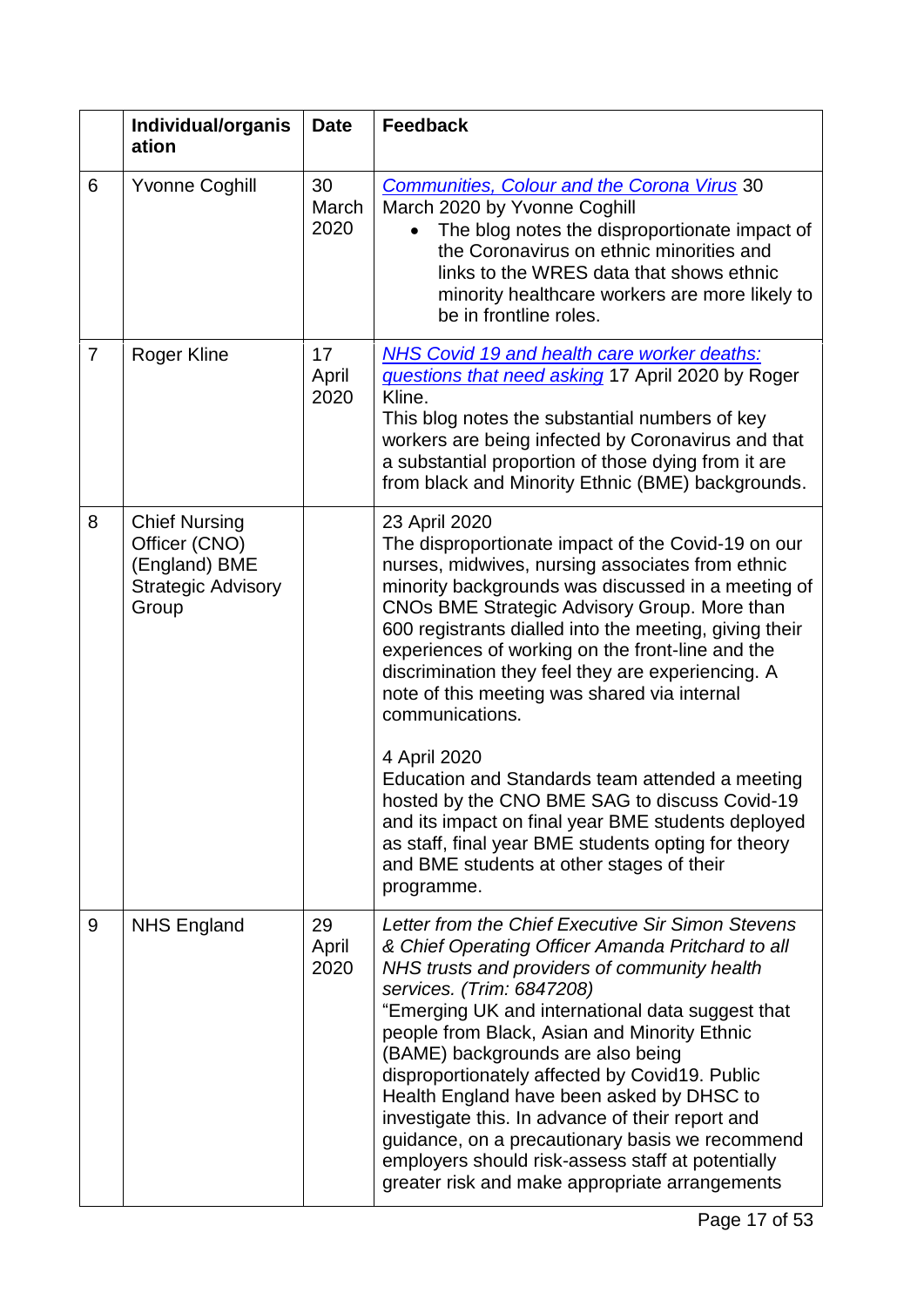|                | Individual/organis<br>ation                                                                  | <b>Date</b>         | <b>Feedback</b>                                                                                                                                                                                                                                                                                                                                                                                                                                                                                                                                                                                                                           |
|----------------|----------------------------------------------------------------------------------------------|---------------------|-------------------------------------------------------------------------------------------------------------------------------------------------------------------------------------------------------------------------------------------------------------------------------------------------------------------------------------------------------------------------------------------------------------------------------------------------------------------------------------------------------------------------------------------------------------------------------------------------------------------------------------------|
| 6              | <b>Yvonne Coghill</b>                                                                        | 30<br>March<br>2020 | <b>Communities, Colour and the Corona Virus 30</b><br>March 2020 by Yvonne Coghill<br>The blog notes the disproportionate impact of<br>the Coronavirus on ethnic minorities and<br>links to the WRES data that shows ethnic<br>minority healthcare workers are more likely to<br>be in frontline roles.                                                                                                                                                                                                                                                                                                                                   |
| $\overline{7}$ | <b>Roger Kline</b>                                                                           | 17<br>April<br>2020 | <b>NHS Covid 19 and health care worker deaths:</b><br>questions that need asking 17 April 2020 by Roger<br>Kline.<br>This blog notes the substantial numbers of key<br>workers are being infected by Coronavirus and that<br>a substantial proportion of those dying from it are<br>from black and Minority Ethnic (BME) backgrounds.                                                                                                                                                                                                                                                                                                     |
| 8              | <b>Chief Nursing</b><br>Officer (CNO)<br>(England) BME<br><b>Strategic Advisory</b><br>Group |                     | 23 April 2020<br>The disproportionate impact of the Covid-19 on our<br>nurses, midwives, nursing associates from ethnic<br>minority backgrounds was discussed in a meeting of<br>CNOs BME Strategic Advisory Group. More than<br>600 registrants dialled into the meeting, giving their<br>experiences of working on the front-line and the<br>discrimination they feel they are experiencing. A<br>note of this meeting was shared via internal<br>communications.                                                                                                                                                                       |
|                |                                                                                              |                     | 4 April 2020<br>Education and Standards team attended a meeting<br>hosted by the CNO BME SAG to discuss Covid-19<br>and its impact on final year BME students deployed<br>as staff, final year BME students opting for theory<br>and BME students at other stages of their<br>programme.                                                                                                                                                                                                                                                                                                                                                  |
| 9              | <b>NHS England</b>                                                                           | 29<br>April<br>2020 | Letter from the Chief Executive Sir Simon Stevens<br>& Chief Operating Officer Amanda Pritchard to all<br>NHS trusts and providers of community health<br>services. (Trim: 6847208)<br>"Emerging UK and international data suggest that<br>people from Black, Asian and Minority Ethnic<br>(BAME) backgrounds are also being<br>disproportionately affected by Covid19. Public<br>Health England have been asked by DHSC to<br>investigate this. In advance of their report and<br>guidance, on a precautionary basis we recommend<br>employers should risk-assess staff at potentially<br>greater risk and make appropriate arrangements |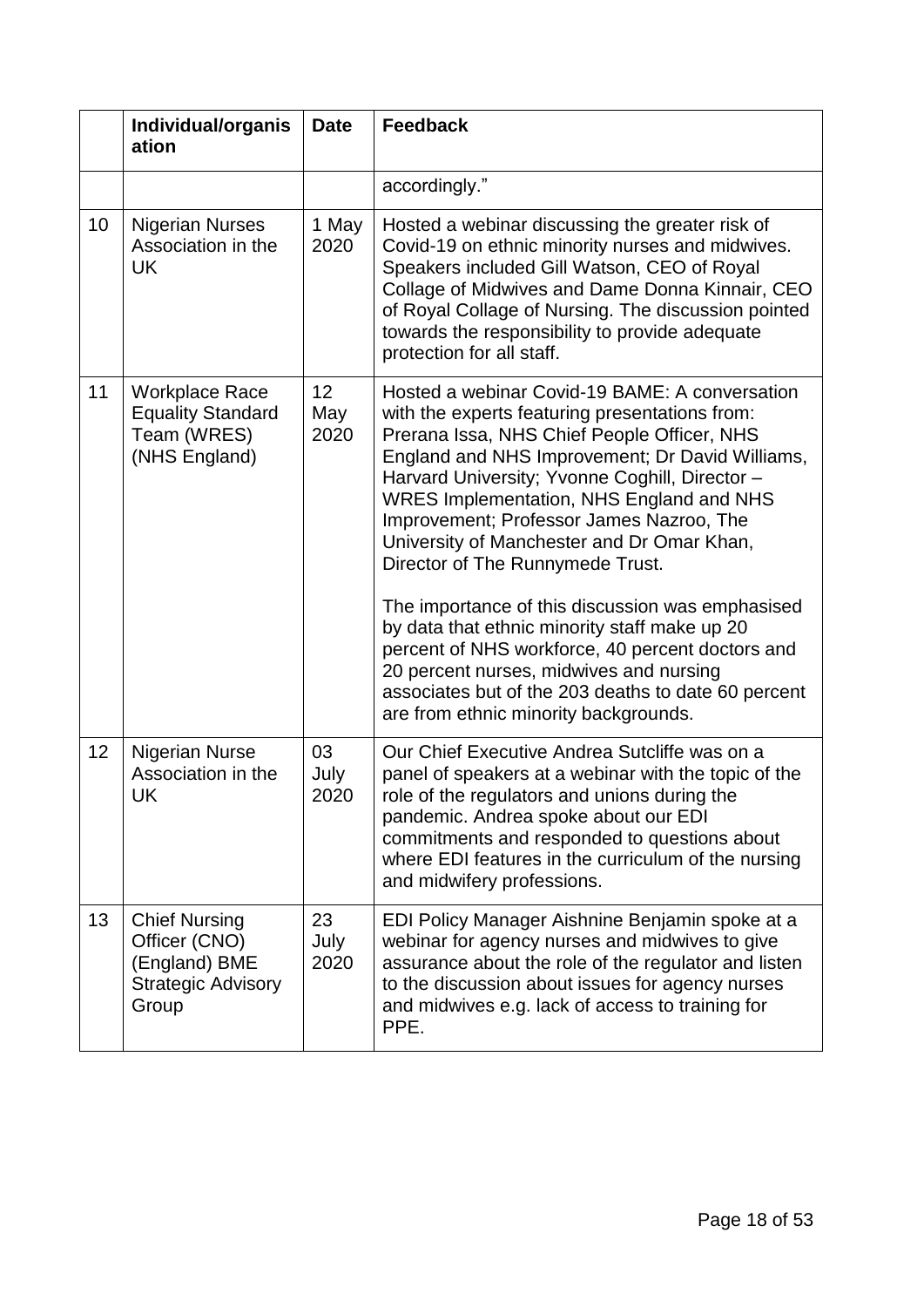<span id="page-17-0"></span>

|    | Individual/organis<br>ation                                                                  | <b>Date</b>                    | <b>Feedback</b>                                                                                                                                                                                                                                                                                                                                                                                                                                                                                                                                                                                                                                                                                                                           |
|----|----------------------------------------------------------------------------------------------|--------------------------------|-------------------------------------------------------------------------------------------------------------------------------------------------------------------------------------------------------------------------------------------------------------------------------------------------------------------------------------------------------------------------------------------------------------------------------------------------------------------------------------------------------------------------------------------------------------------------------------------------------------------------------------------------------------------------------------------------------------------------------------------|
|    |                                                                                              |                                | accordingly."                                                                                                                                                                                                                                                                                                                                                                                                                                                                                                                                                                                                                                                                                                                             |
| 10 | <b>Nigerian Nurses</b><br>Association in the<br><b>UK</b>                                    | 1 May<br>2020                  | Hosted a webinar discussing the greater risk of<br>Covid-19 on ethnic minority nurses and midwives.<br>Speakers included Gill Watson, CEO of Royal<br>Collage of Midwives and Dame Donna Kinnair, CEO<br>of Royal Collage of Nursing. The discussion pointed<br>towards the responsibility to provide adequate<br>protection for all staff.                                                                                                                                                                                                                                                                                                                                                                                               |
| 11 | <b>Workplace Race</b><br><b>Equality Standard</b><br>Team (WRES)<br>(NHS England)            | 12 <sub>2</sub><br>May<br>2020 | Hosted a webinar Covid-19 BAME: A conversation<br>with the experts featuring presentations from:<br>Prerana Issa, NHS Chief People Officer, NHS<br>England and NHS Improvement; Dr David Williams,<br>Harvard University; Yvonne Coghill, Director -<br><b>WRES Implementation, NHS England and NHS</b><br>Improvement; Professor James Nazroo, The<br>University of Manchester and Dr Omar Khan,<br>Director of The Runnymede Trust.<br>The importance of this discussion was emphasised<br>by data that ethnic minority staff make up 20<br>percent of NHS workforce, 40 percent doctors and<br>20 percent nurses, midwives and nursing<br>associates but of the 203 deaths to date 60 percent<br>are from ethnic minority backgrounds. |
| 12 | <b>Nigerian Nurse</b><br>Association in the<br>UK                                            | 03<br>July<br>2020             | Our Chief Executive Andrea Sutcliffe was on a<br>panel of speakers at a webinar with the topic of the<br>role of the regulators and unions during the<br>pandemic. Andrea spoke about our EDI<br>commitments and responded to questions about<br>where EDI features in the curriculum of the nursing<br>and midwifery professions.                                                                                                                                                                                                                                                                                                                                                                                                        |
| 13 | <b>Chief Nursing</b><br>Officer (CNO)<br>(England) BME<br><b>Strategic Advisory</b><br>Group | 23<br>July<br>2020             | EDI Policy Manager Aishnine Benjamin spoke at a<br>webinar for agency nurses and midwives to give<br>assurance about the role of the regulator and listen<br>to the discussion about issues for agency nurses<br>and midwives e.g. lack of access to training for<br>PPE.                                                                                                                                                                                                                                                                                                                                                                                                                                                                 |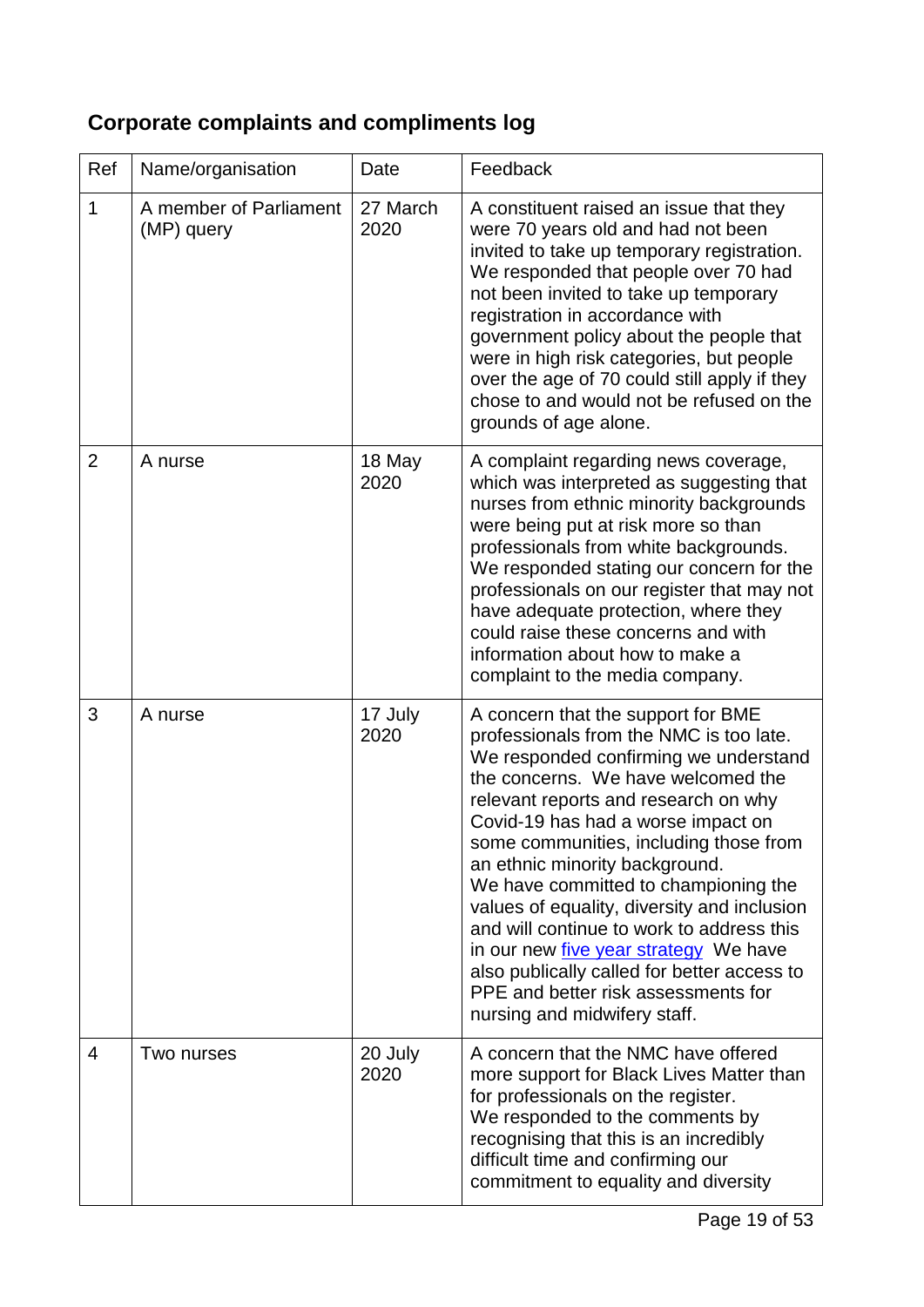# **Corporate complaints and compliments log**

| Ref            | Name/organisation                    | Date             | Feedback                                                                                                                                                                                                                                                                                                                                                                                                                                                                                                                                                                                                                         |
|----------------|--------------------------------------|------------------|----------------------------------------------------------------------------------------------------------------------------------------------------------------------------------------------------------------------------------------------------------------------------------------------------------------------------------------------------------------------------------------------------------------------------------------------------------------------------------------------------------------------------------------------------------------------------------------------------------------------------------|
| 1              | A member of Parliament<br>(MP) query | 27 March<br>2020 | A constituent raised an issue that they<br>were 70 years old and had not been<br>invited to take up temporary registration.<br>We responded that people over 70 had<br>not been invited to take up temporary<br>registration in accordance with<br>government policy about the people that<br>were in high risk categories, but people<br>over the age of 70 could still apply if they<br>chose to and would not be refused on the<br>grounds of age alone.                                                                                                                                                                      |
| $\overline{2}$ | A nurse                              | 18 May<br>2020   | A complaint regarding news coverage,<br>which was interpreted as suggesting that<br>nurses from ethnic minority backgrounds<br>were being put at risk more so than<br>professionals from white backgrounds.<br>We responded stating our concern for the<br>professionals on our register that may not<br>have adequate protection, where they<br>could raise these concerns and with<br>information about how to make a<br>complaint to the media company.                                                                                                                                                                       |
| 3              | A nurse                              | 17 July<br>2020  | A concern that the support for BME<br>professionals from the NMC is too late.<br>We responded confirming we understand<br>the concerns. We have welcomed the<br>relevant reports and research on why<br>Covid-19 has had a worse impact on<br>some communities, including those from<br>an ethnic minority background.<br>We have committed to championing the<br>values of equality, diversity and inclusion<br>and will continue to work to address this<br>in our new <i>five year strategy</i> We have<br>also publically called for better access to<br>PPE and better risk assessments for<br>nursing and midwifery staff. |
| 4              | Two nurses                           | 20 July<br>2020  | A concern that the NMC have offered<br>more support for Black Lives Matter than<br>for professionals on the register.<br>We responded to the comments by<br>recognising that this is an incredibly<br>difficult time and confirming our<br>commitment to equality and diversity                                                                                                                                                                                                                                                                                                                                                  |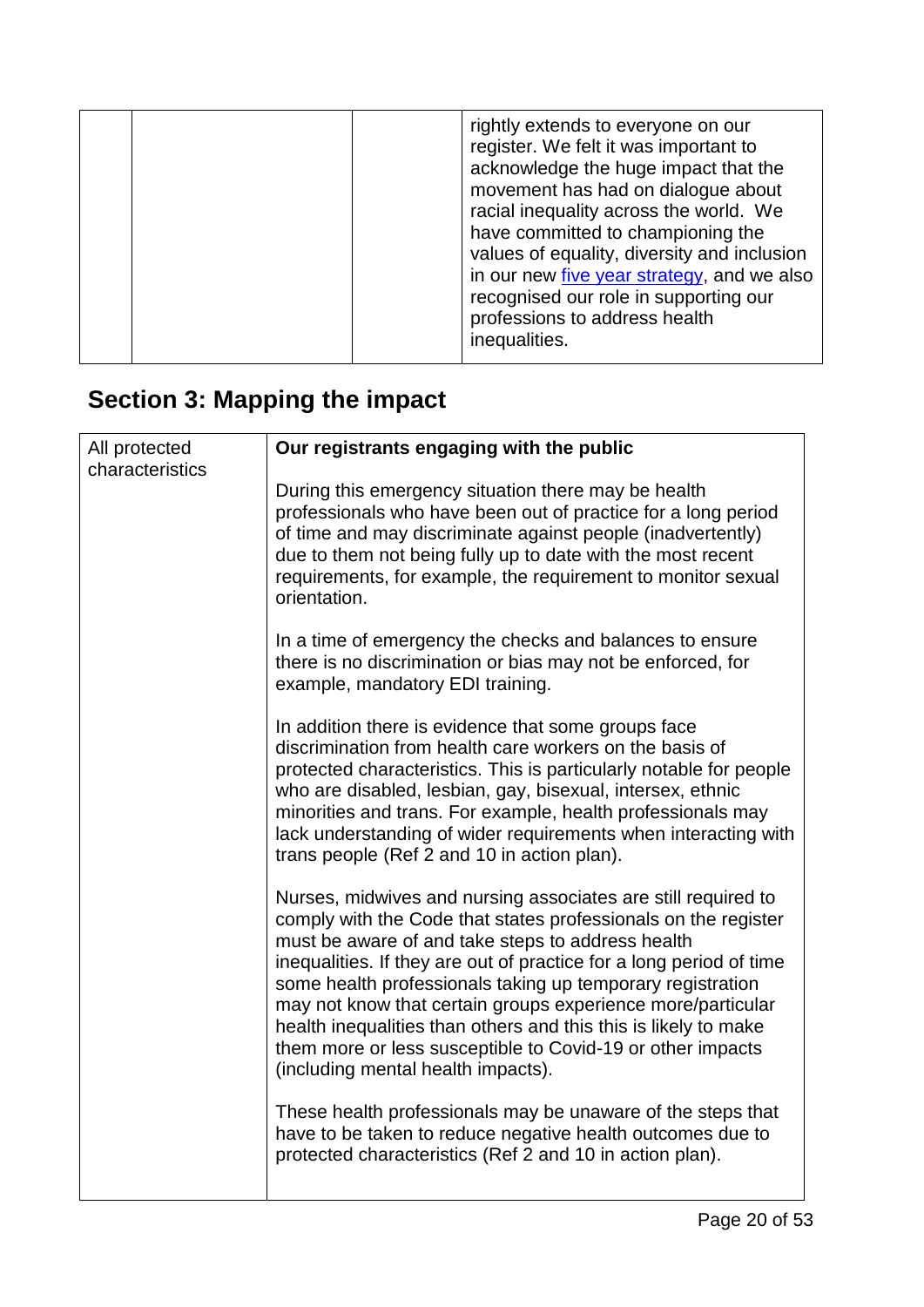|  | rightly extends to everyone on our<br>register. We felt it was important to<br>acknowledge the huge impact that the<br>movement has had on dialogue about<br>racial inequality across the world. We<br>have committed to championing the<br>values of equality, diversity and inclusion<br>in our new five year strategy, and we also<br>recognised our role in supporting our<br>professions to address health<br>inequalities. |
|--|----------------------------------------------------------------------------------------------------------------------------------------------------------------------------------------------------------------------------------------------------------------------------------------------------------------------------------------------------------------------------------------------------------------------------------|
|--|----------------------------------------------------------------------------------------------------------------------------------------------------------------------------------------------------------------------------------------------------------------------------------------------------------------------------------------------------------------------------------------------------------------------------------|

# <span id="page-19-0"></span>**Section 3: Mapping the impact**

| All protected<br>characteristics | Our registrants engaging with the public                                                                                                                                                                                                                                                                                                                                                                                                                                                                                                                        |
|----------------------------------|-----------------------------------------------------------------------------------------------------------------------------------------------------------------------------------------------------------------------------------------------------------------------------------------------------------------------------------------------------------------------------------------------------------------------------------------------------------------------------------------------------------------------------------------------------------------|
|                                  | During this emergency situation there may be health<br>professionals who have been out of practice for a long period<br>of time and may discriminate against people (inadvertently)<br>due to them not being fully up to date with the most recent<br>requirements, for example, the requirement to monitor sexual<br>orientation.                                                                                                                                                                                                                              |
|                                  | In a time of emergency the checks and balances to ensure<br>there is no discrimination or bias may not be enforced, for<br>example, mandatory EDI training.                                                                                                                                                                                                                                                                                                                                                                                                     |
|                                  | In addition there is evidence that some groups face<br>discrimination from health care workers on the basis of<br>protected characteristics. This is particularly notable for people<br>who are disabled, lesbian, gay, bisexual, intersex, ethnic<br>minorities and trans. For example, health professionals may<br>lack understanding of wider requirements when interacting with<br>trans people (Ref 2 and 10 in action plan).                                                                                                                              |
|                                  | Nurses, midwives and nursing associates are still required to<br>comply with the Code that states professionals on the register<br>must be aware of and take steps to address health<br>inequalities. If they are out of practice for a long period of time<br>some health professionals taking up temporary registration<br>may not know that certain groups experience more/particular<br>health inequalities than others and this this is likely to make<br>them more or less susceptible to Covid-19 or other impacts<br>(including mental health impacts). |
|                                  | These health professionals may be unaware of the steps that<br>have to be taken to reduce negative health outcomes due to<br>protected characteristics (Ref 2 and 10 in action plan).                                                                                                                                                                                                                                                                                                                                                                           |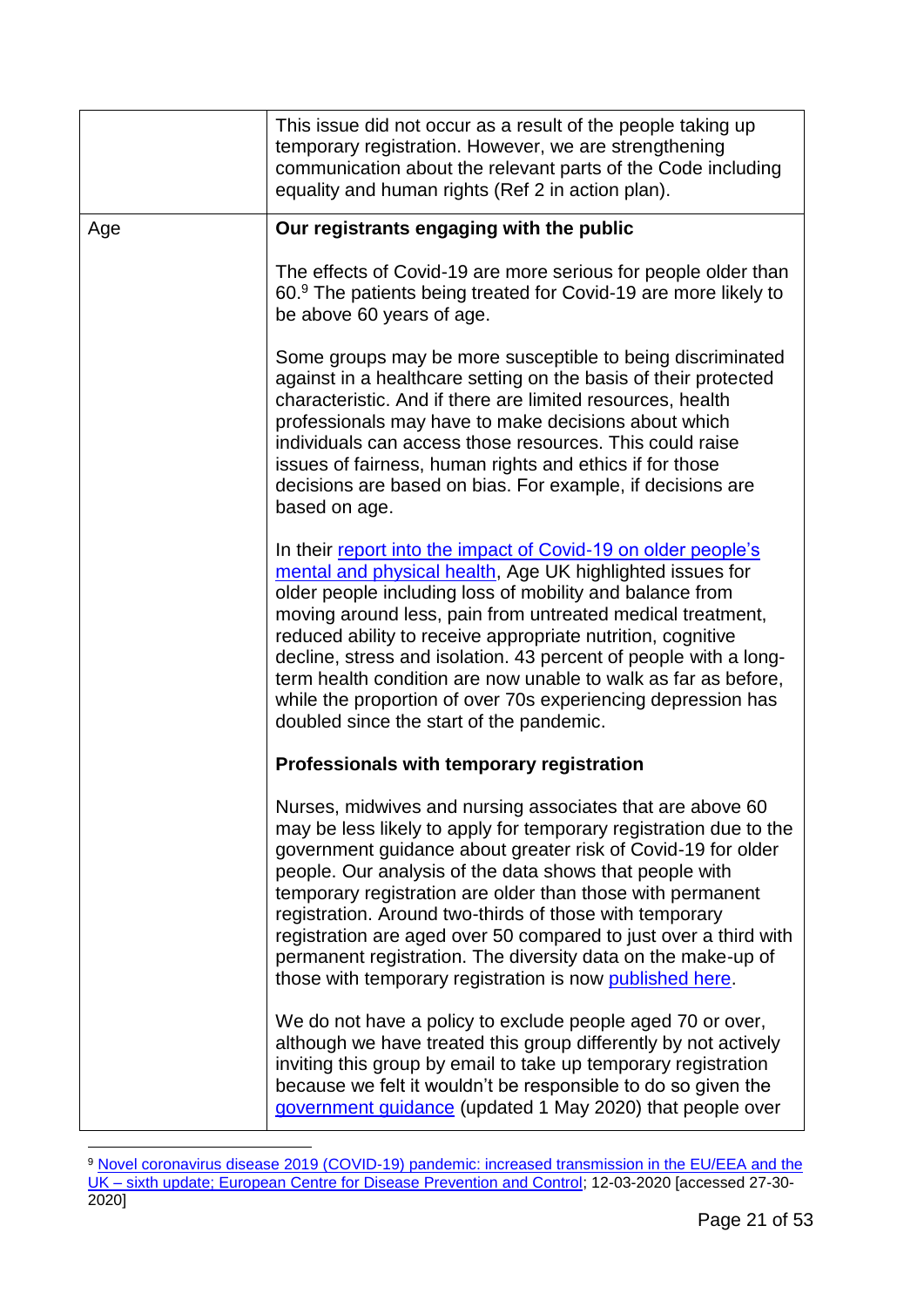|     | This issue did not occur as a result of the people taking up<br>temporary registration. However, we are strengthening<br>communication about the relevant parts of the Code including<br>equality and human rights (Ref 2 in action plan).                                                                                                                                                                                                                                                                                                                                         |
|-----|------------------------------------------------------------------------------------------------------------------------------------------------------------------------------------------------------------------------------------------------------------------------------------------------------------------------------------------------------------------------------------------------------------------------------------------------------------------------------------------------------------------------------------------------------------------------------------|
| Age | Our registrants engaging with the public                                                                                                                                                                                                                                                                                                                                                                                                                                                                                                                                           |
|     | The effects of Covid-19 are more serious for people older than<br>60.9 The patients being treated for Covid-19 are more likely to<br>be above 60 years of age.                                                                                                                                                                                                                                                                                                                                                                                                                     |
|     | Some groups may be more susceptible to being discriminated<br>against in a healthcare setting on the basis of their protected<br>characteristic. And if there are limited resources, health<br>professionals may have to make decisions about which<br>individuals can access those resources. This could raise<br>issues of fairness, human rights and ethics if for those<br>decisions are based on bias. For example, if decisions are<br>based on age.                                                                                                                         |
|     | In their report into the impact of Covid-19 on older people's<br>mental and physical health, Age UK highlighted issues for<br>older people including loss of mobility and balance from<br>moving around less, pain from untreated medical treatment,<br>reduced ability to receive appropriate nutrition, cognitive<br>decline, stress and isolation. 43 percent of people with a long-<br>term health condition are now unable to walk as far as before,<br>while the proportion of over 70s experiencing depression has<br>doubled since the start of the pandemic.              |
|     | Professionals with temporary registration                                                                                                                                                                                                                                                                                                                                                                                                                                                                                                                                          |
|     | Nurses, midwives and nursing associates that are above 60<br>may be less likely to apply for temporary registration due to the<br>government guidance about greater risk of Covid-19 for older<br>people. Our analysis of the data shows that people with<br>temporary registration are older than those with permanent<br>registration. Around two-thirds of those with temporary<br>registration are aged over 50 compared to just over a third with<br>permanent registration. The diversity data on the make-up of<br>those with temporary registration is now published here. |
|     | We do not have a policy to exclude people aged 70 or over,<br>although we have treated this group differently by not actively<br>inviting this group by email to take up temporary registration<br>because we felt it wouldn't be responsible to do so given the<br>government guidance (updated 1 May 2020) that people over                                                                                                                                                                                                                                                      |

<sup>1</sup> 9 Novel coronavirus disease 2019 (COVID-19) pandemic: increased transmission in the EU/EEA and the UK – [sixth update; European Centre for Disease Prevention and Control;](https://www.ecdc.europa.eu/sites/default/files/documents/RRA-sixth-update-Outbreak-of-novel-coronavirus-disease-2019-COVID-19.pdf) 12-03-2020 [accessed 27-30- 2020]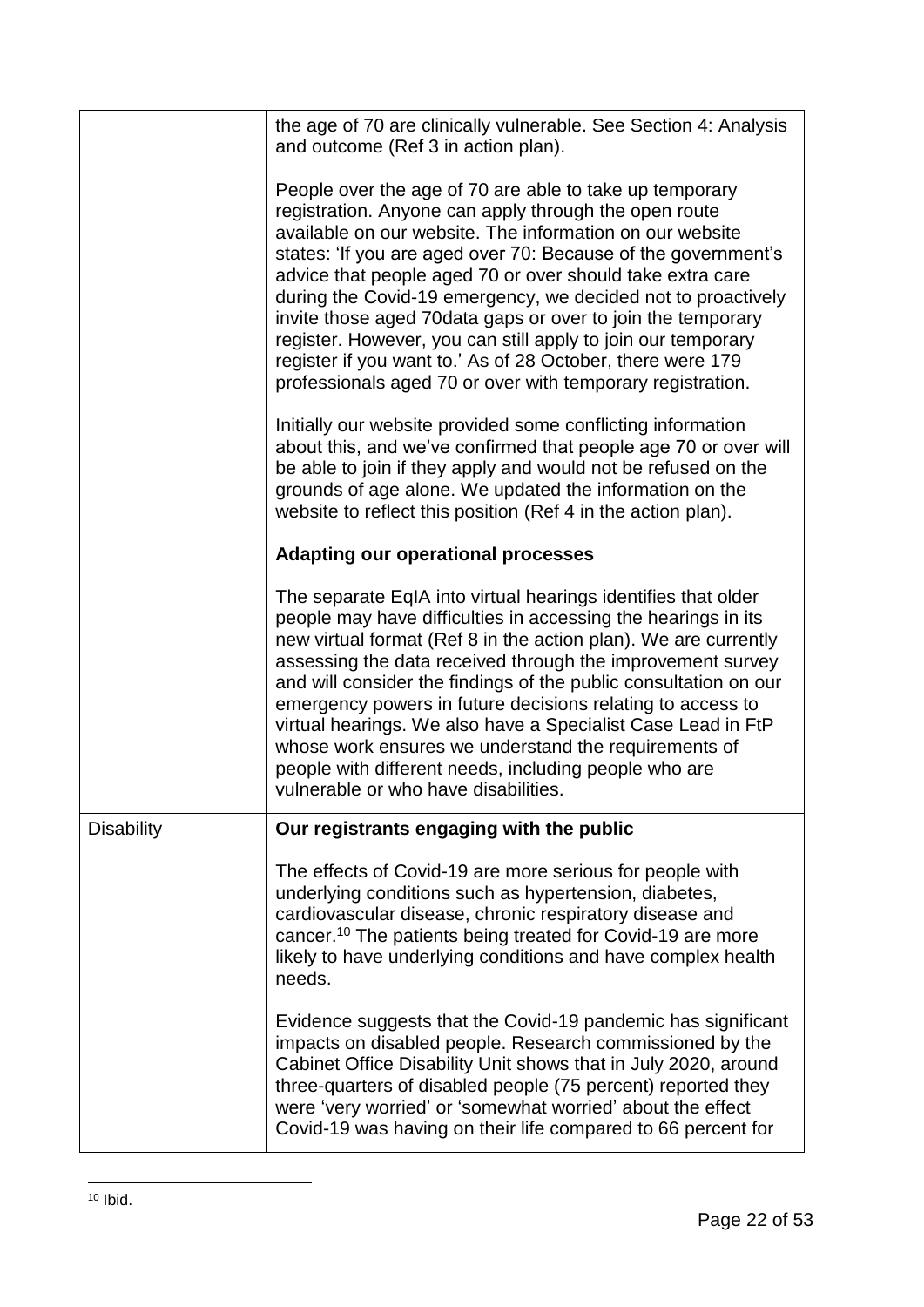|                   | the age of 70 are clinically vulnerable. See Section 4: Analysis<br>and outcome (Ref 3 in action plan).                                                                                                                                                                                                                                                                                                                                                                                                                                                                                                                                |
|-------------------|----------------------------------------------------------------------------------------------------------------------------------------------------------------------------------------------------------------------------------------------------------------------------------------------------------------------------------------------------------------------------------------------------------------------------------------------------------------------------------------------------------------------------------------------------------------------------------------------------------------------------------------|
|                   | People over the age of 70 are able to take up temporary<br>registration. Anyone can apply through the open route<br>available on our website. The information on our website<br>states: 'If you are aged over 70: Because of the government's<br>advice that people aged 70 or over should take extra care<br>during the Covid-19 emergency, we decided not to proactively<br>invite those aged 70 data gaps or over to join the temporary<br>register. However, you can still apply to join our temporary<br>register if you want to.' As of 28 October, there were 179<br>professionals aged 70 or over with temporary registration. |
|                   | Initially our website provided some conflicting information<br>about this, and we've confirmed that people age 70 or over will<br>be able to join if they apply and would not be refused on the<br>grounds of age alone. We updated the information on the<br>website to reflect this position (Ref 4 in the action plan).                                                                                                                                                                                                                                                                                                             |
|                   | <b>Adapting our operational processes</b>                                                                                                                                                                                                                                                                                                                                                                                                                                                                                                                                                                                              |
|                   | The separate EqIA into virtual hearings identifies that older<br>people may have difficulties in accessing the hearings in its<br>new virtual format (Ref 8 in the action plan). We are currently<br>assessing the data received through the improvement survey<br>and will consider the findings of the public consultation on our<br>emergency powers in future decisions relating to access to<br>virtual hearings. We also have a Specialist Case Lead in FtP<br>whose work ensures we understand the requirements of<br>people with different needs, including people who are<br>vulnerable or who have disabilities.             |
| <b>Disability</b> | Our registrants engaging with the public                                                                                                                                                                                                                                                                                                                                                                                                                                                                                                                                                                                               |
|                   | The effects of Covid-19 are more serious for people with<br>underlying conditions such as hypertension, diabetes,<br>cardiovascular disease, chronic respiratory disease and<br>cancer. <sup>10</sup> The patients being treated for Covid-19 are more<br>likely to have underlying conditions and have complex health<br>needs.                                                                                                                                                                                                                                                                                                       |
|                   | Evidence suggests that the Covid-19 pandemic has significant<br>impacts on disabled people. Research commissioned by the<br>Cabinet Office Disability Unit shows that in July 2020, around<br>three-quarters of disabled people (75 percent) reported they<br>were 'very worried' or 'somewhat worried' about the effect<br>Covid-19 was having on their life compared to 66 percent for                                                                                                                                                                                                                                               |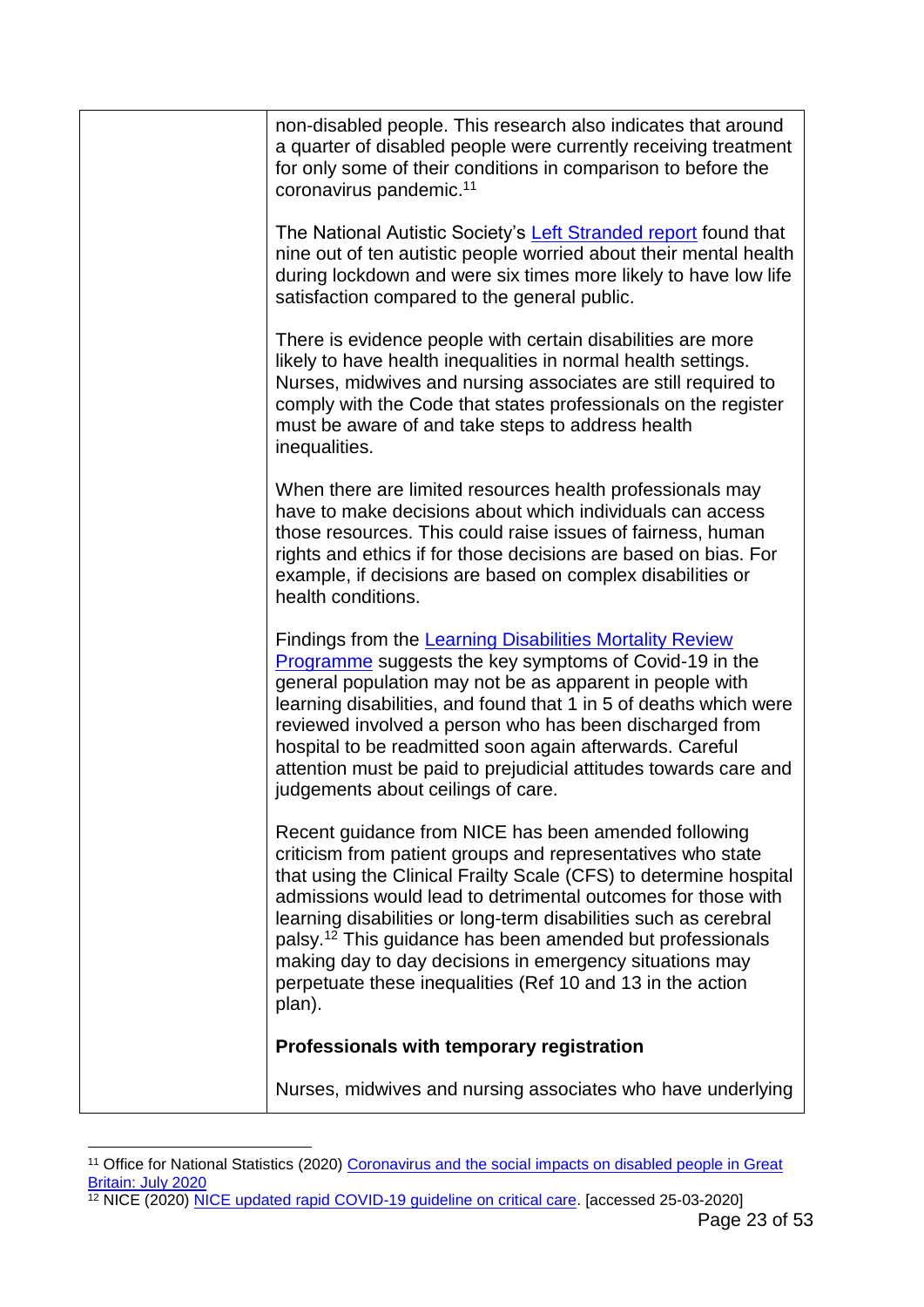| non-disabled people. This research also indicates that around<br>a quarter of disabled people were currently receiving treatment<br>for only some of their conditions in comparison to before the<br>coronavirus pandemic. <sup>11</sup>                                                                                                                                                                                                                                                                                                 |
|------------------------------------------------------------------------------------------------------------------------------------------------------------------------------------------------------------------------------------------------------------------------------------------------------------------------------------------------------------------------------------------------------------------------------------------------------------------------------------------------------------------------------------------|
| The National Autistic Society's Left Stranded report found that<br>nine out of ten autistic people worried about their mental health<br>during lockdown and were six times more likely to have low life<br>satisfaction compared to the general public.                                                                                                                                                                                                                                                                                  |
| There is evidence people with certain disabilities are more<br>likely to have health inequalities in normal health settings.<br>Nurses, midwives and nursing associates are still required to<br>comply with the Code that states professionals on the register<br>must be aware of and take steps to address health<br>inequalities.                                                                                                                                                                                                    |
| When there are limited resources health professionals may<br>have to make decisions about which individuals can access<br>those resources. This could raise issues of fairness, human<br>rights and ethics if for those decisions are based on bias. For<br>example, if decisions are based on complex disabilities or<br>health conditions.                                                                                                                                                                                             |
| Findings from the Learning Disabilities Mortality Review<br>Programme suggests the key symptoms of Covid-19 in the<br>general population may not be as apparent in people with<br>learning disabilities, and found that 1 in 5 of deaths which were<br>reviewed involved a person who has been discharged from<br>hospital to be readmitted soon again afterwards. Careful<br>attention must be paid to prejudicial attitudes towards care and<br>judgements about ceilings of care.                                                     |
| Recent guidance from NICE has been amended following<br>criticism from patient groups and representatives who state<br>that using the Clinical Frailty Scale (CFS) to determine hospital<br>admissions would lead to detrimental outcomes for those with<br>learning disabilities or long-term disabilities such as cerebral<br>palsy. <sup>12</sup> This guidance has been amended but professionals<br>making day to day decisions in emergency situations may<br>perpetuate these inequalities (Ref 10 and 13 in the action<br>plan). |
| Professionals with temporary registration                                                                                                                                                                                                                                                                                                                                                                                                                                                                                                |
| Nurses, midwives and nursing associates who have underlying                                                                                                                                                                                                                                                                                                                                                                                                                                                                              |
|                                                                                                                                                                                                                                                                                                                                                                                                                                                                                                                                          |

<sup>1</sup> <sup>11</sup> Office for National Statistics (2020) Coronavirus and the social impacts on disabled people in Great [Britain: July 2020](https://www.ons.gov.uk/peoplepopulationandcommunity/healthandsocialcare/disability/articles/coronavirusandthesocialimpactsondisabledpeopleingreatbritain/july2020)

<sup>&</sup>lt;sup>12</sup> NICE (2020) [NICE updated rapid COVID-19](https://www.nice.org.uk/news/article/nice-updates-rapid-covid-19-guideline-on-critical-care) guideline on critical care. [accessed 25-03-2020]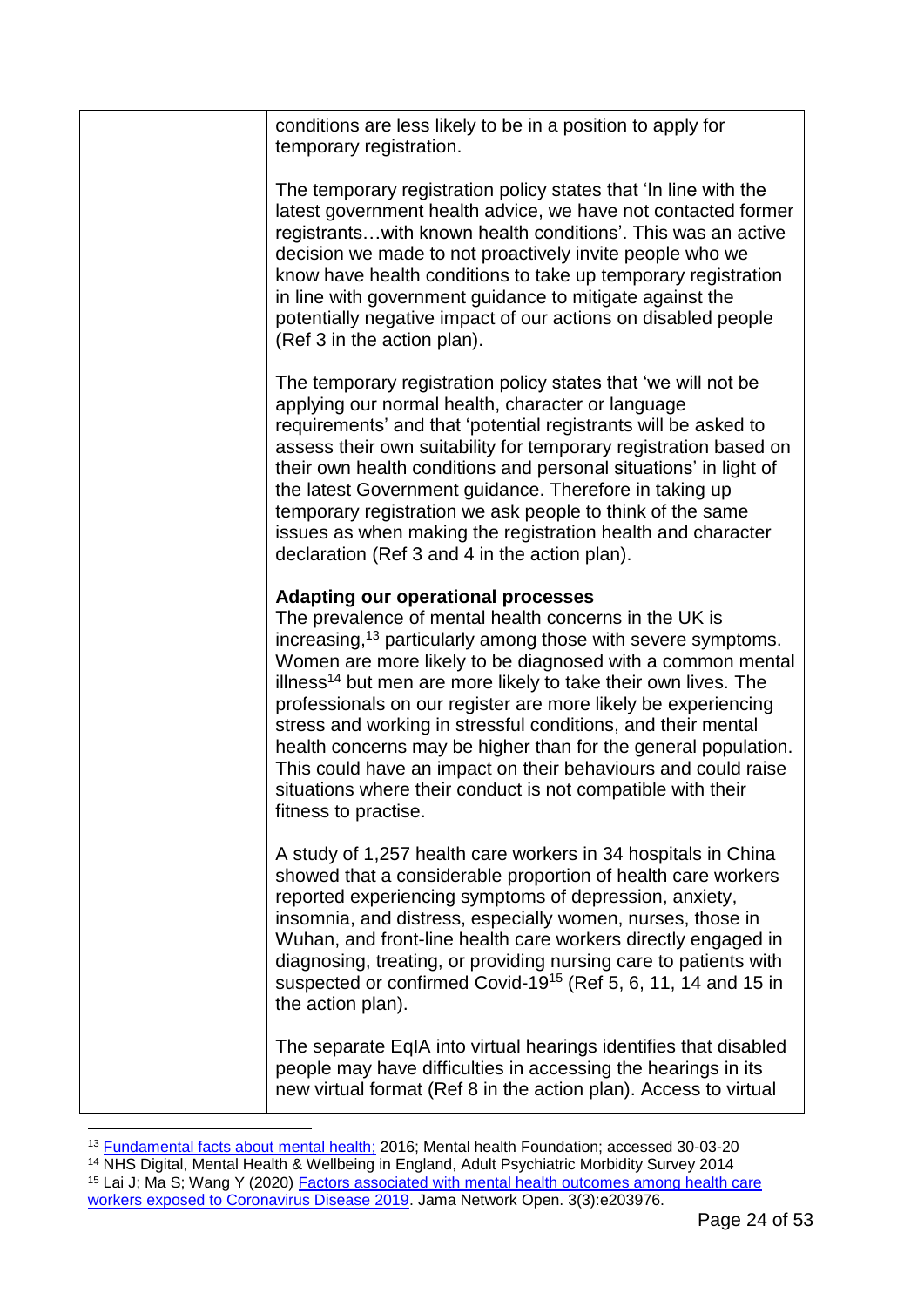| conditions are less likely to be in a position to apply for<br>temporary registration.                                                                                                                                                                                                                                                                                                                                                                                                                                                                                                                                                                                                |
|---------------------------------------------------------------------------------------------------------------------------------------------------------------------------------------------------------------------------------------------------------------------------------------------------------------------------------------------------------------------------------------------------------------------------------------------------------------------------------------------------------------------------------------------------------------------------------------------------------------------------------------------------------------------------------------|
| The temporary registration policy states that 'In line with the<br>latest government health advice, we have not contacted former<br>registrants with known health conditions'. This was an active<br>decision we made to not proactively invite people who we<br>know have health conditions to take up temporary registration<br>in line with government guidance to mitigate against the<br>potentially negative impact of our actions on disabled people<br>(Ref 3 in the action plan).                                                                                                                                                                                            |
| The temporary registration policy states that 'we will not be<br>applying our normal health, character or language<br>requirements' and that 'potential registrants will be asked to<br>assess their own suitability for temporary registration based on<br>their own health conditions and personal situations' in light of<br>the latest Government guidance. Therefore in taking up<br>temporary registration we ask people to think of the same<br>issues as when making the registration health and character<br>declaration (Ref 3 and 4 in the action plan).                                                                                                                   |
| <b>Adapting our operational processes</b><br>The prevalence of mental health concerns in the UK is<br>increasing, <sup>13</sup> particularly among those with severe symptoms.<br>Women are more likely to be diagnosed with a common mental<br>illness <sup>14</sup> but men are more likely to take their own lives. The<br>professionals on our register are more likely be experiencing<br>stress and working in stressful conditions, and their mental<br>health concerns may be higher than for the general population.<br>This could have an impact on their behaviours and could raise<br>situations where their conduct is not compatible with their<br>fitness to practise. |
| A study of 1,257 health care workers in 34 hospitals in China<br>showed that a considerable proportion of health care workers<br>reported experiencing symptoms of depression, anxiety,<br>insomnia, and distress, especially women, nurses, those in<br>Wuhan, and front-line health care workers directly engaged in<br>diagnosing, treating, or providing nursing care to patients with<br>suspected or confirmed Covid-19 <sup>15</sup> (Ref 5, 6, 11, 14 and 15 in<br>the action plan).                                                                                                                                                                                          |
| The separate EqIA into virtual hearings identifies that disabled<br>people may have difficulties in accessing the hearings in its<br>new virtual format (Ref 8 in the action plan). Access to virtual                                                                                                                                                                                                                                                                                                                                                                                                                                                                                 |
|                                                                                                                                                                                                                                                                                                                                                                                                                                                                                                                                                                                                                                                                                       |

<sup>&</sup>lt;sup>13</sup> [Fundamental facts about mental health;](https://www.mentalhealth.org.uk/publications/fundamental-facts-about-mental-health-2016) 2016; Mental health Foundation; accessed 30-03-20 <sup>14</sup> NHS Digital, Mental Health & Wellbeing in England, Adult Psychiatric Morbidity Survey 2014 <sup>15</sup> Lai J; Ma S; Wang Y (2020) Factors associated with mental health outcomes among health care [workers exposed to Coronavirus Disease 2019.](https://jamanetwork.com/journals/jamanetworkopen/fullarticle/2763229) Jama Network Open. 3(3):e203976.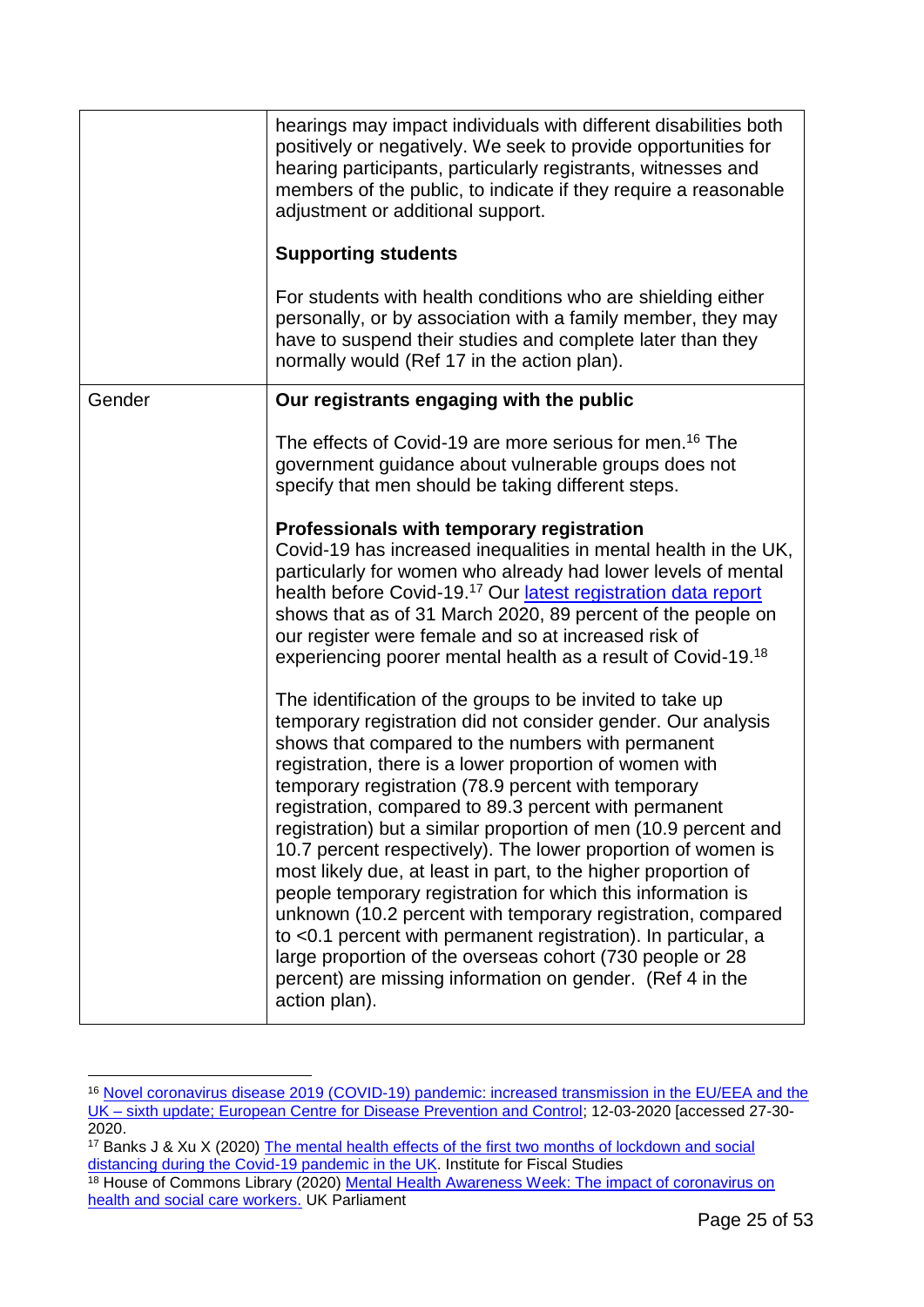|        | hearings may impact individuals with different disabilities both<br>positively or negatively. We seek to provide opportunities for<br>hearing participants, particularly registrants, witnesses and<br>members of the public, to indicate if they require a reasonable<br>adjustment or additional support.<br><b>Supporting students</b><br>For students with health conditions who are shielding either<br>personally, or by association with a family member, they may<br>have to suspend their studies and complete later than they<br>normally would (Ref 17 in the action plan).                                                                                                                                                                                                                                                                                                                    |
|--------|-----------------------------------------------------------------------------------------------------------------------------------------------------------------------------------------------------------------------------------------------------------------------------------------------------------------------------------------------------------------------------------------------------------------------------------------------------------------------------------------------------------------------------------------------------------------------------------------------------------------------------------------------------------------------------------------------------------------------------------------------------------------------------------------------------------------------------------------------------------------------------------------------------------|
| Gender | Our registrants engaging with the public                                                                                                                                                                                                                                                                                                                                                                                                                                                                                                                                                                                                                                                                                                                                                                                                                                                                  |
|        | The effects of Covid-19 are more serious for men. <sup>16</sup> The<br>government guidance about vulnerable groups does not<br>specify that men should be taking different steps.                                                                                                                                                                                                                                                                                                                                                                                                                                                                                                                                                                                                                                                                                                                         |
|        | Professionals with temporary registration<br>Covid-19 has increased inequalities in mental health in the UK,<br>particularly for women who already had lower levels of mental<br>health before Covid-19. <sup>17</sup> Our latest registration data report<br>shows that as of 31 March 2020, 89 percent of the people on<br>our register were female and so at increased risk of<br>experiencing poorer mental health as a result of Covid-19.18                                                                                                                                                                                                                                                                                                                                                                                                                                                         |
|        | The identification of the groups to be invited to take up<br>temporary registration did not consider gender. Our analysis<br>shows that compared to the numbers with permanent<br>registration, there is a lower proportion of women with<br>temporary registration (78.9 percent with temporary<br>registration, compared to 89.3 percent with permanent<br>registration) but a similar proportion of men (10.9 percent and<br>10.7 percent respectively). The lower proportion of women is<br>most likely due, at least in part, to the higher proportion of<br>people temporary registration for which this information is<br>unknown (10.2 percent with temporary registration, compared<br>to <0.1 percent with permanent registration). In particular, a<br>large proportion of the overseas cohort (730 people or 28<br>percent) are missing information on gender. (Ref 4 in the<br>action plan). |

<sup>16</sup> [Novel coronavirus disease 2019 \(COVID-19\) pandemic: increased transmission in the EU/EEA and the](https://www.ecdc.europa.eu/sites/default/files/documents/RRA-sixth-update-Outbreak-of-novel-coronavirus-disease-2019-COVID-19.pdf)  UK – [sixth update; European Centre for Disease Prevention and Control;](https://www.ecdc.europa.eu/sites/default/files/documents/RRA-sixth-update-Outbreak-of-novel-coronavirus-disease-2019-COVID-19.pdf) 12-03-2020 [accessed 27-30- 2020.

<sup>&</sup>lt;sup>17</sup> Banks J & Xu X (2020) The mental health effects of the first two months of lockdown and social [distancing during the Covid-19 pandemic in the UK.](https://www.ifs.org.uk/uploads/WP202016-Covid-and-mental-health.pdf) Institute for Fiscal Studies

<sup>&</sup>lt;sup>18</sup> House of Commons Library (2020) Mental Health Awareness Week: The impact of coronavirus on [health and social care workers.](https://commonslibrary.parliament.uk/insights/mental-health-awareness-week-the-impact-of-coronavirus-on-health-and-social-care-workers/) UK Parliament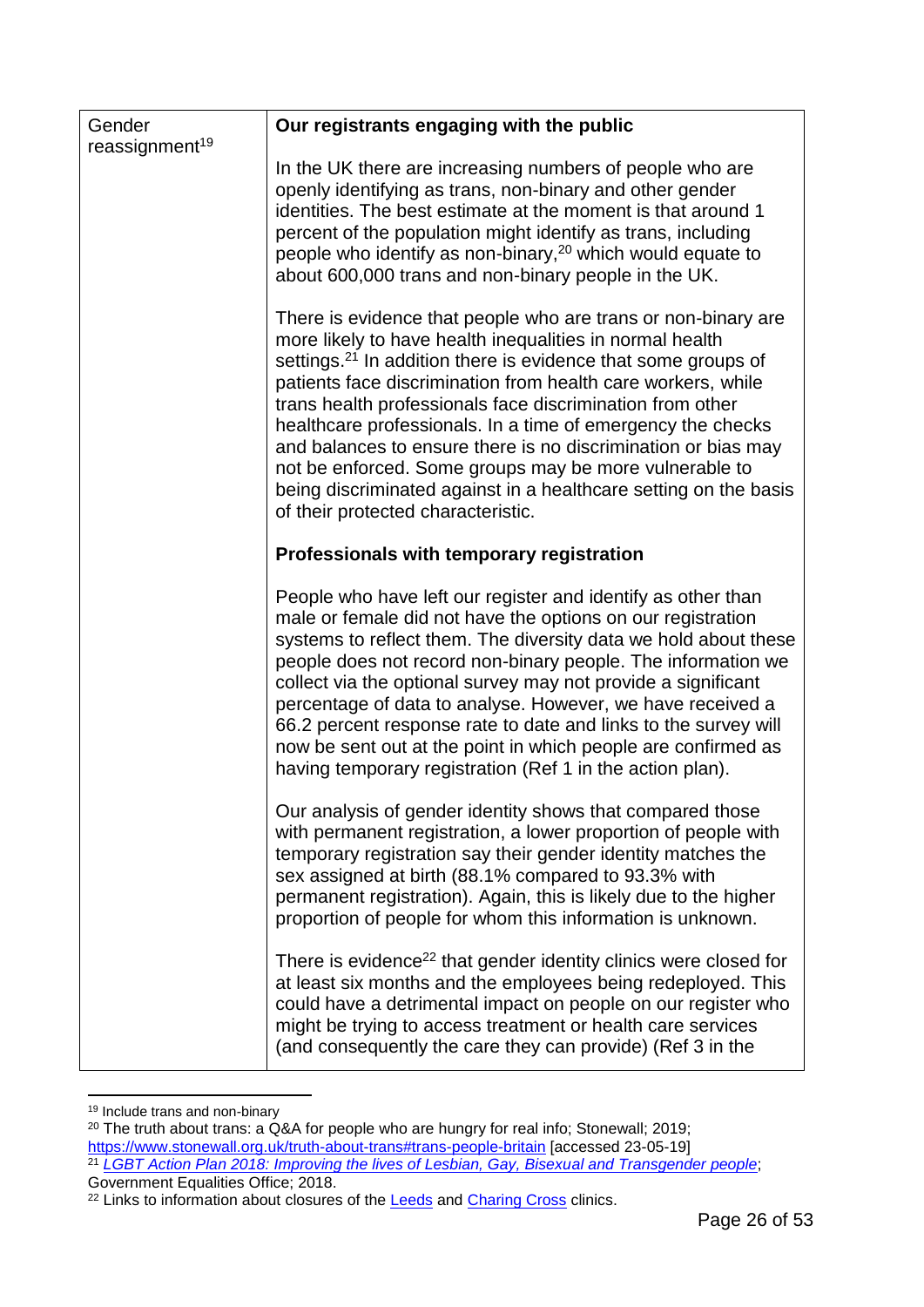| Gender<br>reassignment <sup>19</sup> | Our registrants engaging with the public                                                                                                                                                                                                                                                                                                                                                                                                                                                                                                                                                                                                |
|--------------------------------------|-----------------------------------------------------------------------------------------------------------------------------------------------------------------------------------------------------------------------------------------------------------------------------------------------------------------------------------------------------------------------------------------------------------------------------------------------------------------------------------------------------------------------------------------------------------------------------------------------------------------------------------------|
|                                      | In the UK there are increasing numbers of people who are<br>openly identifying as trans, non-binary and other gender<br>identities. The best estimate at the moment is that around 1<br>percent of the population might identify as trans, including<br>people who identify as non-binary, $20$ which would equate to<br>about 600,000 trans and non-binary people in the UK.                                                                                                                                                                                                                                                           |
|                                      | There is evidence that people who are trans or non-binary are<br>more likely to have health inequalities in normal health<br>settings. <sup>21</sup> In addition there is evidence that some groups of<br>patients face discrimination from health care workers, while<br>trans health professionals face discrimination from other<br>healthcare professionals. In a time of emergency the checks<br>and balances to ensure there is no discrimination or bias may<br>not be enforced. Some groups may be more vulnerable to<br>being discriminated against in a healthcare setting on the basis<br>of their protected characteristic. |
|                                      | Professionals with temporary registration                                                                                                                                                                                                                                                                                                                                                                                                                                                                                                                                                                                               |
|                                      | People who have left our register and identify as other than<br>male or female did not have the options on our registration<br>systems to reflect them. The diversity data we hold about these<br>people does not record non-binary people. The information we<br>collect via the optional survey may not provide a significant<br>percentage of data to analyse. However, we have received a<br>66.2 percent response rate to date and links to the survey will<br>now be sent out at the point in which people are confirmed as<br>having temporary registration (Ref 1 in the action plan).                                          |
|                                      | Our analysis of gender identity shows that compared those<br>with permanent registration, a lower proportion of people with<br>temporary registration say their gender identity matches the<br>sex assigned at birth (88.1% compared to 93.3% with<br>permanent registration). Again, this is likely due to the higher<br>proportion of people for whom this information is unknown.                                                                                                                                                                                                                                                    |
|                                      | There is evidence <sup>22</sup> that gender identity clinics were closed for<br>at least six months and the employees being redeployed. This<br>could have a detrimental impact on people on our register who<br>might be trying to access treatment or health care services<br>(and consequently the care they can provide) (Ref 3 in the                                                                                                                                                                                                                                                                                              |

<sup>1</sup> <sup>19</sup> Include trans and non-binary

<sup>20</sup> The truth about trans: a Q&A for people who are hungry for real info; Stonewall; 2019; <https://www.stonewall.org.uk/truth-about-trans#trans-people-britain> [accessed 23-05-19] <sup>21</sup> *[LGBT Action Plan 2018: Improving the lives of Lesbian, Gay, Bisexual and Transgender people](https://www.gov.uk/government/publications/lgbt-action-plan-2018-improving-the-lives-of-lesbian-gay-bisexual-and-transgender-people)*; Government Equalities Office; 2018.

<sup>&</sup>lt;sup>22</sup> Links to information about closures of the [Leeds](https://www.leedsandyorkpft.nhs.uk/our-services/services-list/gender-identity-service/) and [Charing Cross](https://gic.nhs.uk/gic-limited-service-in-view-of-the-covid-19-outbreak/) clinics.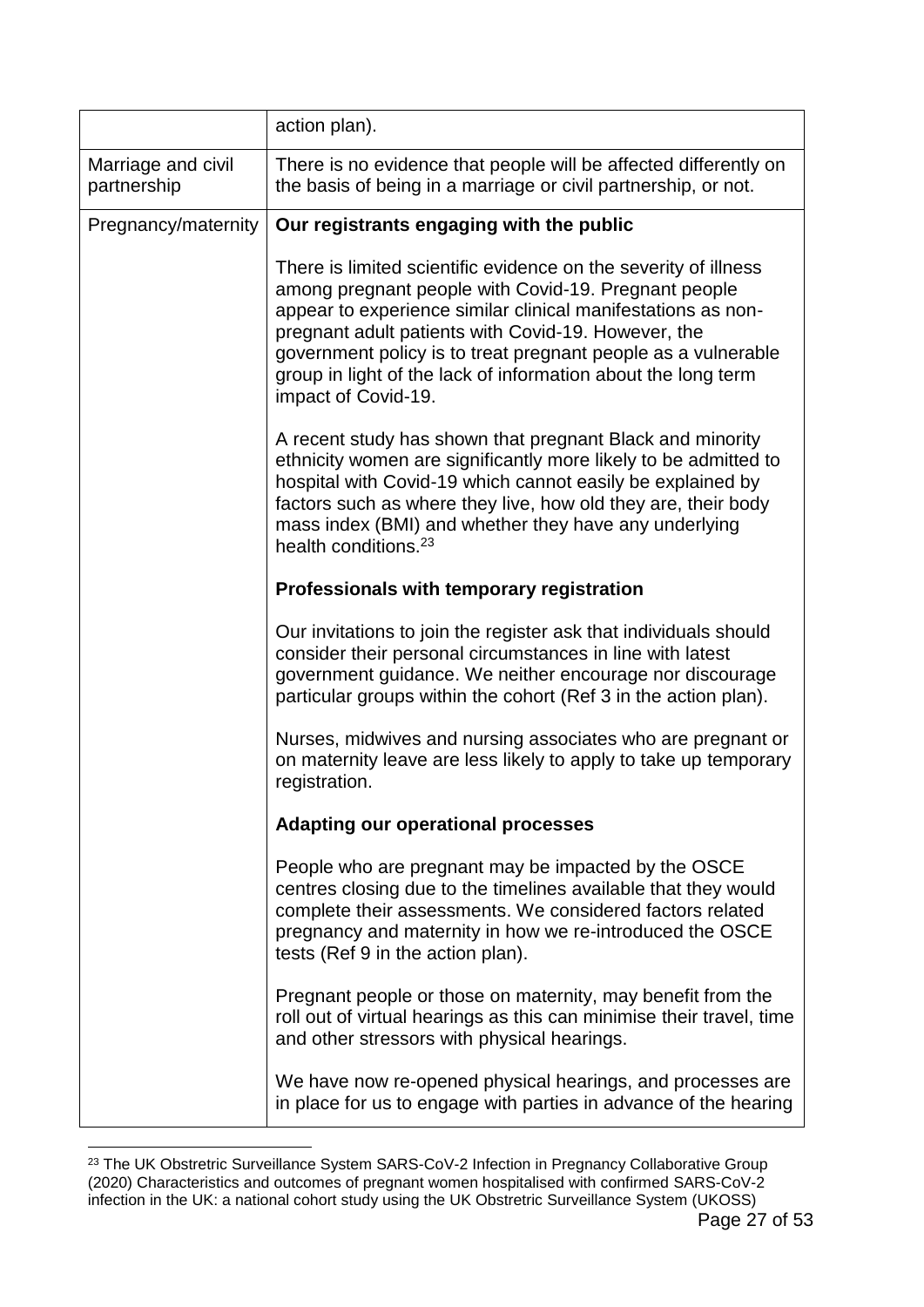|                                   | action plan).                                                                                                                                                                                                                                                                                                                                                                                           |
|-----------------------------------|---------------------------------------------------------------------------------------------------------------------------------------------------------------------------------------------------------------------------------------------------------------------------------------------------------------------------------------------------------------------------------------------------------|
| Marriage and civil<br>partnership | There is no evidence that people will be affected differently on<br>the basis of being in a marriage or civil partnership, or not.                                                                                                                                                                                                                                                                      |
| Pregnancy/maternity               | Our registrants engaging with the public                                                                                                                                                                                                                                                                                                                                                                |
|                                   | There is limited scientific evidence on the severity of illness<br>among pregnant people with Covid-19. Pregnant people<br>appear to experience similar clinical manifestations as non-<br>pregnant adult patients with Covid-19. However, the<br>government policy is to treat pregnant people as a vulnerable<br>group in light of the lack of information about the long term<br>impact of Covid-19. |
|                                   | A recent study has shown that pregnant Black and minority<br>ethnicity women are significantly more likely to be admitted to<br>hospital with Covid-19 which cannot easily be explained by<br>factors such as where they live, how old they are, their body<br>mass index (BMI) and whether they have any underlying<br>health conditions. <sup>23</sup>                                                |
|                                   | Professionals with temporary registration                                                                                                                                                                                                                                                                                                                                                               |
|                                   | Our invitations to join the register ask that individuals should<br>consider their personal circumstances in line with latest<br>government guidance. We neither encourage nor discourage<br>particular groups within the cohort (Ref 3 in the action plan).                                                                                                                                            |
|                                   | Nurses, midwives and nursing associates who are pregnant or<br>on maternity leave are less likely to apply to take up temporary<br>registration.                                                                                                                                                                                                                                                        |
|                                   | <b>Adapting our operational processes</b>                                                                                                                                                                                                                                                                                                                                                               |
|                                   | People who are pregnant may be impacted by the OSCE<br>centres closing due to the timelines available that they would<br>complete their assessments. We considered factors related<br>pregnancy and maternity in how we re-introduced the OSCE<br>tests (Ref 9 in the action plan).                                                                                                                     |
|                                   | Pregnant people or those on maternity, may benefit from the<br>roll out of virtual hearings as this can minimise their travel, time<br>and other stressors with physical hearings.                                                                                                                                                                                                                      |
|                                   | We have now re-opened physical hearings, and processes are<br>in place for us to engage with parties in advance of the hearing                                                                                                                                                                                                                                                                          |

<sup>&</sup>lt;sup>23</sup> The UK Obstretric Surveillance System SARS-CoV-2 Infection in Pregnancy Collaborative Group (2020) Characteristics and outcomes of pregnant women hospitalised with confirmed SARS-CoV-2 infection in the UK: a national cohort study using the UK Obstretric Surveillance System (UKOSS)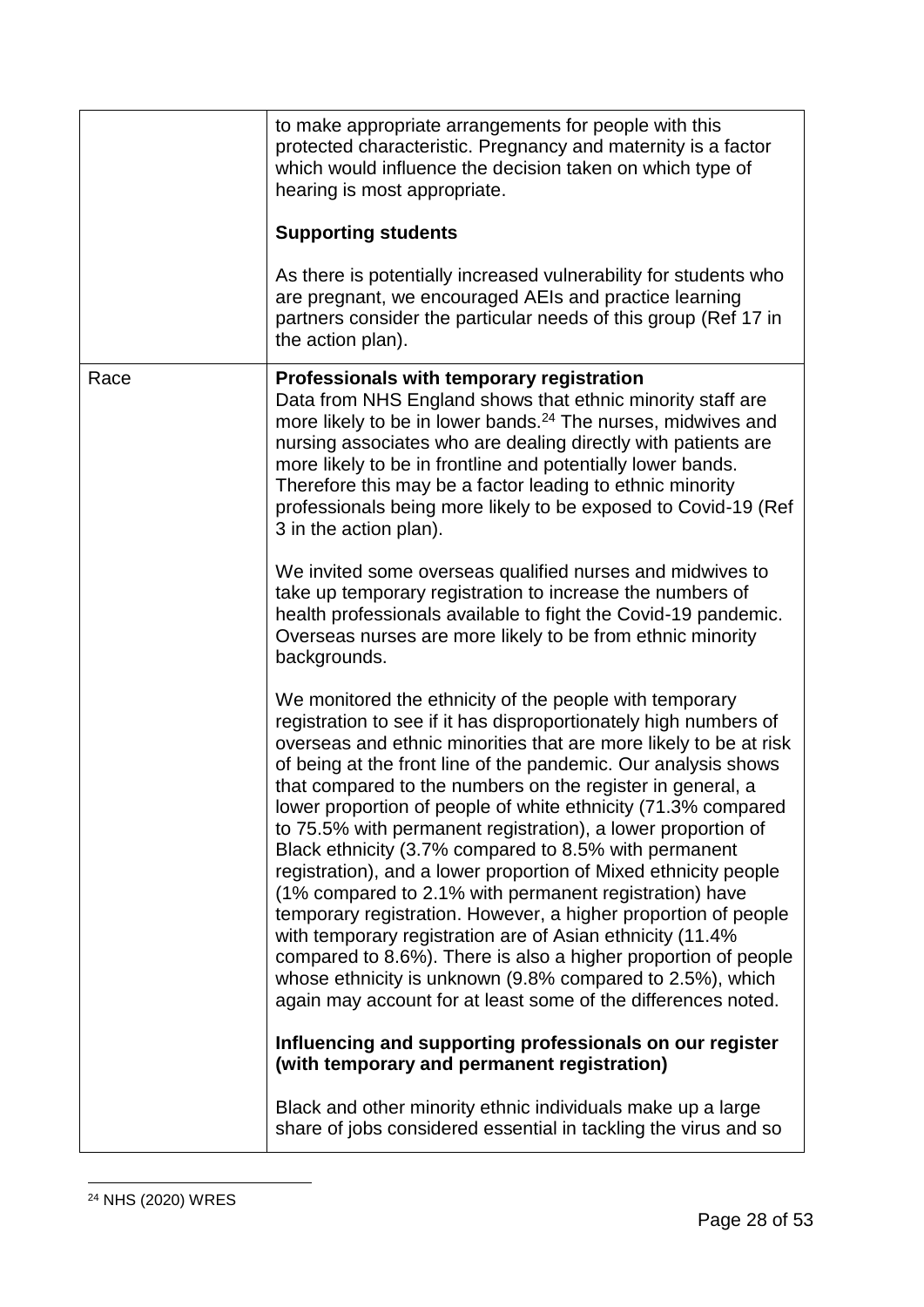|      | to make appropriate arrangements for people with this<br>protected characteristic. Pregnancy and maternity is a factor<br>which would influence the decision taken on which type of<br>hearing is most appropriate.                                                                                                                                                                                                                                                                                                                                                                                                                                                                                                                                                                                                                                                                                                                                                                     |
|------|-----------------------------------------------------------------------------------------------------------------------------------------------------------------------------------------------------------------------------------------------------------------------------------------------------------------------------------------------------------------------------------------------------------------------------------------------------------------------------------------------------------------------------------------------------------------------------------------------------------------------------------------------------------------------------------------------------------------------------------------------------------------------------------------------------------------------------------------------------------------------------------------------------------------------------------------------------------------------------------------|
|      | <b>Supporting students</b>                                                                                                                                                                                                                                                                                                                                                                                                                                                                                                                                                                                                                                                                                                                                                                                                                                                                                                                                                              |
|      | As there is potentially increased vulnerability for students who<br>are pregnant, we encouraged AEIs and practice learning<br>partners consider the particular needs of this group (Ref 17 in<br>the action plan).                                                                                                                                                                                                                                                                                                                                                                                                                                                                                                                                                                                                                                                                                                                                                                      |
| Race | Professionals with temporary registration<br>Data from NHS England shows that ethnic minority staff are<br>more likely to be in lower bands. <sup>24</sup> The nurses, midwives and<br>nursing associates who are dealing directly with patients are<br>more likely to be in frontline and potentially lower bands.<br>Therefore this may be a factor leading to ethnic minority<br>professionals being more likely to be exposed to Covid-19 (Ref<br>3 in the action plan).                                                                                                                                                                                                                                                                                                                                                                                                                                                                                                            |
|      | We invited some overseas qualified nurses and midwives to<br>take up temporary registration to increase the numbers of<br>health professionals available to fight the Covid-19 pandemic.<br>Overseas nurses are more likely to be from ethnic minority<br>backgrounds.                                                                                                                                                                                                                                                                                                                                                                                                                                                                                                                                                                                                                                                                                                                  |
|      | We monitored the ethnicity of the people with temporary<br>registration to see if it has disproportionately high numbers of<br>overseas and ethnic minorities that are more likely to be at risk<br>of being at the front line of the pandemic. Our analysis shows<br>that compared to the numbers on the register in general, a<br>lower proportion of people of white ethnicity (71.3% compared<br>to 75.5% with permanent registration), a lower proportion of<br>Black ethnicity (3.7% compared to 8.5% with permanent<br>registration), and a lower proportion of Mixed ethnicity people<br>(1% compared to 2.1% with permanent registration) have<br>temporary registration. However, a higher proportion of people<br>with temporary registration are of Asian ethnicity (11.4%)<br>compared to 8.6%). There is also a higher proportion of people<br>whose ethnicity is unknown (9.8% compared to 2.5%), which<br>again may account for at least some of the differences noted. |
|      | Influencing and supporting professionals on our register<br>(with temporary and permanent registration)                                                                                                                                                                                                                                                                                                                                                                                                                                                                                                                                                                                                                                                                                                                                                                                                                                                                                 |
|      | Black and other minority ethnic individuals make up a large<br>share of jobs considered essential in tackling the virus and so                                                                                                                                                                                                                                                                                                                                                                                                                                                                                                                                                                                                                                                                                                                                                                                                                                                          |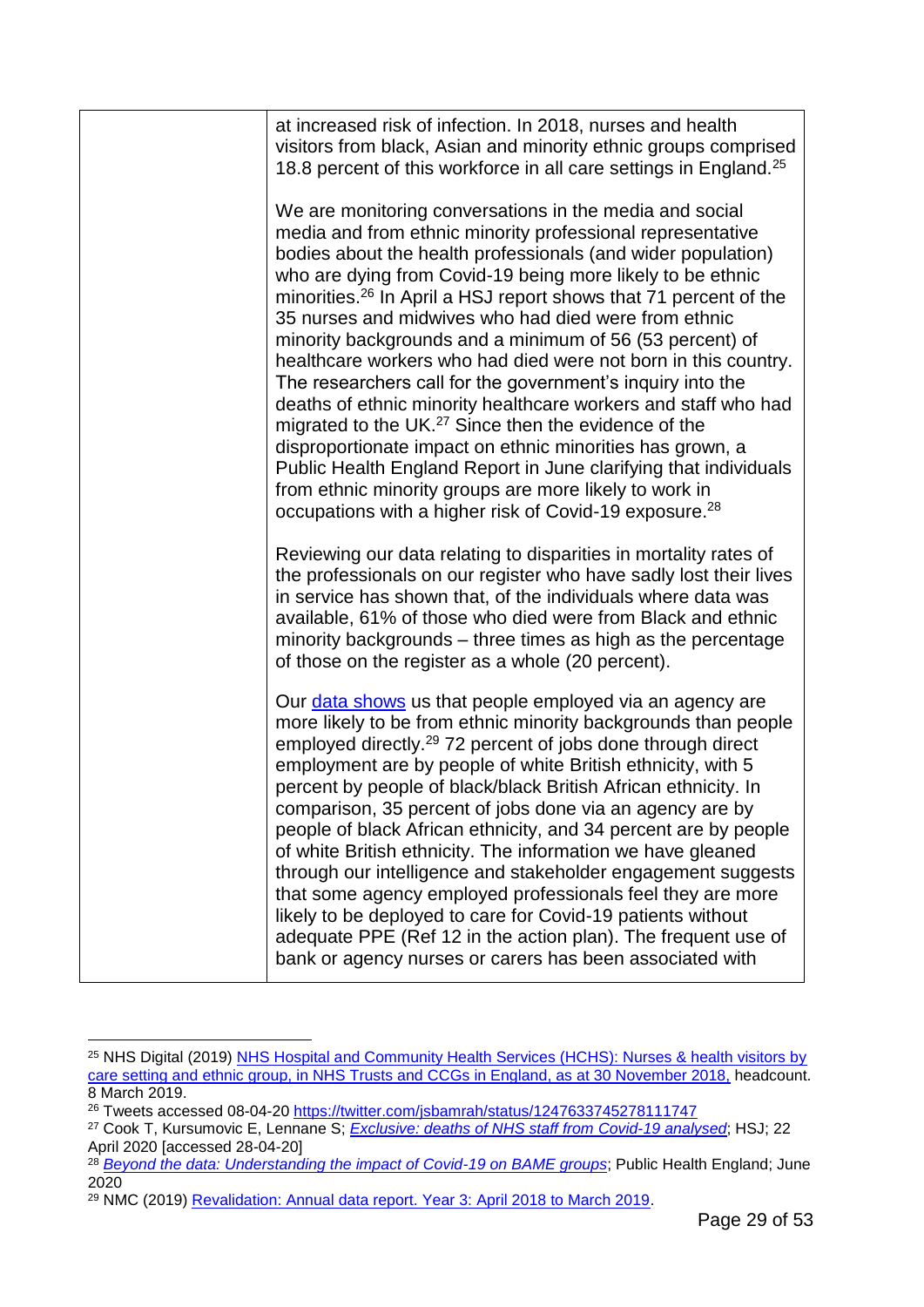| at increased risk of infection. In 2018, nurses and health<br>visitors from black, Asian and minority ethnic groups comprised<br>18.8 percent of this workforce in all care settings in England. <sup>25</sup>                                                                                                                                                                                                                                                                                                                                                                                                                                                                                                                                                                                                                                                                                                                                                                                 |
|------------------------------------------------------------------------------------------------------------------------------------------------------------------------------------------------------------------------------------------------------------------------------------------------------------------------------------------------------------------------------------------------------------------------------------------------------------------------------------------------------------------------------------------------------------------------------------------------------------------------------------------------------------------------------------------------------------------------------------------------------------------------------------------------------------------------------------------------------------------------------------------------------------------------------------------------------------------------------------------------|
| We are monitoring conversations in the media and social<br>media and from ethnic minority professional representative<br>bodies about the health professionals (and wider population)<br>who are dying from Covid-19 being more likely to be ethnic<br>minorities. <sup>26</sup> In April a HSJ report shows that 71 percent of the<br>35 nurses and midwives who had died were from ethnic<br>minority backgrounds and a minimum of 56 (53 percent) of<br>healthcare workers who had died were not born in this country.<br>The researchers call for the government's inquiry into the<br>deaths of ethnic minority healthcare workers and staff who had<br>migrated to the UK. <sup>27</sup> Since then the evidence of the<br>disproportionate impact on ethnic minorities has grown, a<br>Public Health England Report in June clarifying that individuals<br>from ethnic minority groups are more likely to work in<br>occupations with a higher risk of Covid-19 exposure. <sup>28</sup> |
| Reviewing our data relating to disparities in mortality rates of<br>the professionals on our register who have sadly lost their lives<br>in service has shown that, of the individuals where data was<br>available, 61% of those who died were from Black and ethnic<br>minority backgrounds – three times as high as the percentage<br>of those on the register as a whole (20 percent).                                                                                                                                                                                                                                                                                                                                                                                                                                                                                                                                                                                                      |
| Our <i>data shows</i> us that people employed via an agency are<br>more likely to be from ethnic minority backgrounds than people<br>employed directly. <sup>29</sup> 72 percent of jobs done through direct<br>employment are by people of white British ethnicity, with 5<br>percent by people of black/black British African ethnicity. In<br>comparison, 35 percent of jobs done via an agency are by<br>people of black African ethnicity, and 34 percent are by people<br>of white British ethnicity. The information we have gleaned<br>through our intelligence and stakeholder engagement suggests<br>that some agency employed professionals feel they are more<br>likely to be deployed to care for Covid-19 patients without<br>adequate PPE (Ref 12 in the action plan). The frequent use of<br>bank or agency nurses or carers has been associated with                                                                                                                          |

<sup>1</sup> <sup>25</sup> NHS Digital (2019) [NHS Hospital and Community Health Services \(HCHS\): Nurses & health visitors by](https://digital.nhs.uk/data-and-information/find-data-and-publications/supplementary-information/2019-supplementary-information-files/staff-ethnicity/nurses--health-visitors-by-care-setting-and-ethnic-group-november-2018)  [care setting and ethnic group, in NHS Trusts and CCGs in England, as at 30 November 2018,](https://digital.nhs.uk/data-and-information/find-data-and-publications/supplementary-information/2019-supplementary-information-files/staff-ethnicity/nurses--health-visitors-by-care-setting-and-ethnic-group-november-2018) headcount. 8 March 2019.

<sup>&</sup>lt;sup>26</sup> Tweets accessed 08-04-20<https://twitter.com/jsbamrah/status/1247633745278111747>

<sup>27</sup> Cook T, Kursumovic E, Lennane S; *[Exclusive: deaths of NHS staff from Covid-19 analysed](https://www.hsj.co.uk/exclusive-deaths-of-nhs-staff-from-covid-19-analysed/7027471.article)*; HSJ; 22 April 2020 [accessed 28-04-20]

<sup>&</sup>lt;sup>28</sup> *[Beyond the data: Understanding the impact of Covid-19 on BAME groups](https://assets.publishing.service.gov.uk/government/uploads/system/uploads/attachment_data/file/892376/COVID_stakeholder_engagement_synthesis_beyond_the_data.pdf)*; Public Health England; June 2020

<sup>29</sup> NMC (2019) [Revalidation: Annual data report. Year 3: April 2018 to March 2019.](https://www.nmc.org.uk/globalassets/sitedocuments/annual_reports_and_accounts/revalidationreports/revalidation-annual-report-year-3.pdf)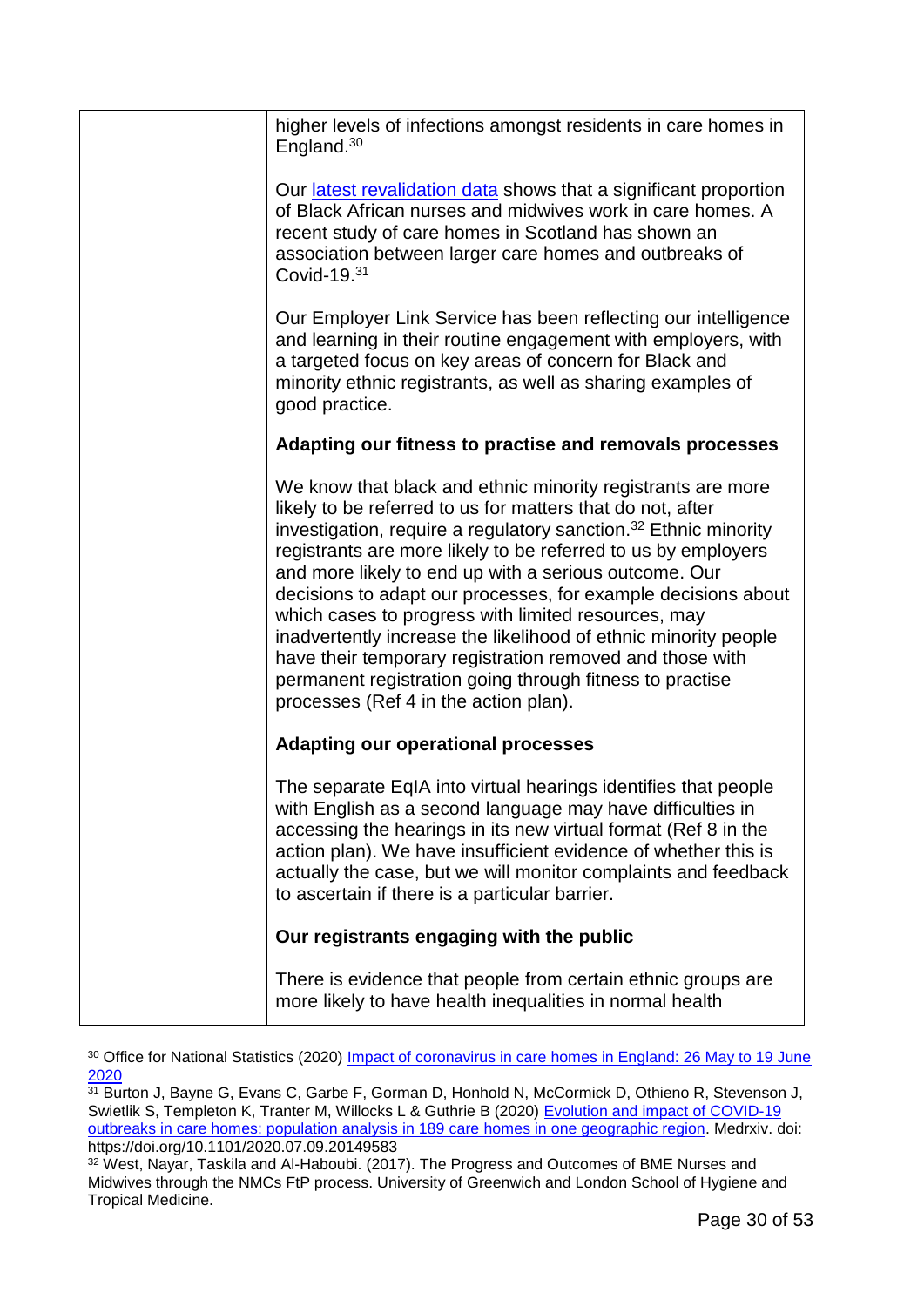| higher levels of infections amongst residents in care homes in<br>England. $30$                                                                                                                                                                                                                                                                                                                                                                                                                                                                                                                                                                                                                |
|------------------------------------------------------------------------------------------------------------------------------------------------------------------------------------------------------------------------------------------------------------------------------------------------------------------------------------------------------------------------------------------------------------------------------------------------------------------------------------------------------------------------------------------------------------------------------------------------------------------------------------------------------------------------------------------------|
| Our latest revalidation data shows that a significant proportion<br>of Black African nurses and midwives work in care homes. A<br>recent study of care homes in Scotland has shown an<br>association between larger care homes and outbreaks of<br>Covid-19.31                                                                                                                                                                                                                                                                                                                                                                                                                                 |
| Our Employer Link Service has been reflecting our intelligence<br>and learning in their routine engagement with employers, with<br>a targeted focus on key areas of concern for Black and<br>minority ethnic registrants, as well as sharing examples of<br>good practice.                                                                                                                                                                                                                                                                                                                                                                                                                     |
| Adapting our fitness to practise and removals processes                                                                                                                                                                                                                                                                                                                                                                                                                                                                                                                                                                                                                                        |
| We know that black and ethnic minority registrants are more<br>likely to be referred to us for matters that do not, after<br>investigation, require a regulatory sanction. <sup>32</sup> Ethnic minority<br>registrants are more likely to be referred to us by employers<br>and more likely to end up with a serious outcome. Our<br>decisions to adapt our processes, for example decisions about<br>which cases to progress with limited resources, may<br>inadvertently increase the likelihood of ethnic minority people<br>have their temporary registration removed and those with<br>permanent registration going through fitness to practise<br>processes (Ref 4 in the action plan). |
| <b>Adapting our operational processes</b>                                                                                                                                                                                                                                                                                                                                                                                                                                                                                                                                                                                                                                                      |
| The separate EqIA into virtual hearings identifies that people<br>with English as a second language may have difficulties in<br>accessing the hearings in its new virtual format (Ref 8 in the<br>action plan). We have insufficient evidence of whether this is<br>actually the case, but we will monitor complaints and feedback<br>to ascertain if there is a particular barrier.                                                                                                                                                                                                                                                                                                           |
| Our registrants engaging with the public                                                                                                                                                                                                                                                                                                                                                                                                                                                                                                                                                                                                                                                       |
| There is evidence that people from certain ethnic groups are<br>more likely to have health inequalities in normal health                                                                                                                                                                                                                                                                                                                                                                                                                                                                                                                                                                       |

<sup>1</sup> <sup>30</sup> Office for National Statistics (2020) [Impact of coronavirus in care homes in England: 26 May to 19 June](https://www.ons.gov.uk/peoplepopulationandcommunity/healthandsocialcare/conditionsanddiseases/articles/impactofcoronavirusincarehomesinenglandvivaldi/26mayto19june2020)  [2020](https://www.ons.gov.uk/peoplepopulationandcommunity/healthandsocialcare/conditionsanddiseases/articles/impactofcoronavirusincarehomesinenglandvivaldi/26mayto19june2020)

<sup>31</sup> Burton J, Bayne G, Evans C, Garbe F, Gorman D, Honhold N, McCormick D, Othieno R, Stevenson J, Swietlik S, Templeton K, Tranter M, Willocks L & Guthrie B (2020) Evolution and impact of COVID-19 [outbreaks in care homes: population analysis in 189 care homes in one geographic region.](https://www.medrxiv.org/content/10.1101/2020.07.09.20149583v1) Medrxiv. doi: https://doi.org/10.1101/2020.07.09.20149583

<sup>&</sup>lt;sup>32</sup> West, Nayar, Taskila and Al-Haboubi. (2017). The Progress and Outcomes of BME Nurses and Midwives through the NMCs FtP process. University of Greenwich and London School of Hygiene and Tropical Medicine.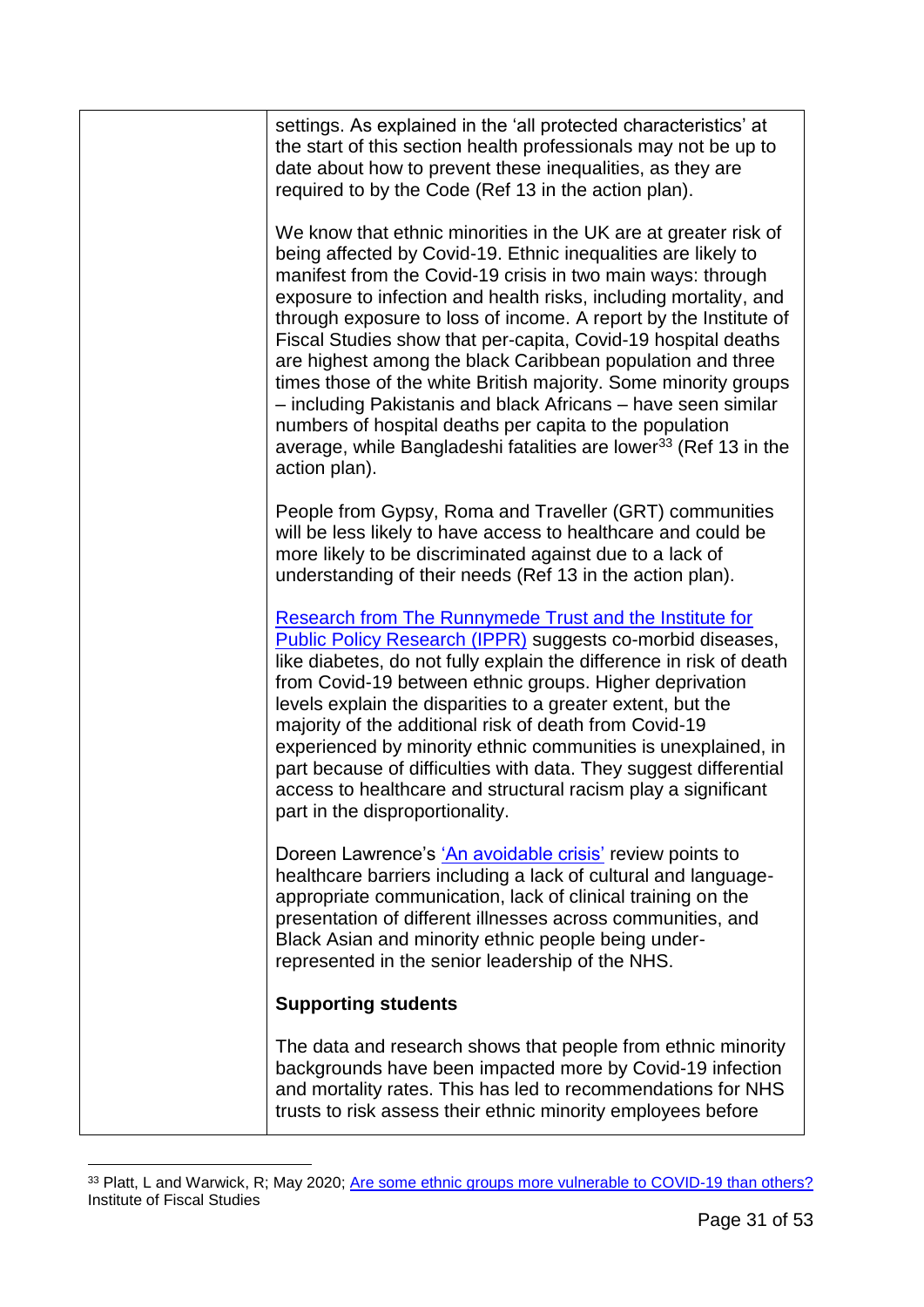| settings. As explained in the 'all protected characteristics' at<br>the start of this section health professionals may not be up to<br>date about how to prevent these inequalities, as they are<br>required to by the Code (Ref 13 in the action plan).                                                                                                                                                                                                                                                                                                                                                                                                                                                                                                               |
|------------------------------------------------------------------------------------------------------------------------------------------------------------------------------------------------------------------------------------------------------------------------------------------------------------------------------------------------------------------------------------------------------------------------------------------------------------------------------------------------------------------------------------------------------------------------------------------------------------------------------------------------------------------------------------------------------------------------------------------------------------------------|
| We know that ethnic minorities in the UK are at greater risk of<br>being affected by Covid-19. Ethnic inequalities are likely to<br>manifest from the Covid-19 crisis in two main ways: through<br>exposure to infection and health risks, including mortality, and<br>through exposure to loss of income. A report by the Institute of<br>Fiscal Studies show that per-capita, Covid-19 hospital deaths<br>are highest among the black Caribbean population and three<br>times those of the white British majority. Some minority groups<br>- including Pakistanis and black Africans - have seen similar<br>numbers of hospital deaths per capita to the population<br>average, while Bangladeshi fatalities are lower <sup>33</sup> (Ref 13 in the<br>action plan). |
| People from Gypsy, Roma and Traveller (GRT) communities<br>will be less likely to have access to healthcare and could be<br>more likely to be discriminated against due to a lack of<br>understanding of their needs (Ref 13 in the action plan).                                                                                                                                                                                                                                                                                                                                                                                                                                                                                                                      |
| <b>Research from The Runnymede Trust and the Institute for</b><br>Public Policy Research (IPPR) suggests co-morbid diseases,<br>like diabetes, do not fully explain the difference in risk of death<br>from Covid-19 between ethnic groups. Higher deprivation<br>levels explain the disparities to a greater extent, but the<br>majority of the additional risk of death from Covid-19<br>experienced by minority ethnic communities is unexplained, in<br>part because of difficulties with data. They suggest differential<br>access to healthcare and structural racism play a significant<br>part in the disproportionality.                                                                                                                                      |
| Doreen Lawrence's 'An avoidable crisis' review points to<br>healthcare barriers including a lack of cultural and language-<br>appropriate communication, lack of clinical training on the<br>presentation of different illnesses across communities, and<br>Black Asian and minority ethnic people being under-<br>represented in the senior leadership of the NHS.                                                                                                                                                                                                                                                                                                                                                                                                    |
| <b>Supporting students</b>                                                                                                                                                                                                                                                                                                                                                                                                                                                                                                                                                                                                                                                                                                                                             |
| The data and research shows that people from ethnic minority<br>backgrounds have been impacted more by Covid-19 infection<br>and mortality rates. This has led to recommendations for NHS<br>trusts to risk assess their ethnic minority employees before                                                                                                                                                                                                                                                                                                                                                                                                                                                                                                              |

<sup>&</sup>lt;sup>33</sup> Platt, L and Warwick, R; May 2020; <u>Are some ethnic groups more vulnerable to COVID-19 than others?</u> Institute of Fiscal Studies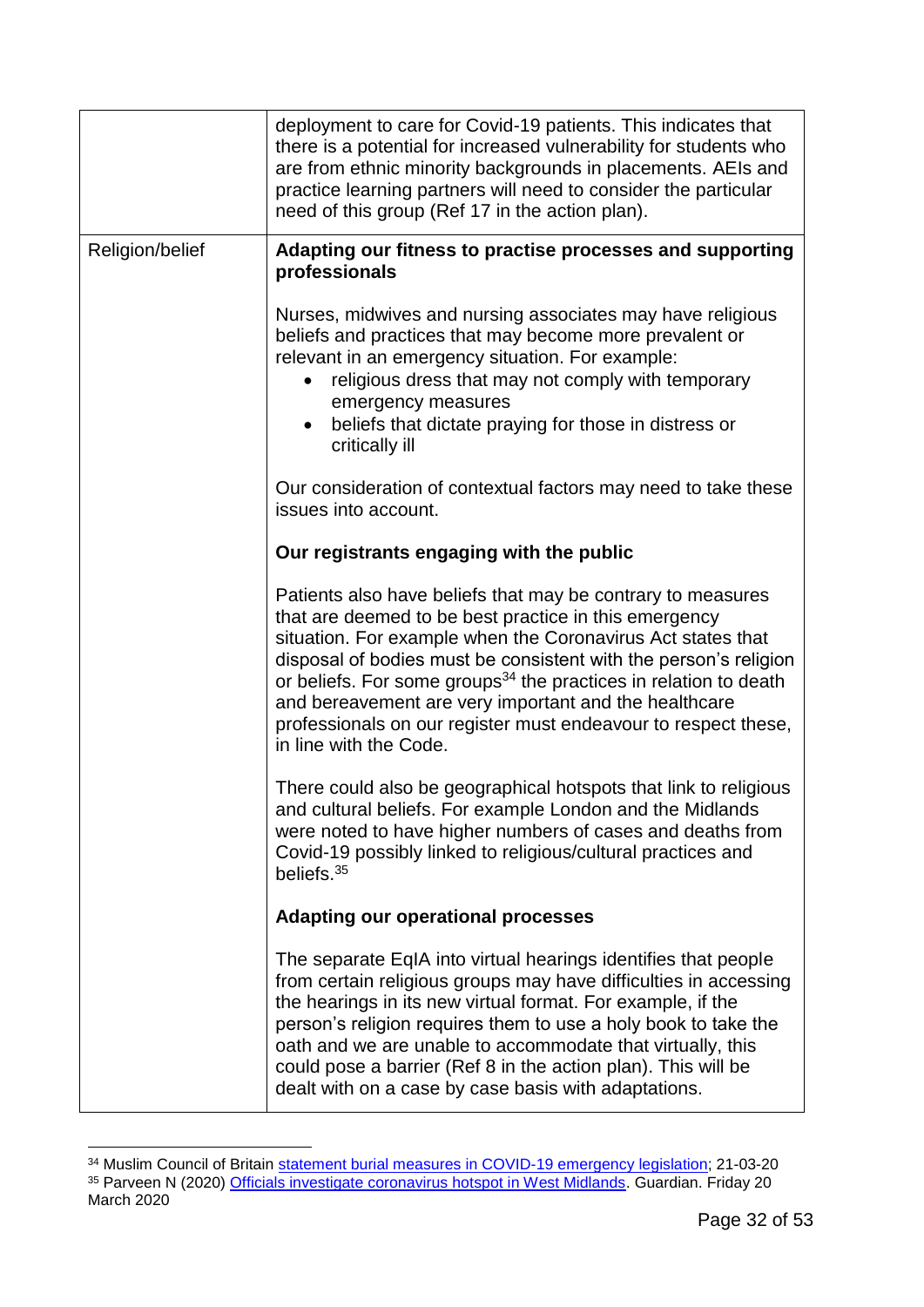|                 | deployment to care for Covid-19 patients. This indicates that<br>there is a potential for increased vulnerability for students who<br>are from ethnic minority backgrounds in placements. AEIs and<br>practice learning partners will need to consider the particular<br>need of this group (Ref 17 in the action plan).                                                                                                                                                                     |
|-----------------|----------------------------------------------------------------------------------------------------------------------------------------------------------------------------------------------------------------------------------------------------------------------------------------------------------------------------------------------------------------------------------------------------------------------------------------------------------------------------------------------|
| Religion/belief | Adapting our fitness to practise processes and supporting<br>professionals                                                                                                                                                                                                                                                                                                                                                                                                                   |
|                 | Nurses, midwives and nursing associates may have religious<br>beliefs and practices that may become more prevalent or<br>relevant in an emergency situation. For example:<br>religious dress that may not comply with temporary<br>emergency measures<br>beliefs that dictate praying for those in distress or<br>$\bullet$<br>critically ill                                                                                                                                                |
|                 | Our consideration of contextual factors may need to take these<br>issues into account.                                                                                                                                                                                                                                                                                                                                                                                                       |
|                 | Our registrants engaging with the public                                                                                                                                                                                                                                                                                                                                                                                                                                                     |
|                 | Patients also have beliefs that may be contrary to measures<br>that are deemed to be best practice in this emergency<br>situation. For example when the Coronavirus Act states that<br>disposal of bodies must be consistent with the person's religion<br>or beliefs. For some groups <sup>34</sup> the practices in relation to death<br>and bereavement are very important and the healthcare<br>professionals on our register must endeavour to respect these,<br>in line with the Code. |
|                 | There could also be geographical hotspots that link to religious<br>and cultural beliefs. For example London and the Midlands<br>were noted to have higher numbers of cases and deaths from<br>Covid-19 possibly linked to religious/cultural practices and<br>beliefs. $35$                                                                                                                                                                                                                 |
|                 | <b>Adapting our operational processes</b>                                                                                                                                                                                                                                                                                                                                                                                                                                                    |
|                 | The separate EqIA into virtual hearings identifies that people<br>from certain religious groups may have difficulties in accessing<br>the hearings in its new virtual format. For example, if the<br>person's religion requires them to use a holy book to take the<br>oath and we are unable to accommodate that virtually, this<br>could pose a barrier (Ref 8 in the action plan). This will be<br>dealt with on a case by case basis with adaptations.                                   |

<sup>&</sup>lt;sup>34</sup> Muslim Council of Britain [statement burial measures in COVID-19](https://mcb.org.uk/press-releases/mcb-statement-on-burial-measures-in-covid-19-emergency-legislation/) emergency legislation; 21-03-20 <sup>35</sup> Parveen N (2020) [Officials investigate coronavirus hotspot in West Midlands.](https://www.theguardian.com/world/2020/mar/20/sharp-rise-in-number-of-coronavirus-cases-in-west-midlands) Guardian. Friday 20 March 2020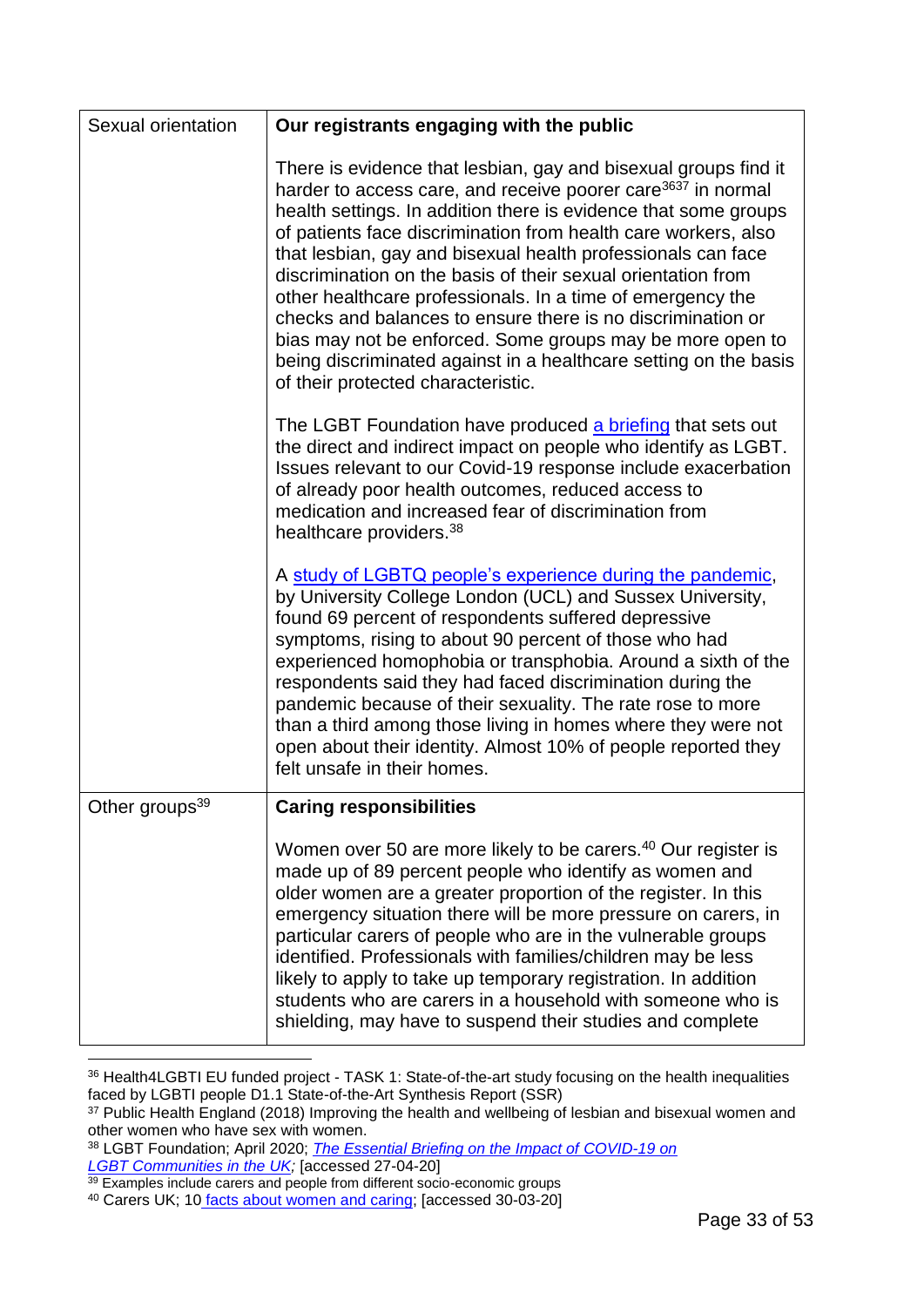| Sexual orientation         | Our registrants engaging with the public                                                                                                                                                                                                                                                                                                                                                                                                                                                                                                                                                                                                                                                                             |  |  |
|----------------------------|----------------------------------------------------------------------------------------------------------------------------------------------------------------------------------------------------------------------------------------------------------------------------------------------------------------------------------------------------------------------------------------------------------------------------------------------------------------------------------------------------------------------------------------------------------------------------------------------------------------------------------------------------------------------------------------------------------------------|--|--|
|                            | There is evidence that lesbian, gay and bisexual groups find it<br>harder to access care, and receive poorer care <sup>3637</sup> in normal<br>health settings. In addition there is evidence that some groups<br>of patients face discrimination from health care workers, also<br>that lesbian, gay and bisexual health professionals can face<br>discrimination on the basis of their sexual orientation from<br>other healthcare professionals. In a time of emergency the<br>checks and balances to ensure there is no discrimination or<br>bias may not be enforced. Some groups may be more open to<br>being discriminated against in a healthcare setting on the basis<br>of their protected characteristic. |  |  |
|                            | The LGBT Foundation have produced a briefing that sets out<br>the direct and indirect impact on people who identify as LGBT.<br>Issues relevant to our Covid-19 response include exacerbation<br>of already poor health outcomes, reduced access to<br>medication and increased fear of discrimination from<br>healthcare providers. <sup>38</sup>                                                                                                                                                                                                                                                                                                                                                                   |  |  |
|                            | A study of LGBTQ people's experience during the pandemic,<br>by University College London (UCL) and Sussex University,<br>found 69 percent of respondents suffered depressive<br>symptoms, rising to about 90 percent of those who had<br>experienced homophobia or transphobia. Around a sixth of the<br>respondents said they had faced discrimination during the<br>pandemic because of their sexuality. The rate rose to more<br>than a third among those living in homes where they were not<br>open about their identity. Almost 10% of people reported they<br>felt unsafe in their homes.                                                                                                                    |  |  |
| Other groups <sup>39</sup> | <b>Caring responsibilities</b>                                                                                                                                                                                                                                                                                                                                                                                                                                                                                                                                                                                                                                                                                       |  |  |
|                            | Women over 50 are more likely to be carers. <sup>40</sup> Our register is<br>made up of 89 percent people who identify as women and<br>older women are a greater proportion of the register. In this<br>emergency situation there will be more pressure on carers, in<br>particular carers of people who are in the vulnerable groups<br>identified. Professionals with families/children may be less<br>likely to apply to take up temporary registration. In addition<br>students who are carers in a household with someone who is<br>shielding, may have to suspend their studies and complete                                                                                                                   |  |  |

<sup>1</sup> <sup>36</sup> Health4LGBTI EU funded project - TASK 1: State-of-the-art study focusing on the health inequalities faced by LGBTI people D1.1 State-of-the-Art Synthesis Report (SSR)

<sup>&</sup>lt;sup>37</sup> Public Health England (2018) Improving the health and wellbeing of lesbian and bisexual women and other women who have sex with women.

<sup>38</sup> LGBT Foundation; April 2020; *[The Essential Briefing on the Impact of COVID-19 on](file://///idc01nmcmfpsv01/Gdrive$/AishnineB/Documents/Offline%20Records%20(TL)/Equality%20~%20Strategy%20-%20Equality%20-%20Policy%20and%20Compliance(2)/The%20Essential%20Briefing%20on%20the%20Impact%20of%20COVID-19%20on) [LGBT Communities in the UK;](file://///idc01nmcmfpsv01/Gdrive$/AishnineB/Documents/Offline%20Records%20(TL)/Equality%20~%20Strategy%20-%20Equality%20-%20Policy%20and%20Compliance(2)/The%20Essential%20Briefing%20on%20the%20Impact%20of%20COVID-19%20on)* [accessed 27-04-20]

<sup>&</sup>lt;sup>39</sup> Examples include carers and people from different socio-economic groups

<sup>40</sup> Carers UK; 10 [facts about women and caring;](https://www.carersuk.org/news-and-campaigns/features/10-facts-about-women-and-caring-in-the-uk-on-international-women-s-day) [accessed 30-03-20]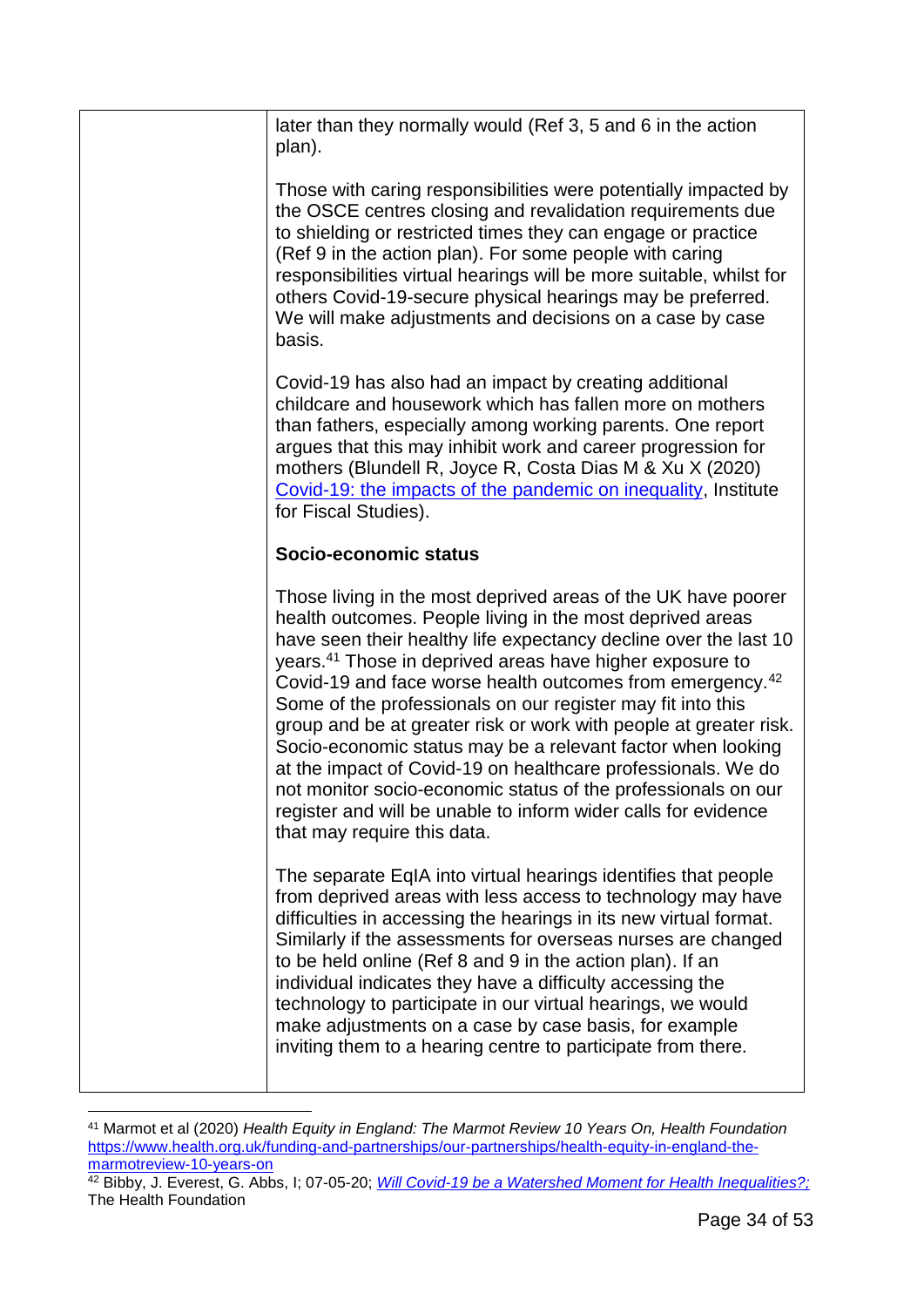| later than they normally would (Ref 3, 5 and 6 in the action<br>plan).                                                                                                                                                                                                                                                                                                                                                                                                                                                                                                                                                                                                                                                                                                               |
|--------------------------------------------------------------------------------------------------------------------------------------------------------------------------------------------------------------------------------------------------------------------------------------------------------------------------------------------------------------------------------------------------------------------------------------------------------------------------------------------------------------------------------------------------------------------------------------------------------------------------------------------------------------------------------------------------------------------------------------------------------------------------------------|
| Those with caring responsibilities were potentially impacted by<br>the OSCE centres closing and revalidation requirements due<br>to shielding or restricted times they can engage or practice<br>(Ref 9 in the action plan). For some people with caring<br>responsibilities virtual hearings will be more suitable, whilst for<br>others Covid-19-secure physical hearings may be preferred.<br>We will make adjustments and decisions on a case by case<br>basis.                                                                                                                                                                                                                                                                                                                  |
| Covid-19 has also had an impact by creating additional<br>childcare and housework which has fallen more on mothers<br>than fathers, especially among working parents. One report<br>argues that this may inhibit work and career progression for<br>mothers (Blundell R, Joyce R, Costa Dias M & Xu X (2020)<br>Covid-19: the impacts of the pandemic on inequality, Institute<br>for Fiscal Studies).                                                                                                                                                                                                                                                                                                                                                                               |
| Socio-economic status                                                                                                                                                                                                                                                                                                                                                                                                                                                                                                                                                                                                                                                                                                                                                                |
| Those living in the most deprived areas of the UK have poorer<br>health outcomes. People living in the most deprived areas<br>have seen their healthy life expectancy decline over the last 10<br>years. <sup>41</sup> Those in deprived areas have higher exposure to<br>Covid-19 and face worse health outcomes from emergency. <sup>42</sup><br>Some of the professionals on our register may fit into this<br>group and be at greater risk or work with people at greater risk.<br>Socio-economic status may be a relevant factor when looking<br>at the impact of Covid-19 on healthcare professionals. We do<br>not monitor socio-economic status of the professionals on our<br>register and will be unable to inform wider calls for evidence<br>that may require this data. |
| The separate EqIA into virtual hearings identifies that people<br>from deprived areas with less access to technology may have<br>difficulties in accessing the hearings in its new virtual format.<br>Similarly if the assessments for overseas nurses are changed<br>to be held online (Ref 8 and 9 in the action plan). If an<br>individual indicates they have a difficulty accessing the<br>technology to participate in our virtual hearings, we would<br>make adjustments on a case by case basis, for example<br>inviting them to a hearing centre to participate from there.                                                                                                                                                                                                 |

<sup>1</sup> <sup>41</sup> Marmot et al (2020) *Health Equity in England: The Marmot Review 10 Years On, Health Foundation* [https://www.health.org.uk/funding-and-partnerships/our-partnerships/health-equity-in-england-the](https://www.health.org.uk/funding-and-partnerships/our-partnerships/health-equity-in-england-the-marmotreview-10-years-on)[marmotreview-10-years-on](https://www.health.org.uk/funding-and-partnerships/our-partnerships/health-equity-in-england-the-marmotreview-10-years-on)

<sup>&</sup>lt;sup>42</sup> Bibby, J. Everest, G. Abbs, I; 07-05-20; *[Will Covid-19 be a Watershed Moment for Health Inequalities?;](https://www.health.org.uk/publications/long-reads/will-covid-19-be-a-watershed-moment-for-health-inequalities)* The Health Foundation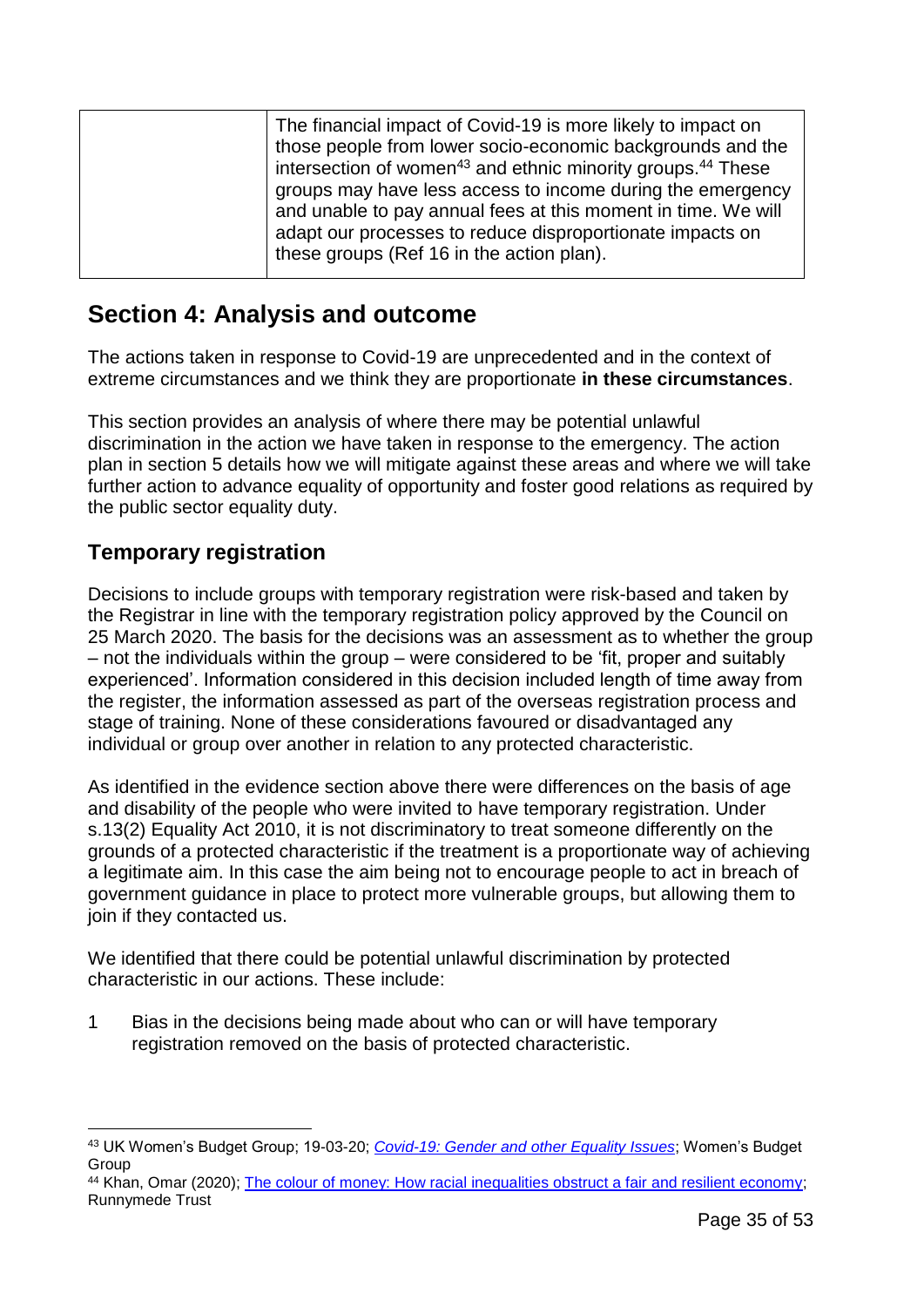| The financial impact of Covid-19 is more likely to impact on<br>those people from lower socio-economic backgrounds and the<br>intersection of women <sup>43</sup> and ethnic minority groups. <sup>44</sup> These<br>groups may have less access to income during the emergency<br>and unable to pay annual fees at this moment in time. We will<br>adapt our processes to reduce disproportionate impacts on |
|---------------------------------------------------------------------------------------------------------------------------------------------------------------------------------------------------------------------------------------------------------------------------------------------------------------------------------------------------------------------------------------------------------------|
| these groups (Ref 16 in the action plan).                                                                                                                                                                                                                                                                                                                                                                     |
|                                                                                                                                                                                                                                                                                                                                                                                                               |

## <span id="page-34-0"></span>**Section 4: Analysis and outcome**

The actions taken in response to Covid-19 are unprecedented and in the context of extreme circumstances and we think they are proportionate **in these circumstances**.

This section provides an analysis of where there may be potential unlawful discrimination in the action we have taken in response to the emergency. The action plan in section 5 details how we will mitigate against these areas and where we will take further action to advance equality of opportunity and foster good relations as required by the public sector equality duty.

### **Temporary registration**

1

Decisions to include groups with temporary registration were risk-based and taken by the Registrar in line with the temporary registration policy approved by the Council on 25 March 2020. The basis for the decisions was an assessment as to whether the group – not the individuals within the group – were considered to be 'fit, proper and suitably experienced'. Information considered in this decision included length of time away from the register, the information assessed as part of the overseas registration process and stage of training. None of these considerations favoured or disadvantaged any individual or group over another in relation to any protected characteristic.

As identified in the evidence section above there were differences on the basis of age and disability of the people who were invited to have temporary registration. Under s.13(2) Equality Act 2010, it is not discriminatory to treat someone differently on the grounds of a protected characteristic if the treatment is a proportionate way of achieving a legitimate aim. In this case the aim being not to encourage people to act in breach of government guidance in place to protect more vulnerable groups, but allowing them to join if they contacted us.

We identified that there could be potential unlawful discrimination by protected characteristic in our actions. These include:

1 Bias in the decisions being made about who can or will have temporary registration removed on the basis of protected characteristic.

<sup>43</sup> UK Women's Budget Group; 19-03-20; *[Covid-19: Gender and other Equality Issues](https://wbg.org.uk/wp-content/uploads/2020/03/FINAL-Covid-19-briefing.pdf)*; Women's Budget Group

<sup>44</sup> Khan, Omar (2020); [The colour of money: How racial inequalities obstruct a fair and resilient economy;](https://www.runnymedetrust.org/projects-and-publications/employment-3/the-colour-of-money.html) Runnymede Trust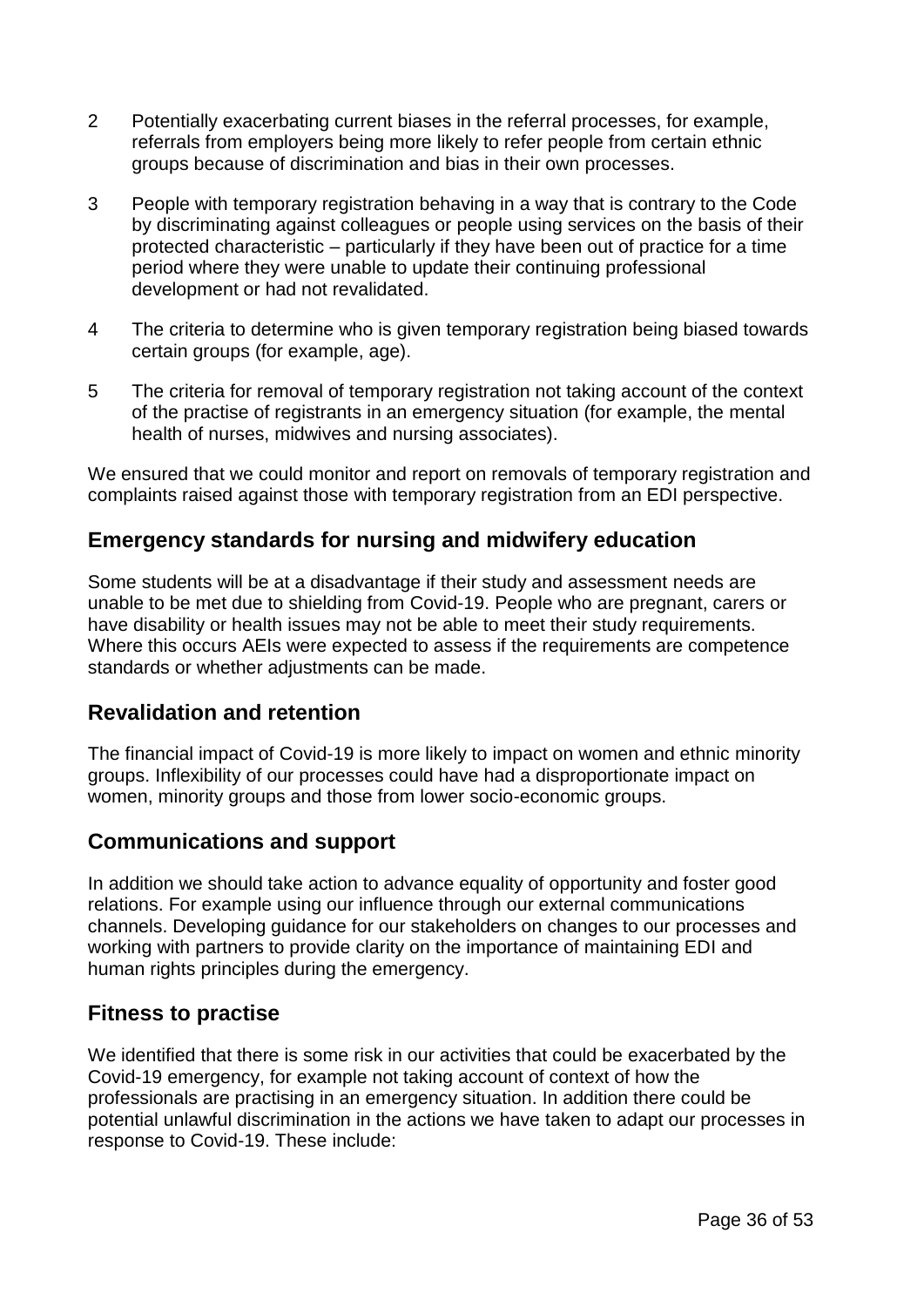- 2 Potentially exacerbating current biases in the referral processes, for example, referrals from employers being more likely to refer people from certain ethnic groups because of discrimination and bias in their own processes.
- 3 People with temporary registration behaving in a way that is contrary to the Code by discriminating against colleagues or people using services on the basis of their protected characteristic – particularly if they have been out of practice for a time period where they were unable to update their continuing professional development or had not revalidated.
- 4 The criteria to determine who is given temporary registration being biased towards certain groups (for example, age).
- 5 The criteria for removal of temporary registration not taking account of the context of the practise of registrants in an emergency situation (for example, the mental health of nurses, midwives and nursing associates).

We ensured that we could monitor and report on removals of temporary registration and complaints raised against those with temporary registration from an EDI perspective.

### **Emergency standards for nursing and midwifery education**

Some students will be at a disadvantage if their study and assessment needs are unable to be met due to shielding from Covid-19. People who are pregnant, carers or have disability or health issues may not be able to meet their study requirements. Where this occurs AEIs were expected to assess if the requirements are competence standards or whether adjustments can be made.

### **Revalidation and retention**

The financial impact of Covid-19 is more likely to impact on women and ethnic minority groups. Inflexibility of our processes could have had a disproportionate impact on women, minority groups and those from lower socio-economic groups.

### **Communications and support**

In addition we should take action to advance equality of opportunity and foster good relations. For example using our influence through our external communications channels. Developing guidance for our stakeholders on changes to our processes and working with partners to provide clarity on the importance of maintaining EDI and human rights principles during the emergency.

### **Fitness to practise**

We identified that there is some risk in our activities that could be exacerbated by the Covid-19 emergency, for example not taking account of context of how the professionals are practising in an emergency situation. In addition there could be potential unlawful discrimination in the actions we have taken to adapt our processes in response to Covid-19. These include: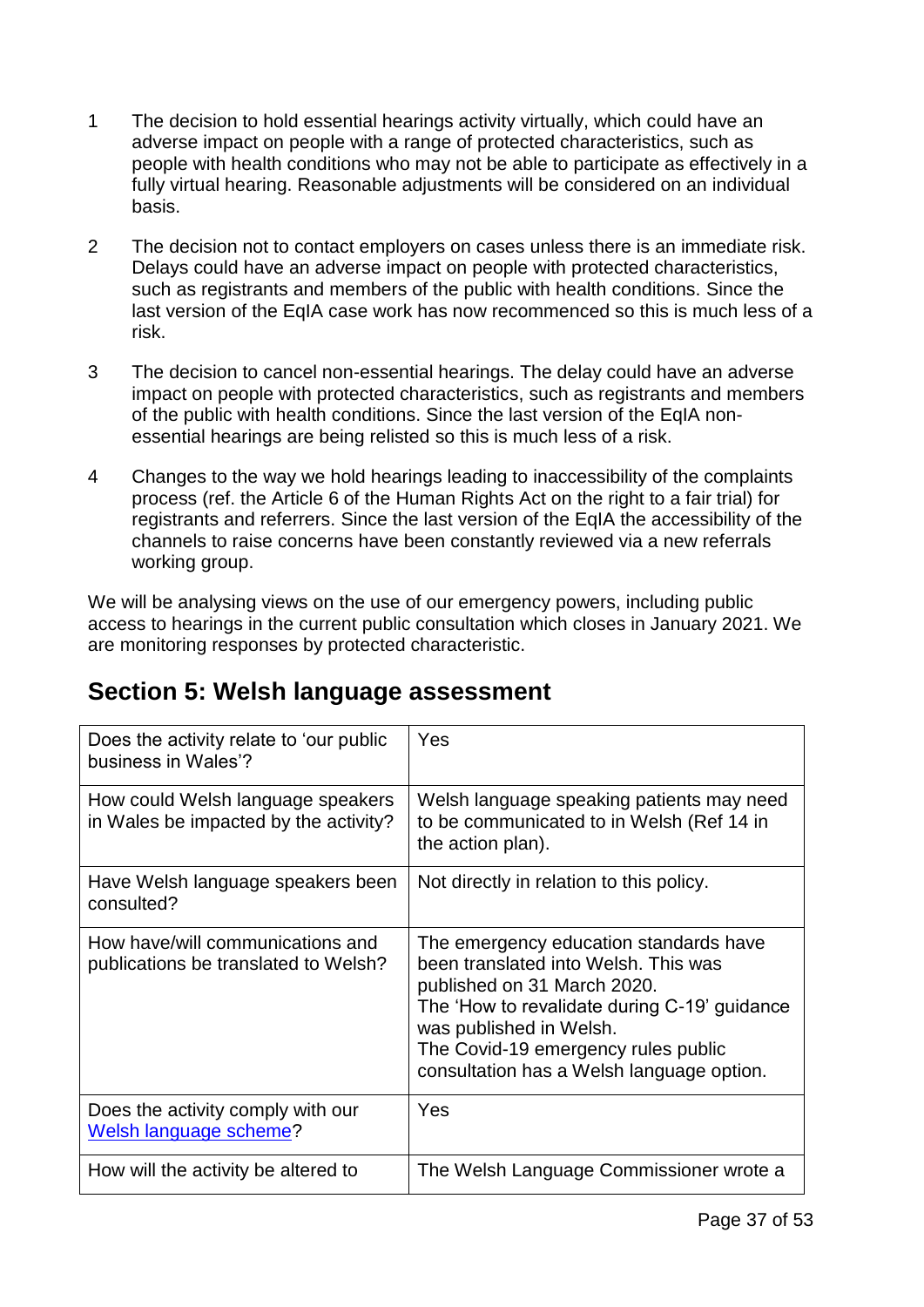- 1 The decision to hold essential hearings activity virtually, which could have an adverse impact on people with a range of protected characteristics, such as people with health conditions who may not be able to participate as effectively in a fully virtual hearing. Reasonable adjustments will be considered on an individual basis.
- 2 The decision not to contact employers on cases unless there is an immediate risk. Delays could have an adverse impact on people with protected characteristics, such as registrants and members of the public with health conditions. Since the last version of the EqIA case work has now recommenced so this is much less of a risk.
- 3 The decision to cancel non-essential hearings. The delay could have an adverse impact on people with protected characteristics, such as registrants and members of the public with health conditions. Since the last version of the EqIA nonessential hearings are being relisted so this is much less of a risk.
- 4 Changes to the way we hold hearings leading to inaccessibility of the complaints process (ref. the Article 6 of the Human Rights Act on the right to a fair trial) for registrants and referrers. Since the last version of the EqIA the accessibility of the channels to raise concerns have been constantly reviewed via a new referrals working group.

We will be analysing views on the use of our emergency powers, including public access to hearings in the current public consultation which closes in January 2021. We are monitoring responses by protected characteristic.

## <span id="page-36-0"></span>**Section 5: Welsh language assessment**

| Does the activity relate to 'our public<br>business in Wales'?             | Yes                                                                                                                                                                                                                                                                          |
|----------------------------------------------------------------------------|------------------------------------------------------------------------------------------------------------------------------------------------------------------------------------------------------------------------------------------------------------------------------|
| How could Welsh language speakers<br>in Wales be impacted by the activity? | Welsh language speaking patients may need<br>to be communicated to in Welsh (Ref 14 in<br>the action plan).                                                                                                                                                                  |
| Have Welsh language speakers been<br>consulted?                            | Not directly in relation to this policy.                                                                                                                                                                                                                                     |
| How have/will communications and<br>publications be translated to Welsh?   | The emergency education standards have<br>been translated into Welsh. This was<br>published on 31 March 2020.<br>The 'How to revalidate during C-19' guidance<br>was published in Welsh.<br>The Covid-19 emergency rules public<br>consultation has a Welsh language option. |
| Does the activity comply with our<br>Welsh language scheme?                | Yes                                                                                                                                                                                                                                                                          |
| How will the activity be altered to                                        | The Welsh Language Commissioner wrote a                                                                                                                                                                                                                                      |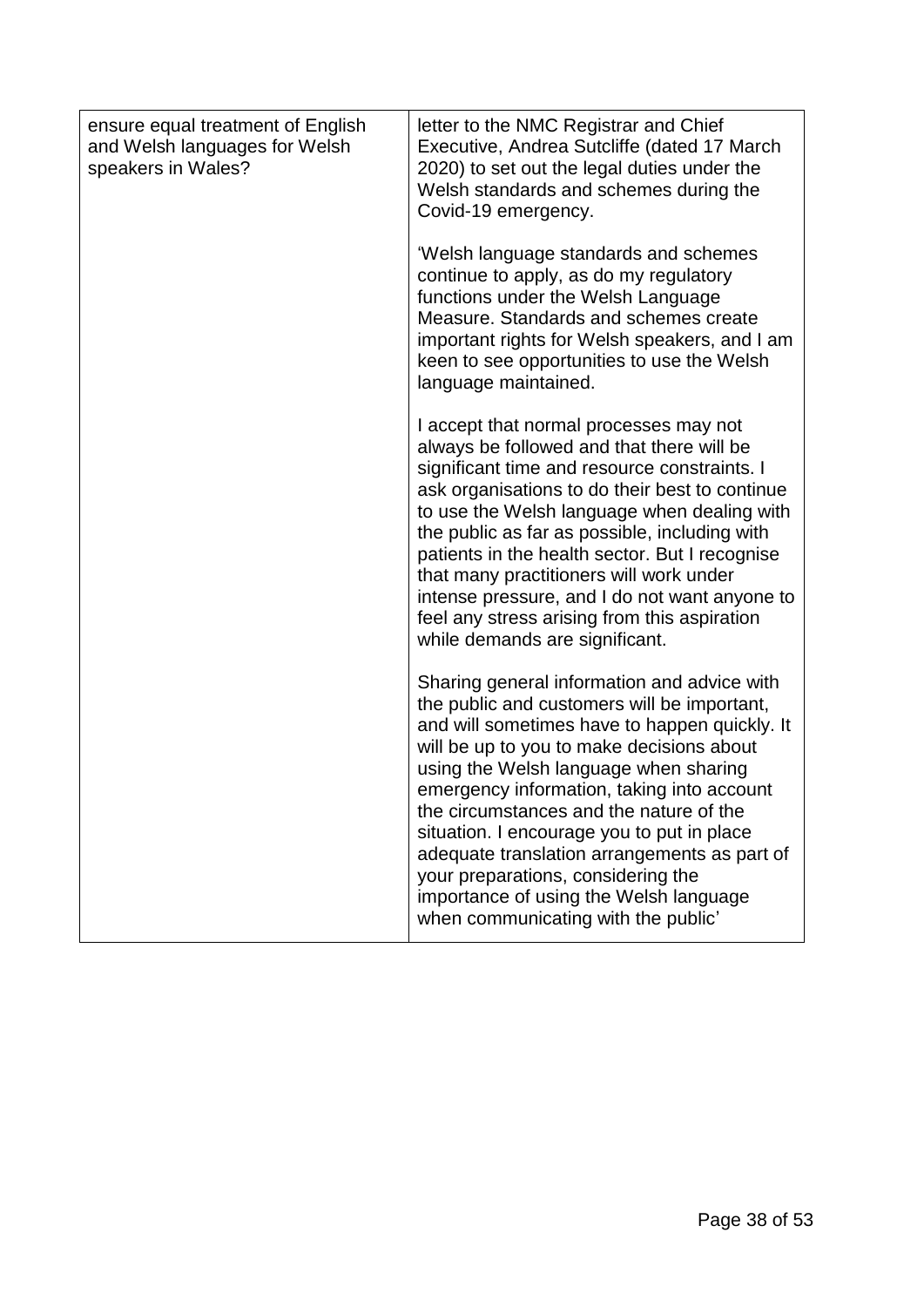| ensure equal treatment of English<br>and Welsh languages for Welsh<br>speakers in Wales? | letter to the NMC Registrar and Chief<br>Executive, Andrea Sutcliffe (dated 17 March<br>2020) to set out the legal duties under the<br>Welsh standards and schemes during the<br>Covid-19 emergency.<br>'Welsh language standards and schemes<br>continue to apply, as do my regulatory<br>functions under the Welsh Language<br>Measure. Standards and schemes create<br>important rights for Welsh speakers, and I am<br>keen to see opportunities to use the Welsh<br>language maintained.                                                   |
|------------------------------------------------------------------------------------------|-------------------------------------------------------------------------------------------------------------------------------------------------------------------------------------------------------------------------------------------------------------------------------------------------------------------------------------------------------------------------------------------------------------------------------------------------------------------------------------------------------------------------------------------------|
|                                                                                          | I accept that normal processes may not<br>always be followed and that there will be<br>significant time and resource constraints. I<br>ask organisations to do their best to continue<br>to use the Welsh language when dealing with<br>the public as far as possible, including with<br>patients in the health sector. But I recognise<br>that many practitioners will work under<br>intense pressure, and I do not want anyone to<br>feel any stress arising from this aspiration<br>while demands are significant.                           |
|                                                                                          | Sharing general information and advice with<br>the public and customers will be important,<br>and will sometimes have to happen quickly. It<br>will be up to you to make decisions about<br>using the Welsh language when sharing<br>emergency information, taking into account<br>the circumstances and the nature of the<br>situation. I encourage you to put in place<br>adequate translation arrangements as part of<br>your preparations, considering the<br>importance of using the Welsh language<br>when communicating with the public' |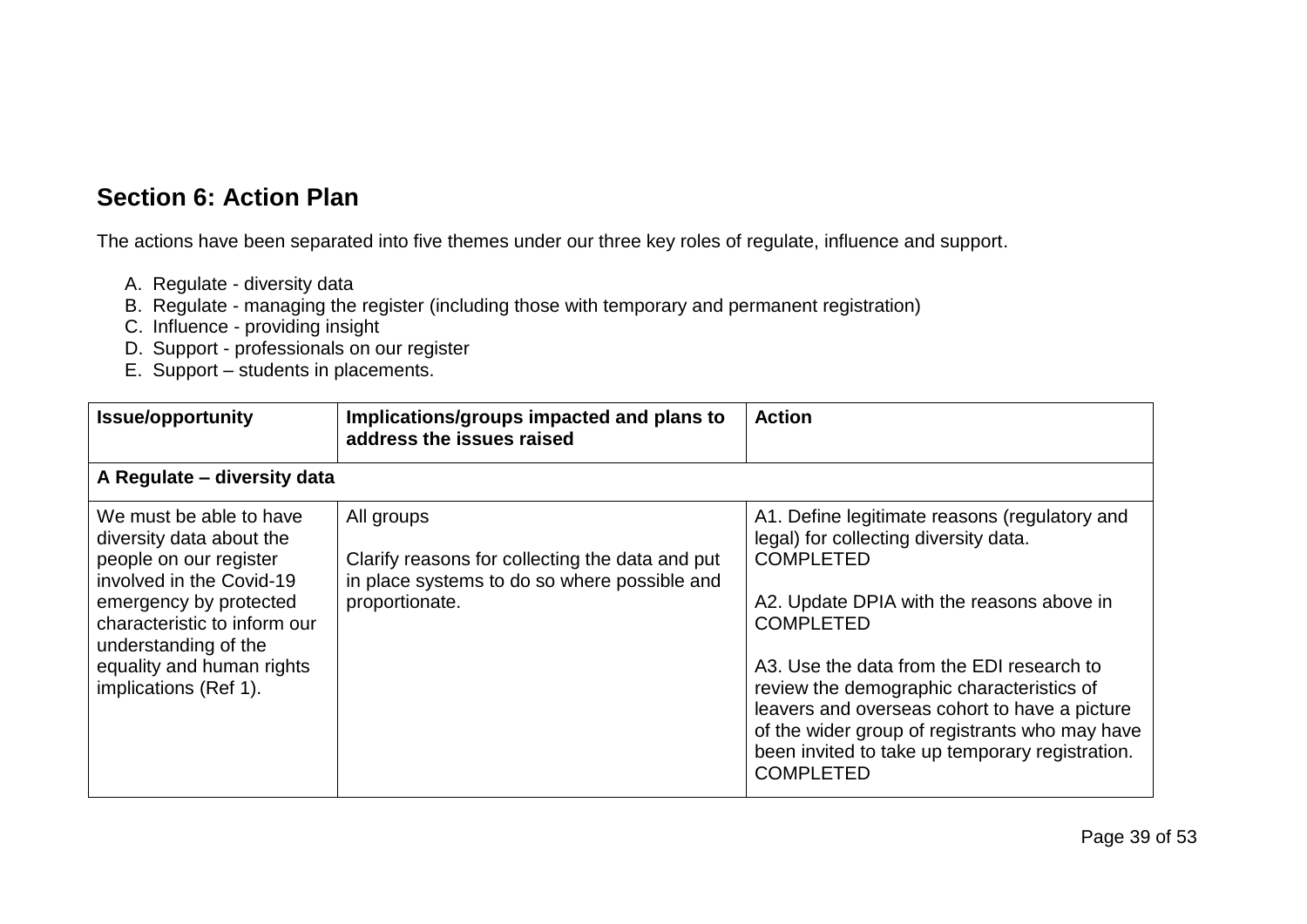### **Section 6: Action Plan**

The actions have been separated into five themes under our three key roles of regulate, influence and support.

- A. Regulate diversity data
- B. Regulate managing the register (including those with temporary and permanent registration)
- C. Influence providing insight
- D. Support professionals on our register
- E. Support students in placements.

<span id="page-38-0"></span>

| <b>Issue/opportunity</b>                                                                                                                                                                                                                          | Implications/groups impacted and plans to<br>address the issues raised                                                          | <b>Action</b>                                                                                                                                                                                                                                                                                                                                                                                                                                   |
|---------------------------------------------------------------------------------------------------------------------------------------------------------------------------------------------------------------------------------------------------|---------------------------------------------------------------------------------------------------------------------------------|-------------------------------------------------------------------------------------------------------------------------------------------------------------------------------------------------------------------------------------------------------------------------------------------------------------------------------------------------------------------------------------------------------------------------------------------------|
| A Regulate - diversity data                                                                                                                                                                                                                       |                                                                                                                                 |                                                                                                                                                                                                                                                                                                                                                                                                                                                 |
| We must be able to have<br>diversity data about the<br>people on our register<br>involved in the Covid-19<br>emergency by protected<br>characteristic to inform our<br>understanding of the<br>equality and human rights<br>implications (Ref 1). | All groups<br>Clarify reasons for collecting the data and put<br>in place systems to do so where possible and<br>proportionate. | A1. Define legitimate reasons (regulatory and<br>legal) for collecting diversity data.<br><b>COMPLETED</b><br>A2. Update DPIA with the reasons above in<br><b>COMPLETED</b><br>A3. Use the data from the EDI research to<br>review the demographic characteristics of<br>leavers and overseas cohort to have a picture<br>of the wider group of registrants who may have<br>been invited to take up temporary registration.<br><b>COMPLETED</b> |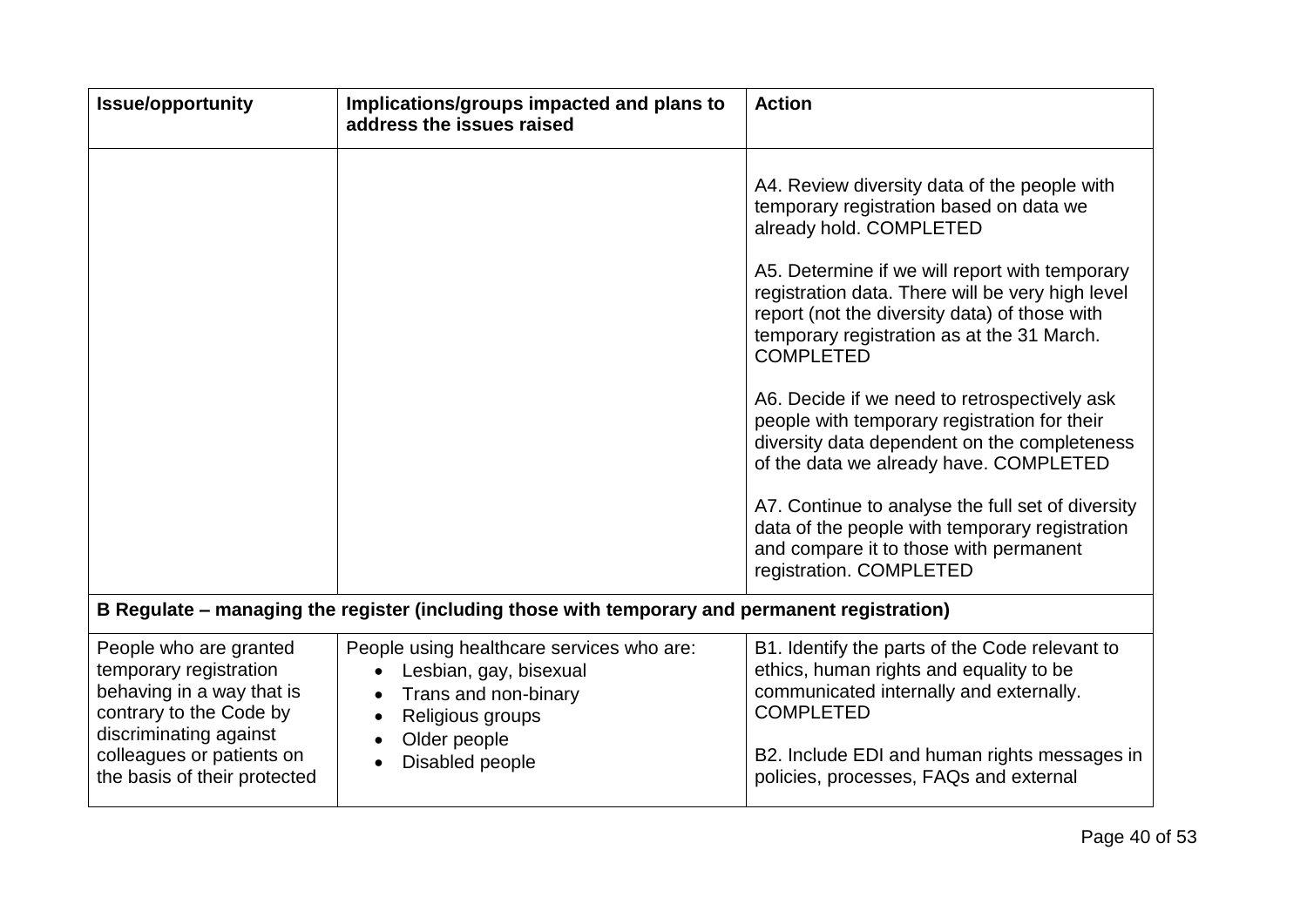| <b>Issue/opportunity</b>                                                                                                                                                                        | Implications/groups impacted and plans to<br>address the issues raised                                                                             | <b>Action</b>                                                                                                                                                                                                                                                                                                                                                                                                                                                                                                                                                                                                                                                                                                     |
|-------------------------------------------------------------------------------------------------------------------------------------------------------------------------------------------------|----------------------------------------------------------------------------------------------------------------------------------------------------|-------------------------------------------------------------------------------------------------------------------------------------------------------------------------------------------------------------------------------------------------------------------------------------------------------------------------------------------------------------------------------------------------------------------------------------------------------------------------------------------------------------------------------------------------------------------------------------------------------------------------------------------------------------------------------------------------------------------|
|                                                                                                                                                                                                 |                                                                                                                                                    | A4. Review diversity data of the people with<br>temporary registration based on data we<br>already hold. COMPLETED<br>A5. Determine if we will report with temporary<br>registration data. There will be very high level<br>report (not the diversity data) of those with<br>temporary registration as at the 31 March.<br><b>COMPLETED</b><br>A6. Decide if we need to retrospectively ask<br>people with temporary registration for their<br>diversity data dependent on the completeness<br>of the data we already have. COMPLETED<br>A7. Continue to analyse the full set of diversity<br>data of the people with temporary registration<br>and compare it to those with permanent<br>registration. COMPLETED |
|                                                                                                                                                                                                 | B Regulate – managing the register (including those with temporary and permanent registration)                                                     |                                                                                                                                                                                                                                                                                                                                                                                                                                                                                                                                                                                                                                                                                                                   |
| People who are granted<br>temporary registration<br>behaving in a way that is<br>contrary to the Code by<br>discriminating against<br>colleagues or patients on<br>the basis of their protected | People using healthcare services who are:<br>Lesbian, gay, bisexual<br>Trans and non-binary<br>Religious groups<br>Older people<br>Disabled people | B1. Identify the parts of the Code relevant to<br>ethics, human rights and equality to be<br>communicated internally and externally.<br><b>COMPLETED</b><br>B2. Include EDI and human rights messages in<br>policies, processes, FAQs and external                                                                                                                                                                                                                                                                                                                                                                                                                                                                |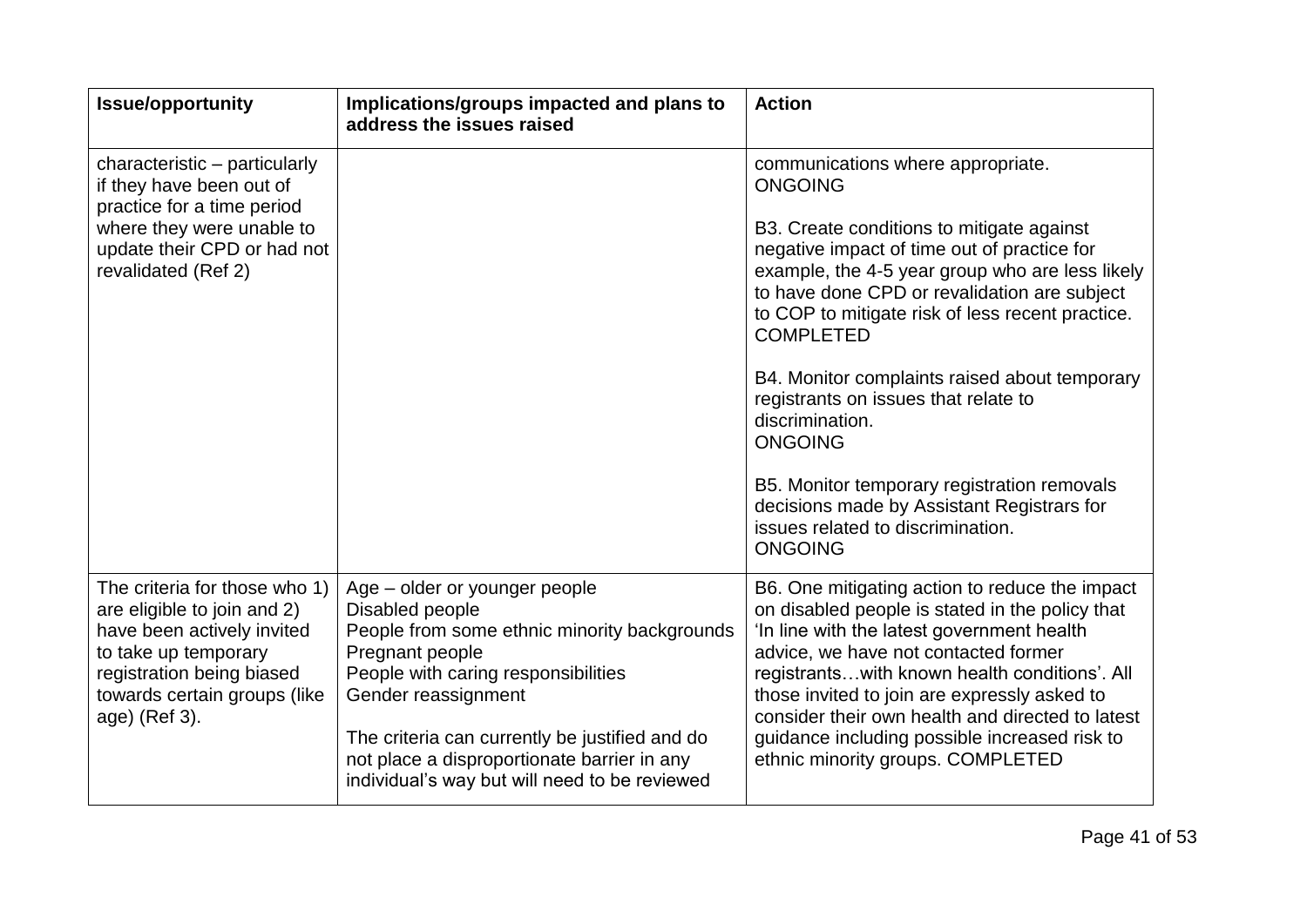| <b>Issue/opportunity</b>                                                                                                                                                                         | Implications/groups impacted and plans to<br>address the issues raised                                                                                                                                                                                                                                                              | <b>Action</b>                                                                                                                                                                                                                                                                                                                                                                                                                                                                                                                                                                                                |
|--------------------------------------------------------------------------------------------------------------------------------------------------------------------------------------------------|-------------------------------------------------------------------------------------------------------------------------------------------------------------------------------------------------------------------------------------------------------------------------------------------------------------------------------------|--------------------------------------------------------------------------------------------------------------------------------------------------------------------------------------------------------------------------------------------------------------------------------------------------------------------------------------------------------------------------------------------------------------------------------------------------------------------------------------------------------------------------------------------------------------------------------------------------------------|
| characteristic - particularly<br>if they have been out of<br>practice for a time period<br>where they were unable to<br>update their CPD or had not<br>revalidated (Ref 2)                       |                                                                                                                                                                                                                                                                                                                                     | communications where appropriate.<br><b>ONGOING</b><br>B3. Create conditions to mitigate against<br>negative impact of time out of practice for<br>example, the 4-5 year group who are less likely<br>to have done CPD or revalidation are subject<br>to COP to mitigate risk of less recent practice.<br><b>COMPLETED</b><br>B4. Monitor complaints raised about temporary<br>registrants on issues that relate to<br>discrimination.<br><b>ONGOING</b><br>B5. Monitor temporary registration removals<br>decisions made by Assistant Registrars for<br>issues related to discrimination.<br><b>ONGOING</b> |
| The criteria for those who 1)<br>are eligible to join and 2)<br>have been actively invited<br>to take up temporary<br>registration being biased<br>towards certain groups (like<br>age) (Ref 3). | Age – older or younger people<br>Disabled people<br>People from some ethnic minority backgrounds<br>Pregnant people<br>People with caring responsibilities<br>Gender reassignment<br>The criteria can currently be justified and do<br>not place a disproportionate barrier in any<br>individual's way but will need to be reviewed | B6. One mitigating action to reduce the impact<br>on disabled people is stated in the policy that<br>'In line with the latest government health<br>advice, we have not contacted former<br>registrantswith known health conditions'. All<br>those invited to join are expressly asked to<br>consider their own health and directed to latest<br>guidance including possible increased risk to<br>ethnic minority groups. COMPLETED                                                                                                                                                                           |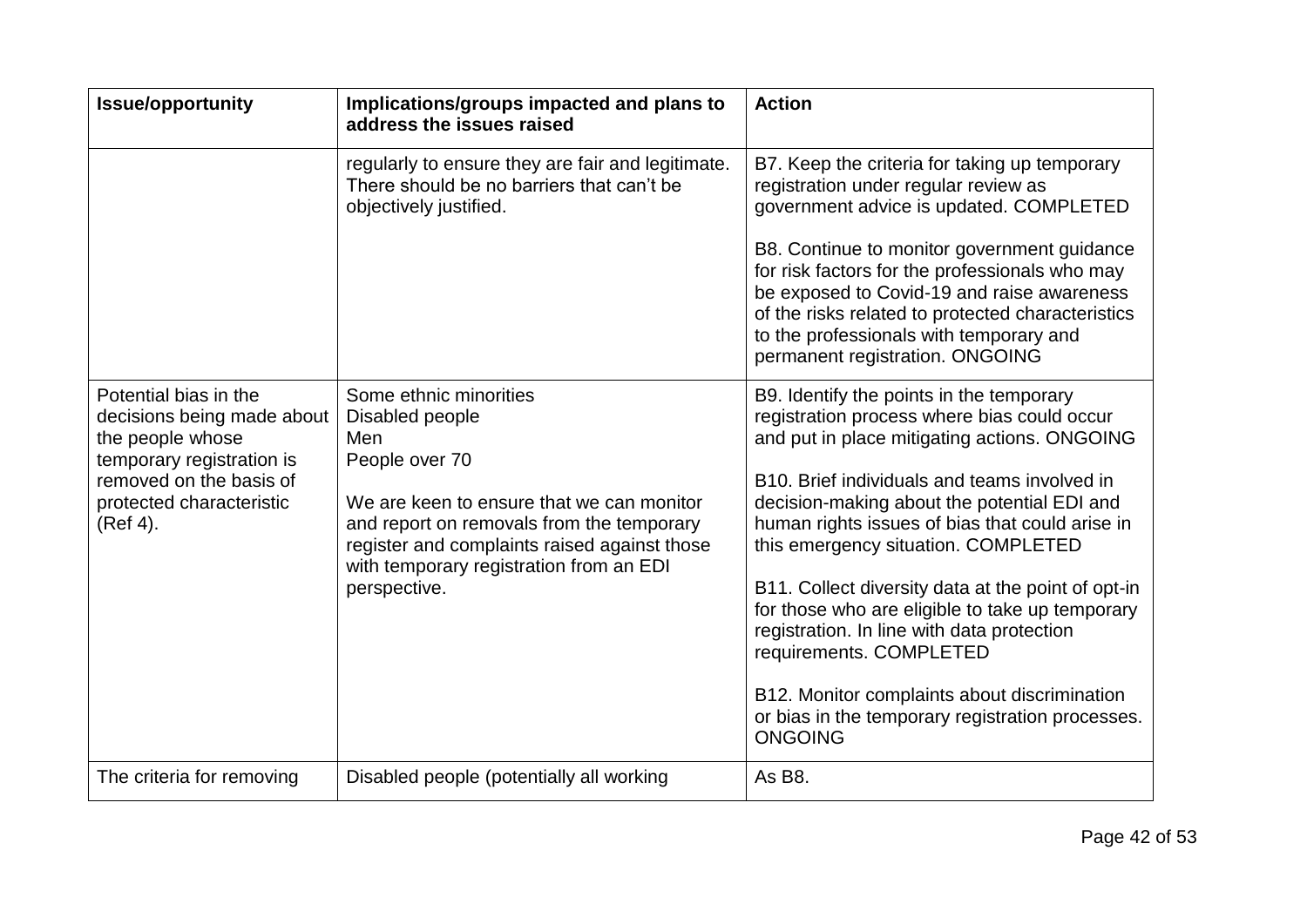| <b>Issue/opportunity</b>                                                                                                                                                | Implications/groups impacted and plans to<br>address the issues raised                                                                                                                                                                                                  | <b>Action</b>                                                                                                                                                                                                                                                                                                                                                                                                                                                                                                                                                                                                                            |
|-------------------------------------------------------------------------------------------------------------------------------------------------------------------------|-------------------------------------------------------------------------------------------------------------------------------------------------------------------------------------------------------------------------------------------------------------------------|------------------------------------------------------------------------------------------------------------------------------------------------------------------------------------------------------------------------------------------------------------------------------------------------------------------------------------------------------------------------------------------------------------------------------------------------------------------------------------------------------------------------------------------------------------------------------------------------------------------------------------------|
|                                                                                                                                                                         | regularly to ensure they are fair and legitimate.<br>There should be no barriers that can't be<br>objectively justified.                                                                                                                                                | B7. Keep the criteria for taking up temporary<br>registration under regular review as<br>government advice is updated. COMPLETED<br>B8. Continue to monitor government guidance                                                                                                                                                                                                                                                                                                                                                                                                                                                          |
|                                                                                                                                                                         |                                                                                                                                                                                                                                                                         | for risk factors for the professionals who may<br>be exposed to Covid-19 and raise awareness<br>of the risks related to protected characteristics<br>to the professionals with temporary and<br>permanent registration. ONGOING                                                                                                                                                                                                                                                                                                                                                                                                          |
| Potential bias in the<br>decisions being made about<br>the people whose<br>temporary registration is<br>removed on the basis of<br>protected characteristic<br>(Ref 4). | Some ethnic minorities<br>Disabled people<br>Men<br>People over 70<br>We are keen to ensure that we can monitor<br>and report on removals from the temporary<br>register and complaints raised against those<br>with temporary registration from an EDI<br>perspective. | B9. Identify the points in the temporary<br>registration process where bias could occur<br>and put in place mitigating actions. ONGOING<br>B10. Brief individuals and teams involved in<br>decision-making about the potential EDI and<br>human rights issues of bias that could arise in<br>this emergency situation. COMPLETED<br>B11. Collect diversity data at the point of opt-in<br>for those who are eligible to take up temporary<br>registration. In line with data protection<br>requirements. COMPLETED<br>B12. Monitor complaints about discrimination<br>or bias in the temporary registration processes.<br><b>ONGOING</b> |
| The criteria for removing                                                                                                                                               | Disabled people (potentially all working                                                                                                                                                                                                                                | As B8.                                                                                                                                                                                                                                                                                                                                                                                                                                                                                                                                                                                                                                   |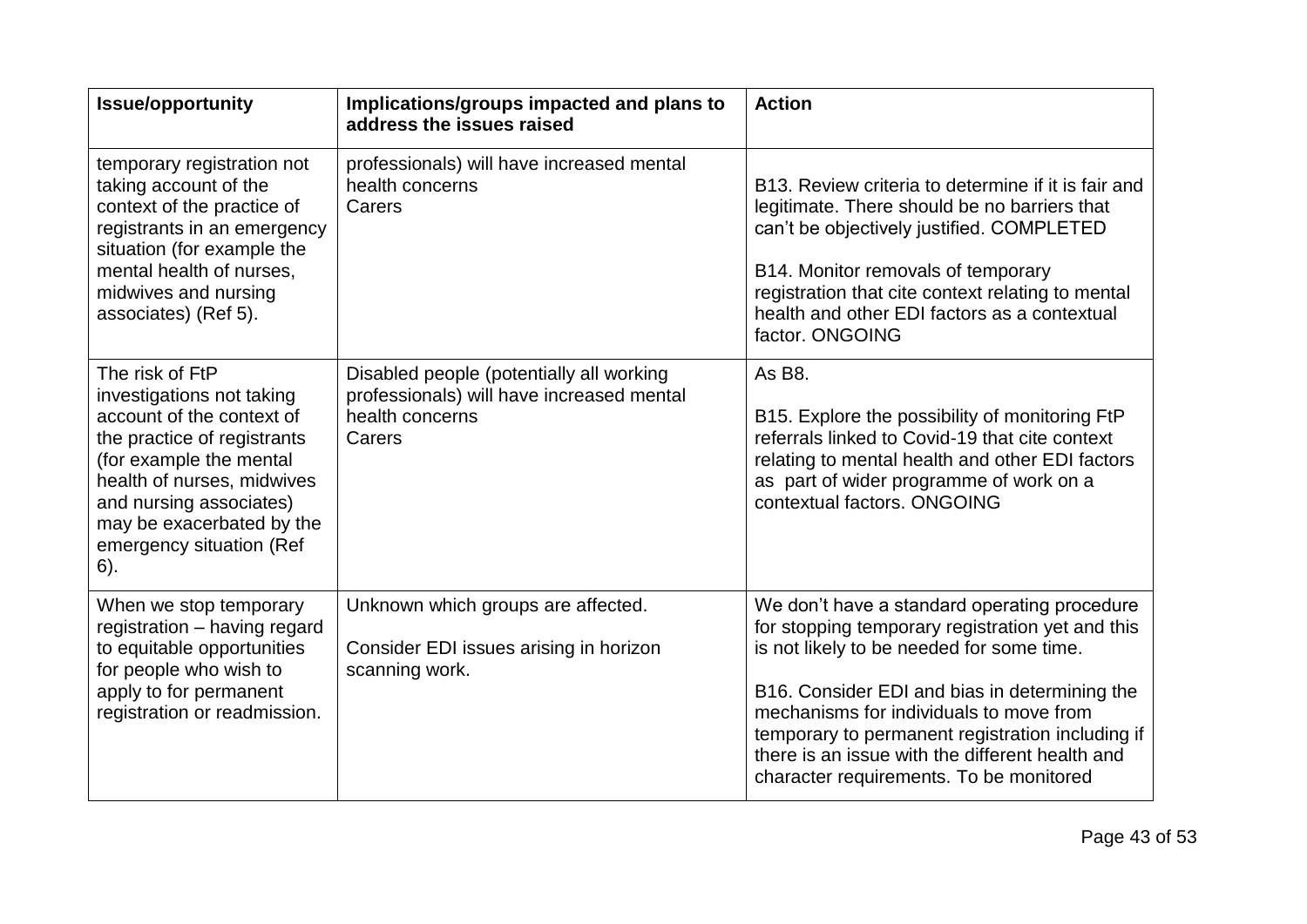| <b>Issue/opportunity</b>                                                                                                                                                                                                                                     | Implications/groups impacted and plans to<br>address the issues raised                                             | <b>Action</b>                                                                                                                                                                                                                                                                                                                                                                               |
|--------------------------------------------------------------------------------------------------------------------------------------------------------------------------------------------------------------------------------------------------------------|--------------------------------------------------------------------------------------------------------------------|---------------------------------------------------------------------------------------------------------------------------------------------------------------------------------------------------------------------------------------------------------------------------------------------------------------------------------------------------------------------------------------------|
| temporary registration not<br>taking account of the<br>context of the practice of<br>registrants in an emergency<br>situation (for example the<br>mental health of nurses,<br>midwives and nursing<br>associates) (Ref 5).                                   | professionals) will have increased mental<br>health concerns<br>Carers                                             | B13. Review criteria to determine if it is fair and<br>legitimate. There should be no barriers that<br>can't be objectively justified. COMPLETED<br>B14. Monitor removals of temporary<br>registration that cite context relating to mental<br>health and other EDI factors as a contextual<br>factor. ONGOING                                                                              |
| The risk of FtP<br>investigations not taking<br>account of the context of<br>the practice of registrants<br>(for example the mental<br>health of nurses, midwives<br>and nursing associates)<br>may be exacerbated by the<br>emergency situation (Ref<br>6). | Disabled people (potentially all working<br>professionals) will have increased mental<br>health concerns<br>Carers | As B8.<br>B15. Explore the possibility of monitoring FtP<br>referrals linked to Covid-19 that cite context<br>relating to mental health and other EDI factors<br>as part of wider programme of work on a<br>contextual factors. ONGOING                                                                                                                                                     |
| When we stop temporary<br>registration - having regard<br>to equitable opportunities<br>for people who wish to<br>apply to for permanent<br>registration or readmission.                                                                                     | Unknown which groups are affected.<br>Consider EDI issues arising in horizon<br>scanning work.                     | We don't have a standard operating procedure<br>for stopping temporary registration yet and this<br>is not likely to be needed for some time.<br>B16. Consider EDI and bias in determining the<br>mechanisms for individuals to move from<br>temporary to permanent registration including if<br>there is an issue with the different health and<br>character requirements. To be monitored |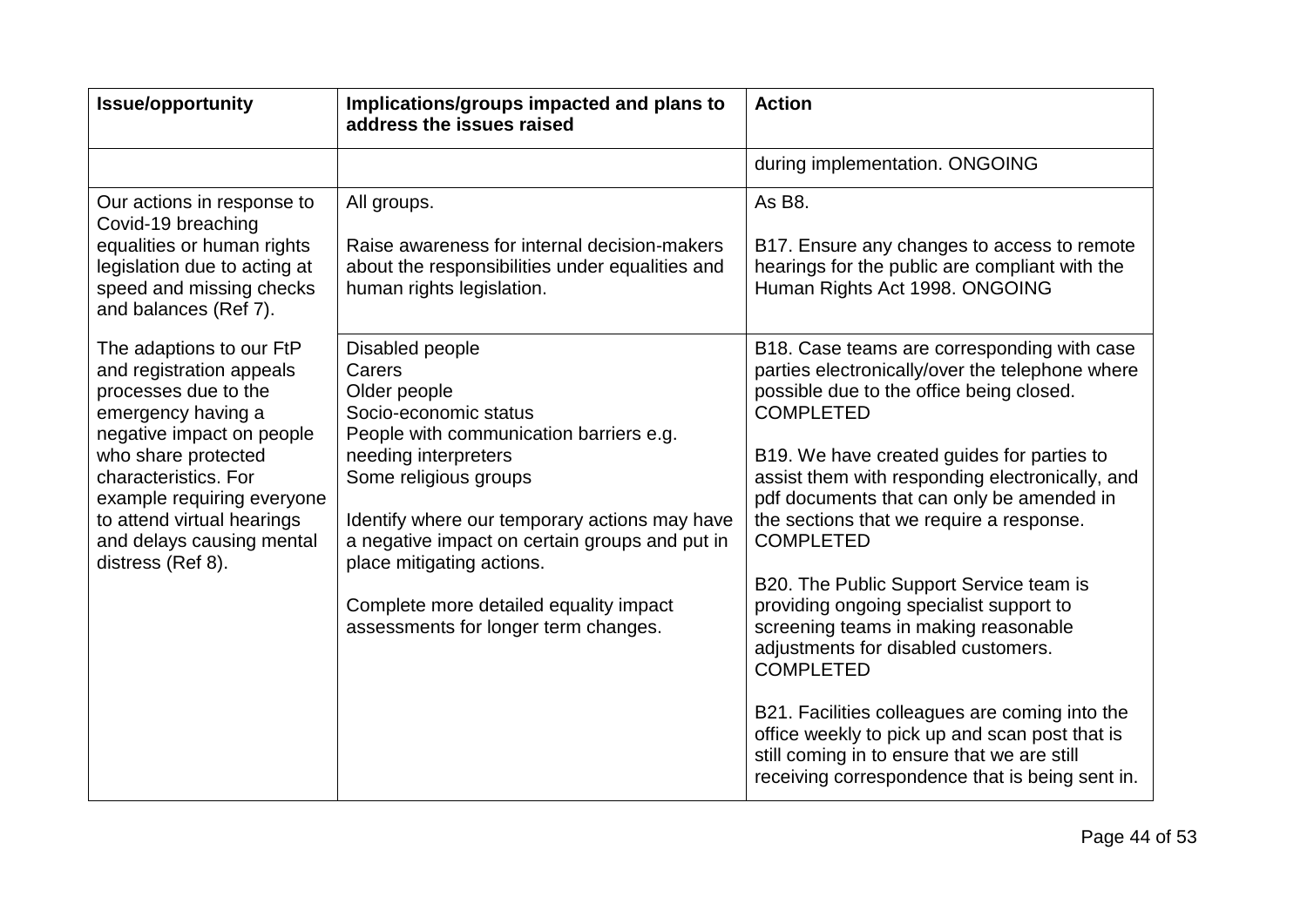| <b>Issue/opportunity</b>                                                                                                                                                                                                                                                                     | Implications/groups impacted and plans to<br>address the issues raised                                                                                                                                                                                                                                                                                                           | <b>Action</b>                                                                                                                                                                                                                                                                                                                                                                                                                                                                                                                                                                                                                                                                                                                                                               |
|----------------------------------------------------------------------------------------------------------------------------------------------------------------------------------------------------------------------------------------------------------------------------------------------|----------------------------------------------------------------------------------------------------------------------------------------------------------------------------------------------------------------------------------------------------------------------------------------------------------------------------------------------------------------------------------|-----------------------------------------------------------------------------------------------------------------------------------------------------------------------------------------------------------------------------------------------------------------------------------------------------------------------------------------------------------------------------------------------------------------------------------------------------------------------------------------------------------------------------------------------------------------------------------------------------------------------------------------------------------------------------------------------------------------------------------------------------------------------------|
|                                                                                                                                                                                                                                                                                              |                                                                                                                                                                                                                                                                                                                                                                                  | during implementation. ONGOING                                                                                                                                                                                                                                                                                                                                                                                                                                                                                                                                                                                                                                                                                                                                              |
| Our actions in response to<br>Covid-19 breaching<br>equalities or human rights<br>legislation due to acting at<br>speed and missing checks<br>and balances (Ref 7).                                                                                                                          | All groups.<br>Raise awareness for internal decision-makers<br>about the responsibilities under equalities and<br>human rights legislation.                                                                                                                                                                                                                                      | As B8.<br>B17. Ensure any changes to access to remote<br>hearings for the public are compliant with the<br>Human Rights Act 1998. ONGOING                                                                                                                                                                                                                                                                                                                                                                                                                                                                                                                                                                                                                                   |
| The adaptions to our FtP<br>and registration appeals<br>processes due to the<br>emergency having a<br>negative impact on people<br>who share protected<br>characteristics. For<br>example requiring everyone<br>to attend virtual hearings<br>and delays causing mental<br>distress (Ref 8). | Disabled people<br>Carers<br>Older people<br>Socio-economic status<br>People with communication barriers e.g.<br>needing interpreters<br>Some religious groups<br>Identify where our temporary actions may have<br>a negative impact on certain groups and put in<br>place mitigating actions.<br>Complete more detailed equality impact<br>assessments for longer term changes. | B18. Case teams are corresponding with case<br>parties electronically/over the telephone where<br>possible due to the office being closed.<br><b>COMPLETED</b><br>B19. We have created guides for parties to<br>assist them with responding electronically, and<br>pdf documents that can only be amended in<br>the sections that we require a response.<br><b>COMPLETED</b><br>B20. The Public Support Service team is<br>providing ongoing specialist support to<br>screening teams in making reasonable<br>adjustments for disabled customers.<br><b>COMPLETED</b><br>B21. Facilities colleagues are coming into the<br>office weekly to pick up and scan post that is<br>still coming in to ensure that we are still<br>receiving correspondence that is being sent in. |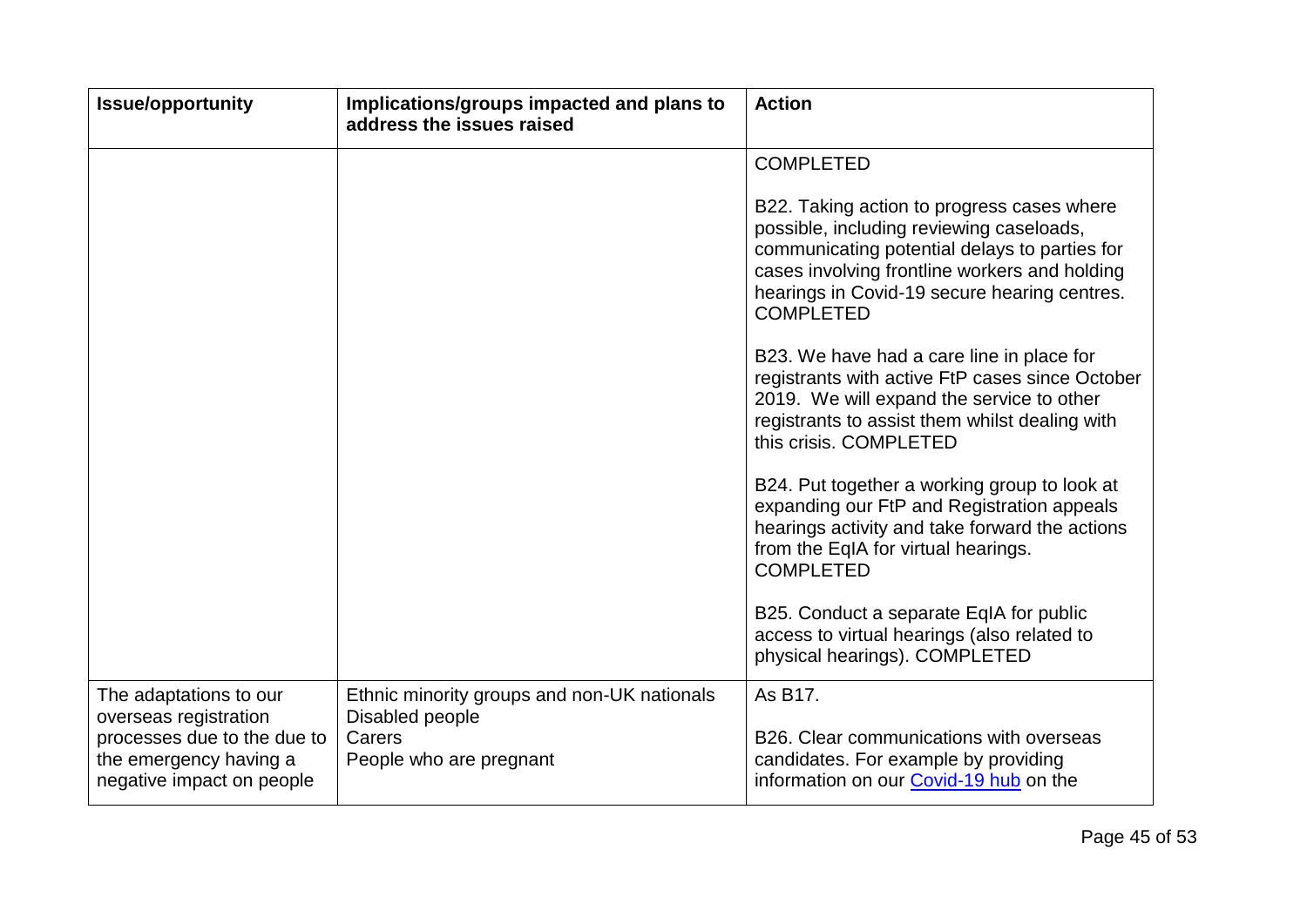| <b>Issue/opportunity</b>                                                           | Implications/groups impacted and plans to<br>address the issues raised | <b>Action</b>                                                                                                                                                                                                                                                |
|------------------------------------------------------------------------------------|------------------------------------------------------------------------|--------------------------------------------------------------------------------------------------------------------------------------------------------------------------------------------------------------------------------------------------------------|
|                                                                                    |                                                                        | <b>COMPLETED</b>                                                                                                                                                                                                                                             |
|                                                                                    |                                                                        | B22. Taking action to progress cases where<br>possible, including reviewing caseloads,<br>communicating potential delays to parties for<br>cases involving frontline workers and holding<br>hearings in Covid-19 secure hearing centres.<br><b>COMPLETED</b> |
|                                                                                    |                                                                        | B23. We have had a care line in place for<br>registrants with active FtP cases since October<br>2019. We will expand the service to other<br>registrants to assist them whilst dealing with<br>this crisis. COMPLETED                                        |
|                                                                                    |                                                                        | B24. Put together a working group to look at<br>expanding our FtP and Registration appeals<br>hearings activity and take forward the actions<br>from the EqIA for virtual hearings.<br><b>COMPLETED</b>                                                      |
|                                                                                    |                                                                        | B25. Conduct a separate EqIA for public<br>access to virtual hearings (also related to<br>physical hearings). COMPLETED                                                                                                                                      |
| The adaptations to our<br>overseas registration                                    | Ethnic minority groups and non-UK nationals<br>Disabled people         | As B17.                                                                                                                                                                                                                                                      |
| processes due to the due to<br>the emergency having a<br>negative impact on people | Carers<br>People who are pregnant                                      | B26. Clear communications with overseas<br>candidates. For example by providing<br>information on our Covid-19 hub on the                                                                                                                                    |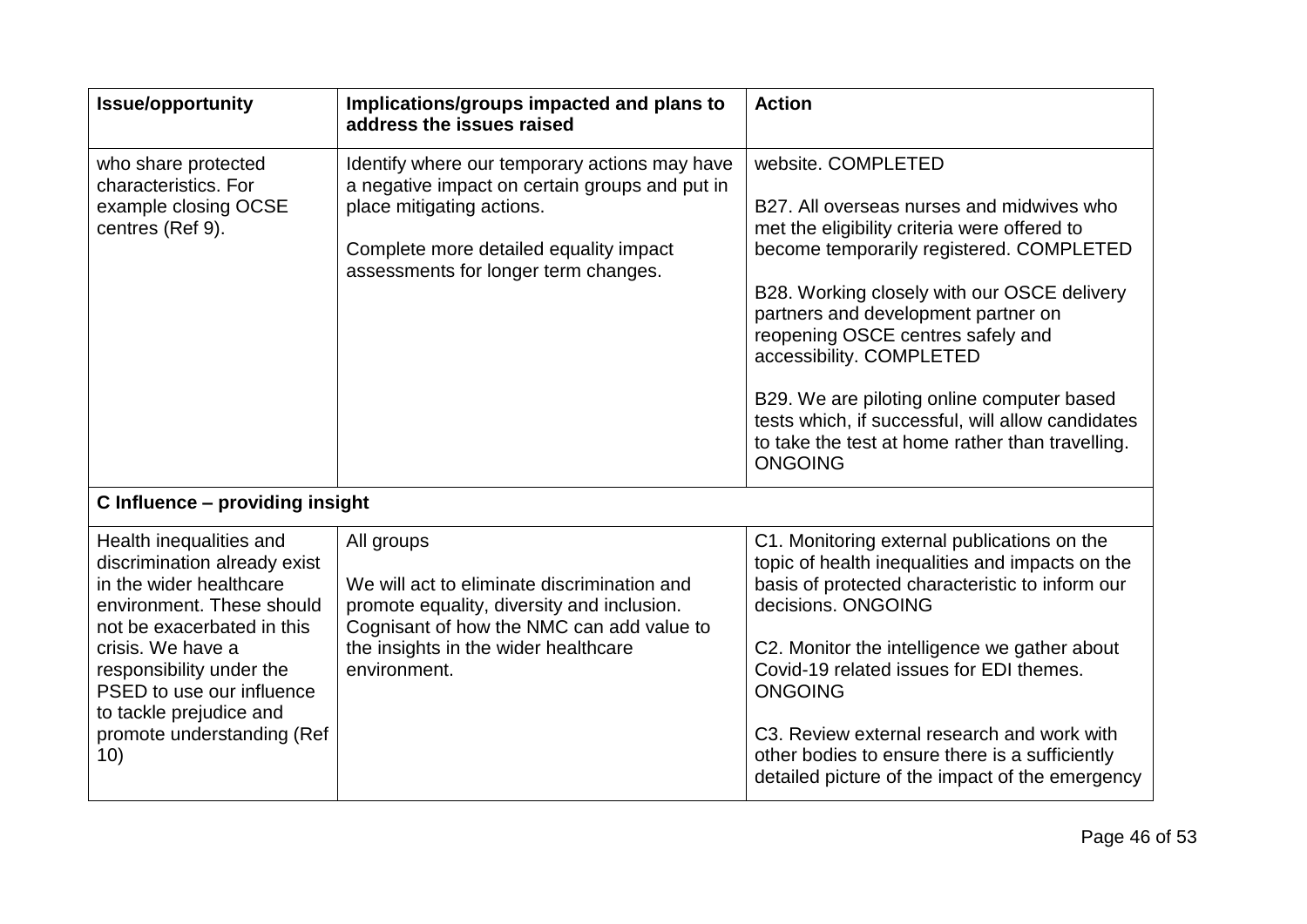| <b>Issue/opportunity</b>                                                                                                                                                                                                                                                                    | Implications/groups impacted and plans to<br>address the issues raised                                                                                                                                         | <b>Action</b>                                                                                                                                                                                                                                                                                                                                                                                                                                                                               |
|---------------------------------------------------------------------------------------------------------------------------------------------------------------------------------------------------------------------------------------------------------------------------------------------|----------------------------------------------------------------------------------------------------------------------------------------------------------------------------------------------------------------|---------------------------------------------------------------------------------------------------------------------------------------------------------------------------------------------------------------------------------------------------------------------------------------------------------------------------------------------------------------------------------------------------------------------------------------------------------------------------------------------|
| who share protected<br>characteristics. For<br>example closing OCSE<br>centres (Ref 9).                                                                                                                                                                                                     | Identify where our temporary actions may have<br>a negative impact on certain groups and put in<br>place mitigating actions.<br>Complete more detailed equality impact<br>assessments for longer term changes. | website. COMPLETED<br>B27. All overseas nurses and midwives who<br>met the eligibility criteria were offered to<br>become temporarily registered. COMPLETED<br>B28. Working closely with our OSCE delivery<br>partners and development partner on<br>reopening OSCE centres safely and<br>accessibility. COMPLETED<br>B29. We are piloting online computer based<br>tests which, if successful, will allow candidates<br>to take the test at home rather than travelling.<br><b>ONGOING</b> |
| C Influence - providing insight                                                                                                                                                                                                                                                             |                                                                                                                                                                                                                |                                                                                                                                                                                                                                                                                                                                                                                                                                                                                             |
| Health inequalities and<br>discrimination already exist<br>in the wider healthcare<br>environment. These should<br>not be exacerbated in this<br>crisis. We have a<br>responsibility under the<br>PSED to use our influence<br>to tackle prejudice and<br>promote understanding (Ref<br>10) | All groups<br>We will act to eliminate discrimination and<br>promote equality, diversity and inclusion.<br>Cognisant of how the NMC can add value to<br>the insights in the wider healthcare<br>environment.   | C1. Monitoring external publications on the<br>topic of health inequalities and impacts on the<br>basis of protected characteristic to inform our<br>decisions, ONGOING<br>C2. Monitor the intelligence we gather about<br>Covid-19 related issues for EDI themes.<br><b>ONGOING</b><br>C3. Review external research and work with<br>other bodies to ensure there is a sufficiently<br>detailed picture of the impact of the emergency                                                     |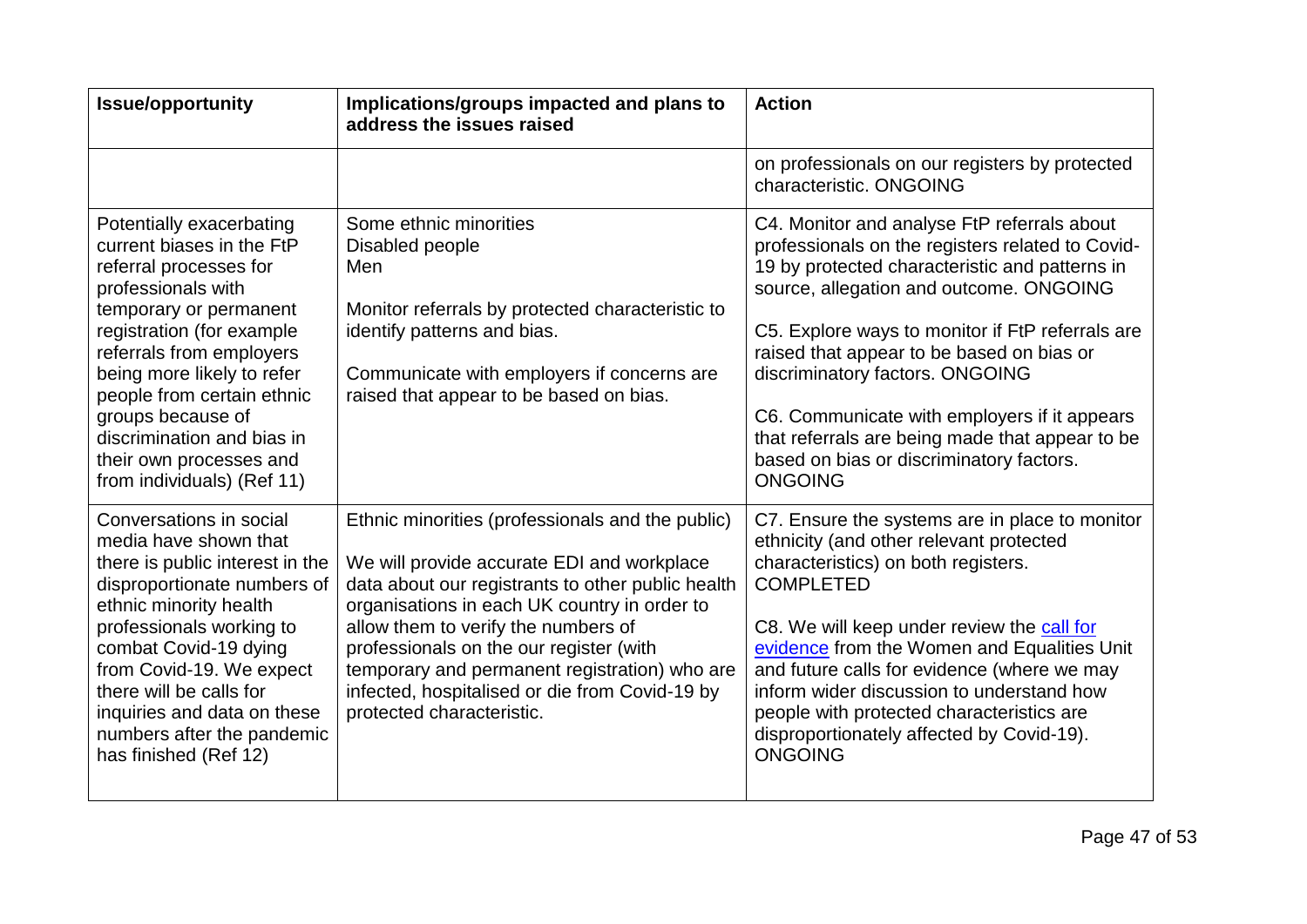| <b>Issue/opportunity</b>                                                                                                                                                                                                                                                                                                                                         | Implications/groups impacted and plans to<br>address the issues raised                                                                                                                                                                                                                                                                                                                                                | <b>Action</b>                                                                                                                                                                                                                                                                                                                                                                                                                                                                                     |
|------------------------------------------------------------------------------------------------------------------------------------------------------------------------------------------------------------------------------------------------------------------------------------------------------------------------------------------------------------------|-----------------------------------------------------------------------------------------------------------------------------------------------------------------------------------------------------------------------------------------------------------------------------------------------------------------------------------------------------------------------------------------------------------------------|---------------------------------------------------------------------------------------------------------------------------------------------------------------------------------------------------------------------------------------------------------------------------------------------------------------------------------------------------------------------------------------------------------------------------------------------------------------------------------------------------|
|                                                                                                                                                                                                                                                                                                                                                                  |                                                                                                                                                                                                                                                                                                                                                                                                                       | on professionals on our registers by protected<br>characteristic, ONGOING                                                                                                                                                                                                                                                                                                                                                                                                                         |
| Potentially exacerbating<br>current biases in the FtP<br>referral processes for<br>professionals with<br>temporary or permanent<br>registration (for example<br>referrals from employers<br>being more likely to refer<br>people from certain ethnic<br>groups because of<br>discrimination and bias in<br>their own processes and<br>from individuals) (Ref 11) | Some ethnic minorities<br>Disabled people<br>Men<br>Monitor referrals by protected characteristic to<br>identify patterns and bias.<br>Communicate with employers if concerns are<br>raised that appear to be based on bias.                                                                                                                                                                                          | C4. Monitor and analyse FtP referrals about<br>professionals on the registers related to Covid-<br>19 by protected characteristic and patterns in<br>source, allegation and outcome. ONGOING<br>C5. Explore ways to monitor if FtP referrals are<br>raised that appear to be based on bias or<br>discriminatory factors. ONGOING<br>C6. Communicate with employers if it appears<br>that referrals are being made that appear to be<br>based on bias or discriminatory factors.<br><b>ONGOING</b> |
| Conversations in social<br>media have shown that<br>there is public interest in the<br>disproportionate numbers of<br>ethnic minority health<br>professionals working to<br>combat Covid-19 dying<br>from Covid-19. We expect<br>there will be calls for<br>inquiries and data on these<br>numbers after the pandemic<br>has finished (Ref 12)                   | Ethnic minorities (professionals and the public)<br>We will provide accurate EDI and workplace<br>data about our registrants to other public health<br>organisations in each UK country in order to<br>allow them to verify the numbers of<br>professionals on the our register (with<br>temporary and permanent registration) who are<br>infected, hospitalised or die from Covid-19 by<br>protected characteristic. | C7. Ensure the systems are in place to monitor<br>ethnicity (and other relevant protected<br>characteristics) on both registers.<br><b>COMPLETED</b><br>C8. We will keep under review the call for<br>evidence from the Women and Equalities Unit<br>and future calls for evidence (where we may<br>inform wider discussion to understand how<br>people with protected characteristics are<br>disproportionately affected by Covid-19).<br><b>ONGOING</b>                                         |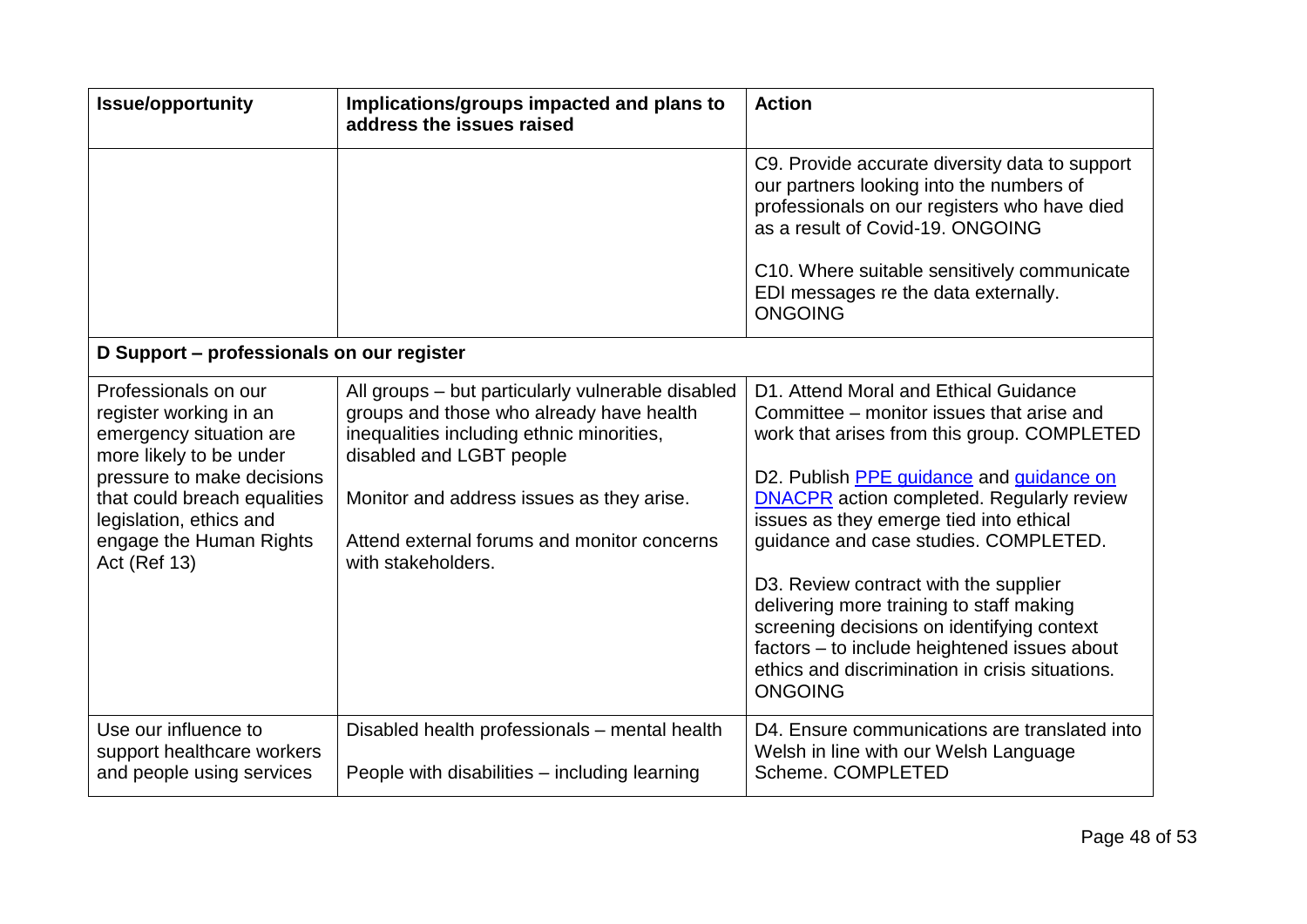| <b>Issue/opportunity</b>                                                                                                                                                                                                                        | Implications/groups impacted and plans to<br>address the issues raised                                                                                                                                                                                                                   | <b>Action</b>                                                                                                                                                                                                                                                                                                                                                                                                                                                                                                                                                                 |
|-------------------------------------------------------------------------------------------------------------------------------------------------------------------------------------------------------------------------------------------------|------------------------------------------------------------------------------------------------------------------------------------------------------------------------------------------------------------------------------------------------------------------------------------------|-------------------------------------------------------------------------------------------------------------------------------------------------------------------------------------------------------------------------------------------------------------------------------------------------------------------------------------------------------------------------------------------------------------------------------------------------------------------------------------------------------------------------------------------------------------------------------|
|                                                                                                                                                                                                                                                 |                                                                                                                                                                                                                                                                                          | C9. Provide accurate diversity data to support<br>our partners looking into the numbers of<br>professionals on our registers who have died<br>as a result of Covid-19, ONGOING                                                                                                                                                                                                                                                                                                                                                                                                |
|                                                                                                                                                                                                                                                 |                                                                                                                                                                                                                                                                                          | C10. Where suitable sensitively communicate<br>EDI messages re the data externally.<br><b>ONGOING</b>                                                                                                                                                                                                                                                                                                                                                                                                                                                                         |
| D Support - professionals on our register                                                                                                                                                                                                       |                                                                                                                                                                                                                                                                                          |                                                                                                                                                                                                                                                                                                                                                                                                                                                                                                                                                                               |
| Professionals on our<br>register working in an<br>emergency situation are<br>more likely to be under<br>pressure to make decisions<br>that could breach equalities<br>legislation, ethics and<br>engage the Human Rights<br><b>Act (Ref 13)</b> | All groups - but particularly vulnerable disabled<br>groups and those who already have health<br>inequalities including ethnic minorities,<br>disabled and LGBT people<br>Monitor and address issues as they arise.<br>Attend external forums and monitor concerns<br>with stakeholders. | D1. Attend Moral and Ethical Guidance<br>Committee - monitor issues that arise and<br>work that arises from this group. COMPLETED<br>D2. Publish PPE guidance and guidance on<br><b>DNACPR</b> action completed. Regularly review<br>issues as they emerge tied into ethical<br>guidance and case studies. COMPLETED.<br>D3. Review contract with the supplier<br>delivering more training to staff making<br>screening decisions on identifying context<br>factors - to include heightened issues about<br>ethics and discrimination in crisis situations.<br><b>ONGOING</b> |
| Use our influence to<br>support healthcare workers<br>and people using services                                                                                                                                                                 | Disabled health professionals - mental health<br>People with disabilities – including learning                                                                                                                                                                                           | D4. Ensure communications are translated into<br>Welsh in line with our Welsh Language<br>Scheme. COMPLETED                                                                                                                                                                                                                                                                                                                                                                                                                                                                   |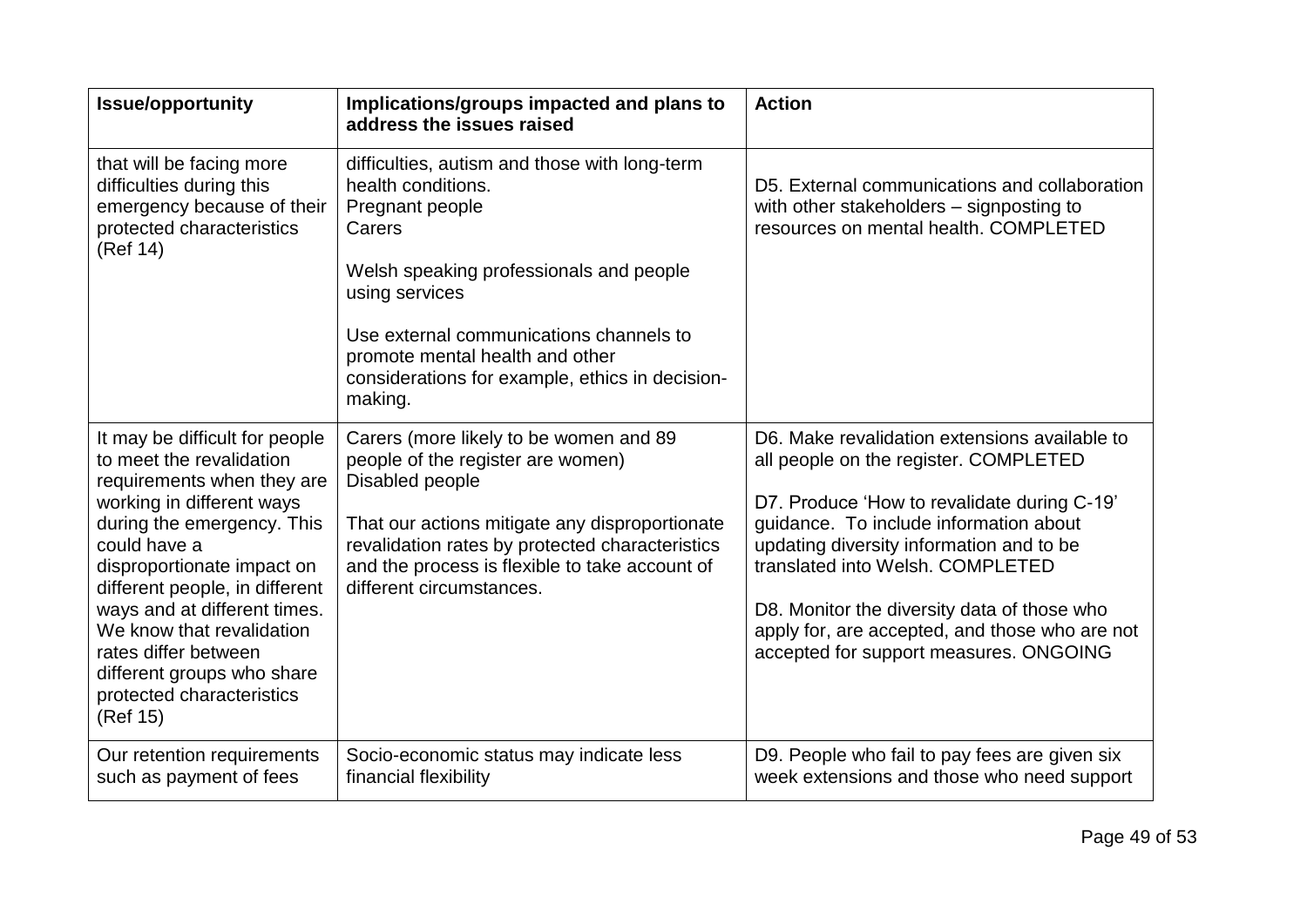| <b>Issue/opportunity</b>                                                                                                                                                                                                                                                                                                                                                                        | Implications/groups impacted and plans to<br>address the issues raised                                                                                                                                                                                                            | <b>Action</b>                                                                                                                                                                                                                                                                                                                                                                                              |
|-------------------------------------------------------------------------------------------------------------------------------------------------------------------------------------------------------------------------------------------------------------------------------------------------------------------------------------------------------------------------------------------------|-----------------------------------------------------------------------------------------------------------------------------------------------------------------------------------------------------------------------------------------------------------------------------------|------------------------------------------------------------------------------------------------------------------------------------------------------------------------------------------------------------------------------------------------------------------------------------------------------------------------------------------------------------------------------------------------------------|
| that will be facing more<br>difficulties during this<br>emergency because of their<br>protected characteristics<br>(Ref 14)                                                                                                                                                                                                                                                                     | difficulties, autism and those with long-term<br>health conditions.<br>Pregnant people<br>Carers<br>Welsh speaking professionals and people<br>using services                                                                                                                     | D5. External communications and collaboration<br>with other stakeholders – signposting to<br>resources on mental health. COMPLETED                                                                                                                                                                                                                                                                         |
|                                                                                                                                                                                                                                                                                                                                                                                                 | Use external communications channels to<br>promote mental health and other<br>considerations for example, ethics in decision-<br>making.                                                                                                                                          |                                                                                                                                                                                                                                                                                                                                                                                                            |
| It may be difficult for people<br>to meet the revalidation<br>requirements when they are<br>working in different ways<br>during the emergency. This<br>could have a<br>disproportionate impact on<br>different people, in different<br>ways and at different times.<br>We know that revalidation<br>rates differ between<br>different groups who share<br>protected characteristics<br>(Ref 15) | Carers (more likely to be women and 89<br>people of the register are women)<br>Disabled people<br>That our actions mitigate any disproportionate<br>revalidation rates by protected characteristics<br>and the process is flexible to take account of<br>different circumstances. | D6. Make revalidation extensions available to<br>all people on the register. COMPLETED<br>D7. Produce 'How to revalidate during C-19'<br>guidance. To include information about<br>updating diversity information and to be<br>translated into Welsh, COMPLETED<br>D8. Monitor the diversity data of those who<br>apply for, are accepted, and those who are not<br>accepted for support measures. ONGOING |
| Our retention requirements<br>such as payment of fees                                                                                                                                                                                                                                                                                                                                           | Socio-economic status may indicate less<br>financial flexibility                                                                                                                                                                                                                  | D9. People who fail to pay fees are given six<br>week extensions and those who need support                                                                                                                                                                                                                                                                                                                |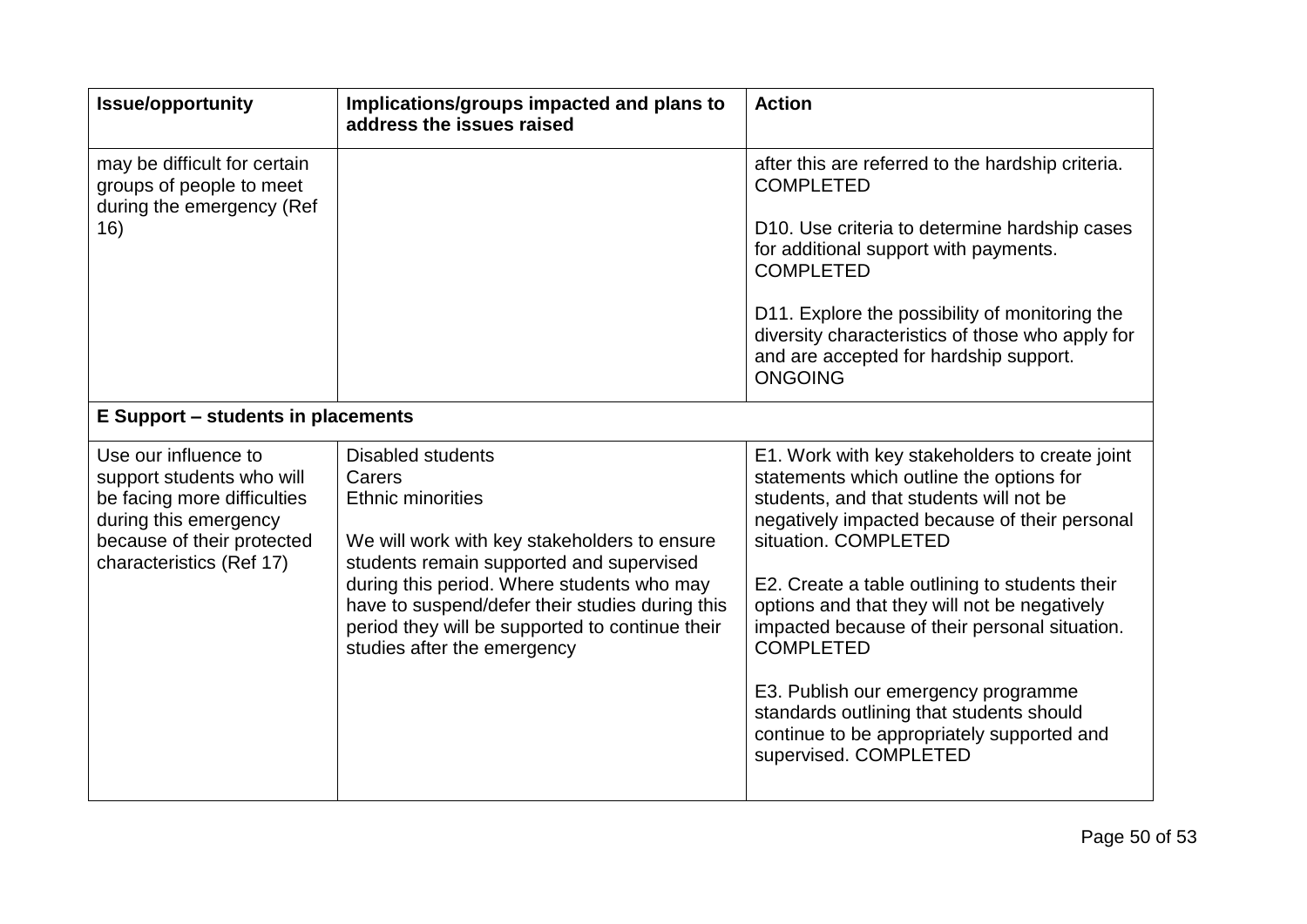| <b>Issue/opportunity</b>                                                                                                                                            | Implications/groups impacted and plans to<br>address the issues raised                                                                                                                                                                                                                                                                        | <b>Action</b>                                                                                                                                                                                                                                                                                                                                                                                                                                                                                                                                   |
|---------------------------------------------------------------------------------------------------------------------------------------------------------------------|-----------------------------------------------------------------------------------------------------------------------------------------------------------------------------------------------------------------------------------------------------------------------------------------------------------------------------------------------|-------------------------------------------------------------------------------------------------------------------------------------------------------------------------------------------------------------------------------------------------------------------------------------------------------------------------------------------------------------------------------------------------------------------------------------------------------------------------------------------------------------------------------------------------|
| may be difficult for certain<br>groups of people to meet<br>during the emergency (Ref<br>16)                                                                        |                                                                                                                                                                                                                                                                                                                                               | after this are referred to the hardship criteria.<br><b>COMPLETED</b>                                                                                                                                                                                                                                                                                                                                                                                                                                                                           |
|                                                                                                                                                                     |                                                                                                                                                                                                                                                                                                                                               | D10. Use criteria to determine hardship cases<br>for additional support with payments.<br><b>COMPLETED</b>                                                                                                                                                                                                                                                                                                                                                                                                                                      |
|                                                                                                                                                                     |                                                                                                                                                                                                                                                                                                                                               | D11. Explore the possibility of monitoring the<br>diversity characteristics of those who apply for<br>and are accepted for hardship support.<br><b>ONGOING</b>                                                                                                                                                                                                                                                                                                                                                                                  |
| <b>E Support - students in placements</b>                                                                                                                           |                                                                                                                                                                                                                                                                                                                                               |                                                                                                                                                                                                                                                                                                                                                                                                                                                                                                                                                 |
| Use our influence to<br>support students who will<br>be facing more difficulties<br>during this emergency<br>because of their protected<br>characteristics (Ref 17) | <b>Disabled students</b><br>Carers<br><b>Ethnic minorities</b><br>We will work with key stakeholders to ensure<br>students remain supported and supervised<br>during this period. Where students who may<br>have to suspend/defer their studies during this<br>period they will be supported to continue their<br>studies after the emergency | E1. Work with key stakeholders to create joint<br>statements which outline the options for<br>students, and that students will not be<br>negatively impacted because of their personal<br>situation, COMPLETED<br>E2. Create a table outlining to students their<br>options and that they will not be negatively<br>impacted because of their personal situation.<br><b>COMPLETED</b><br>E3. Publish our emergency programme<br>standards outlining that students should<br>continue to be appropriately supported and<br>supervised. COMPLETED |
|                                                                                                                                                                     |                                                                                                                                                                                                                                                                                                                                               |                                                                                                                                                                                                                                                                                                                                                                                                                                                                                                                                                 |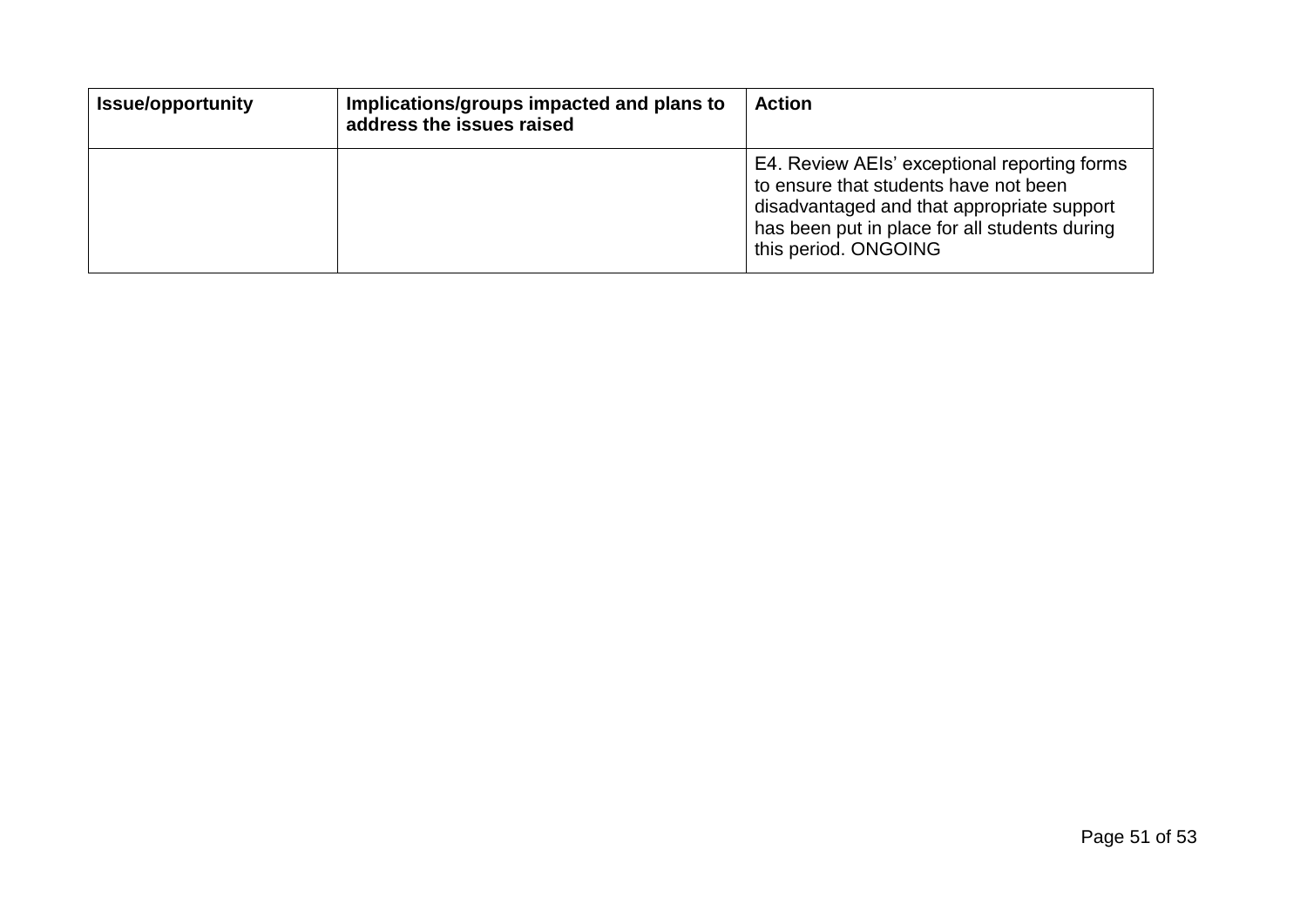| <b>Issue/opportunity</b> | Implications/groups impacted and plans to<br>address the issues raised | <b>Action</b>                                                                                                                                                                                                |
|--------------------------|------------------------------------------------------------------------|--------------------------------------------------------------------------------------------------------------------------------------------------------------------------------------------------------------|
|                          |                                                                        | E4. Review AEIs' exceptional reporting forms<br>to ensure that students have not been<br>disadvantaged and that appropriate support<br>has been put in place for all students during<br>this period. ONGOING |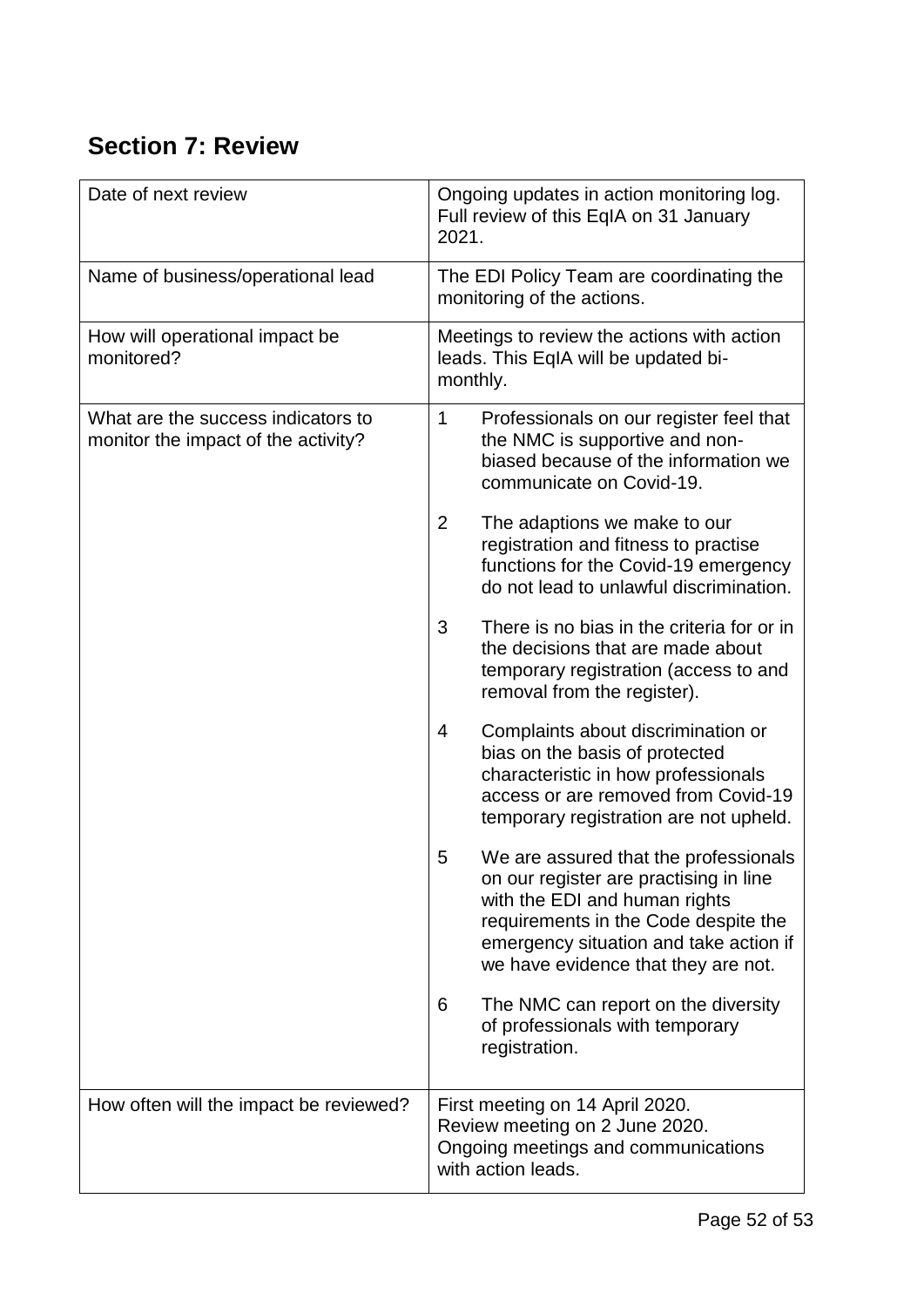# <span id="page-51-0"></span>**Section 7: Review**

| Date of next review                                                       | Ongoing updates in action monitoring log.<br>Full review of this EqIA on 31 January<br>2021.                                                                                                                                                   |
|---------------------------------------------------------------------------|------------------------------------------------------------------------------------------------------------------------------------------------------------------------------------------------------------------------------------------------|
| Name of business/operational lead                                         | The EDI Policy Team are coordinating the<br>monitoring of the actions.                                                                                                                                                                         |
| How will operational impact be<br>monitored?                              | Meetings to review the actions with action<br>leads. This EqIA will be updated bi-<br>monthly.                                                                                                                                                 |
| What are the success indicators to<br>monitor the impact of the activity? | 1<br>Professionals on our register feel that<br>the NMC is supportive and non-<br>biased because of the information we<br>communicate on Covid-19.<br>$\overline{2}$<br>The adaptions we make to our                                           |
|                                                                           | registration and fitness to practise<br>functions for the Covid-19 emergency<br>do not lead to unlawful discrimination.                                                                                                                        |
|                                                                           | 3<br>There is no bias in the criteria for or in<br>the decisions that are made about<br>temporary registration (access to and<br>removal from the register).                                                                                   |
|                                                                           | Complaints about discrimination or<br>4<br>bias on the basis of protected<br>characteristic in how professionals<br>access or are removed from Covid-19<br>temporary registration are not upheld.                                              |
|                                                                           | 5<br>We are assured that the professionals<br>on our register are practising in line<br>with the EDI and human rights<br>requirements in the Code despite the<br>emergency situation and take action if<br>we have evidence that they are not. |
|                                                                           | The NMC can report on the diversity<br>6<br>of professionals with temporary<br>registration.                                                                                                                                                   |
| How often will the impact be reviewed?                                    | First meeting on 14 April 2020.<br>Review meeting on 2 June 2020.<br>Ongoing meetings and communications<br>with action leads.                                                                                                                 |